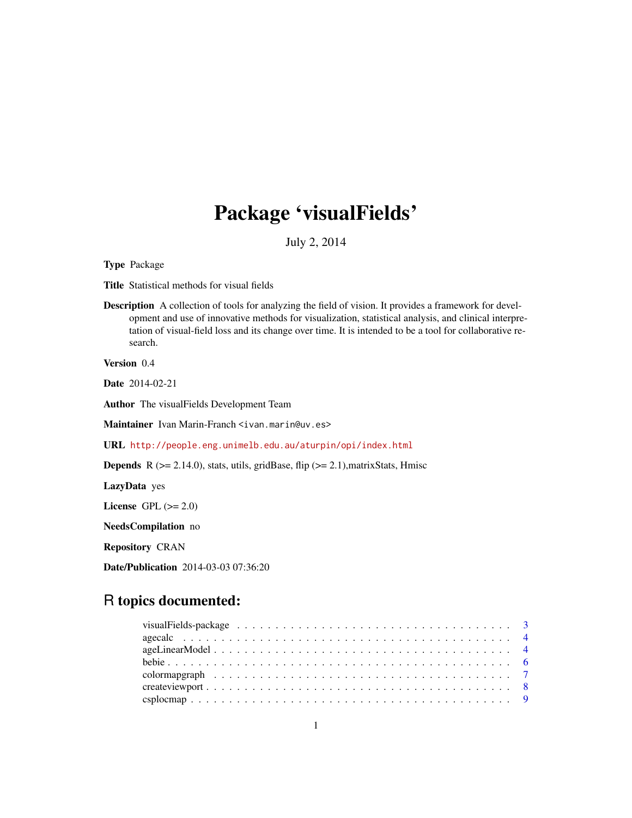# Package 'visualFields'

July 2, 2014

<span id="page-0-0"></span>Type Package

Title Statistical methods for visual fields

Description A collection of tools for analyzing the field of vision. It provides a framework for development and use of innovative methods for visualization, statistical analysis, and clinical interpretation of visual-field loss and its change over time. It is intended to be a tool for collaborative research.

Version 0.4

Date 2014-02-21

Author The visualFields Development Team

Maintainer Ivan Marin-Franch <ivan.marin@uv.es>

URL <http://people.eng.unimelb.edu.au/aturpin/opi/index.html>

**Depends** R ( $>= 2.14.0$ ), stats, utils, gridBase, flip ( $>= 2.1$ ), matrixStats, Hmisc

LazyData yes

License GPL  $(>= 2.0)$ 

NeedsCompilation no

Repository CRAN

Date/Publication 2014-03-03 07:36:20

## R topics documented:

| visualFields-package $\ldots \ldots \ldots \ldots \ldots \ldots \ldots \ldots \ldots \ldots \ldots \ldots$ |  |
|------------------------------------------------------------------------------------------------------------|--|
|                                                                                                            |  |
|                                                                                                            |  |
|                                                                                                            |  |
|                                                                                                            |  |
|                                                                                                            |  |
|                                                                                                            |  |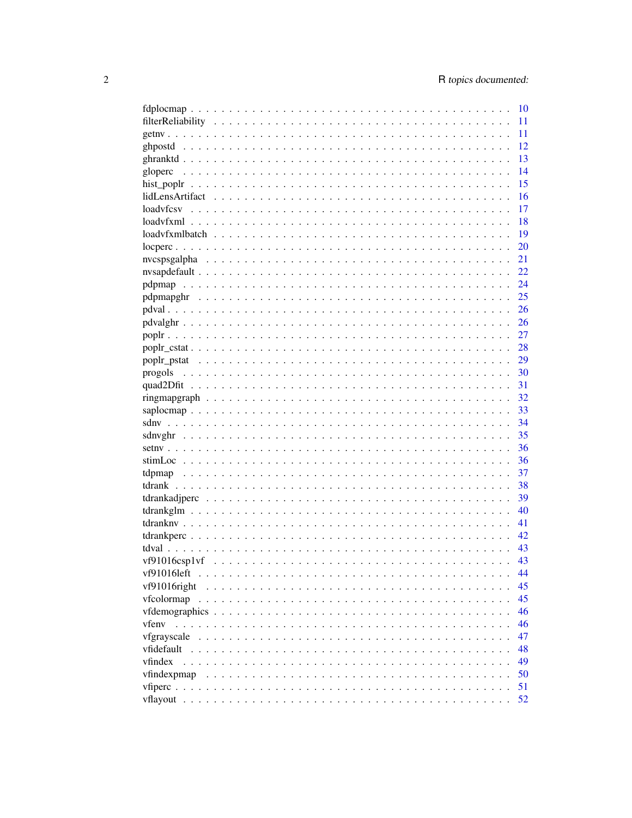|              |  |  |  |  |  |  |  |  |  |  |  |  |      | 10 |
|--------------|--|--|--|--|--|--|--|--|--|--|--|--|------|----|
|              |  |  |  |  |  |  |  |  |  |  |  |  |      | 11 |
|              |  |  |  |  |  |  |  |  |  |  |  |  |      | 11 |
|              |  |  |  |  |  |  |  |  |  |  |  |  |      | 12 |
|              |  |  |  |  |  |  |  |  |  |  |  |  |      | 13 |
|              |  |  |  |  |  |  |  |  |  |  |  |  |      | 14 |
|              |  |  |  |  |  |  |  |  |  |  |  |  |      | 15 |
|              |  |  |  |  |  |  |  |  |  |  |  |  |      | 16 |
|              |  |  |  |  |  |  |  |  |  |  |  |  |      | 17 |
|              |  |  |  |  |  |  |  |  |  |  |  |  |      | 18 |
|              |  |  |  |  |  |  |  |  |  |  |  |  |      | 19 |
|              |  |  |  |  |  |  |  |  |  |  |  |  |      | 20 |
|              |  |  |  |  |  |  |  |  |  |  |  |  |      | 21 |
|              |  |  |  |  |  |  |  |  |  |  |  |  |      | 22 |
|              |  |  |  |  |  |  |  |  |  |  |  |  |      | 24 |
|              |  |  |  |  |  |  |  |  |  |  |  |  |      | 25 |
|              |  |  |  |  |  |  |  |  |  |  |  |  |      |    |
|              |  |  |  |  |  |  |  |  |  |  |  |  |      | 26 |
|              |  |  |  |  |  |  |  |  |  |  |  |  |      | 27 |
|              |  |  |  |  |  |  |  |  |  |  |  |  |      | 28 |
|              |  |  |  |  |  |  |  |  |  |  |  |  | - 29 |    |
|              |  |  |  |  |  |  |  |  |  |  |  |  | -30  |    |
|              |  |  |  |  |  |  |  |  |  |  |  |  | 31   |    |
|              |  |  |  |  |  |  |  |  |  |  |  |  |      | 32 |
|              |  |  |  |  |  |  |  |  |  |  |  |  |      | 33 |
|              |  |  |  |  |  |  |  |  |  |  |  |  |      | 34 |
|              |  |  |  |  |  |  |  |  |  |  |  |  |      | 35 |
|              |  |  |  |  |  |  |  |  |  |  |  |  |      | 36 |
|              |  |  |  |  |  |  |  |  |  |  |  |  |      | 36 |
|              |  |  |  |  |  |  |  |  |  |  |  |  |      | 37 |
|              |  |  |  |  |  |  |  |  |  |  |  |  |      | 38 |
|              |  |  |  |  |  |  |  |  |  |  |  |  |      | 39 |
|              |  |  |  |  |  |  |  |  |  |  |  |  |      | 40 |
|              |  |  |  |  |  |  |  |  |  |  |  |  |      | 41 |
|              |  |  |  |  |  |  |  |  |  |  |  |  |      | 42 |
|              |  |  |  |  |  |  |  |  |  |  |  |  |      | 43 |
|              |  |  |  |  |  |  |  |  |  |  |  |  |      | 43 |
| vf91016left  |  |  |  |  |  |  |  |  |  |  |  |  |      | 44 |
| vf91016right |  |  |  |  |  |  |  |  |  |  |  |  |      | 45 |
| vfcolormap   |  |  |  |  |  |  |  |  |  |  |  |  |      | 45 |
|              |  |  |  |  |  |  |  |  |  |  |  |  |      | 46 |
| vfenv        |  |  |  |  |  |  |  |  |  |  |  |  |      | 46 |
| vfgrayscale  |  |  |  |  |  |  |  |  |  |  |  |  |      | 47 |
| vfidefault   |  |  |  |  |  |  |  |  |  |  |  |  |      | 48 |
| vfindex      |  |  |  |  |  |  |  |  |  |  |  |  |      | 49 |
| vfindexpmap  |  |  |  |  |  |  |  |  |  |  |  |  |      | 50 |
|              |  |  |  |  |  |  |  |  |  |  |  |  |      | 51 |
|              |  |  |  |  |  |  |  |  |  |  |  |  |      | 52 |
|              |  |  |  |  |  |  |  |  |  |  |  |  |      |    |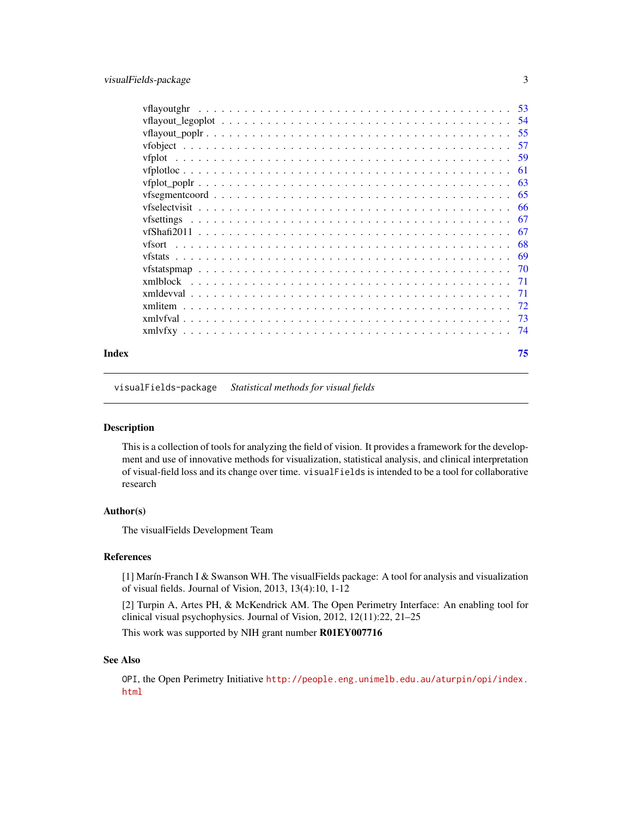<span id="page-2-0"></span>

| Index |          | 75  |
|-------|----------|-----|
|       |          |     |
|       |          |     |
|       |          |     |
|       |          |     |
|       |          |     |
|       |          |     |
|       |          |     |
|       | vfsort   |     |
|       |          | -67 |
|       |          |     |
|       |          |     |
|       |          |     |
|       |          |     |
|       |          | -61 |
|       |          |     |
|       | vfobiect |     |
|       |          |     |
|       |          |     |
|       |          |     |

visualFields-package *Statistical methods for visual fields*

#### <span id="page-2-1"></span>Description

This is a collection of tools for analyzing the field of vision. It provides a framework for the development and use of innovative methods for visualization, statistical analysis, and clinical interpretation of visual-field loss and its change over time. visualFields is intended to be a tool for collaborative research

## Author(s)

The visualFields Development Team

## References

[1] Marín-Franch I & Swanson WH. The visualFields package: A tool for analysis and visualization of visual fields. Journal of Vision, 2013, 13(4):10, 1-12

[2] Turpin A, Artes PH, & McKendrick AM. The Open Perimetry Interface: An enabling tool for clinical visual psychophysics. Journal of Vision, 2012, 12(11):22, 21–25

This work was supported by NIH grant number R01EY007716

## See Also

OPI, the Open Perimetry Initiative [http://people.eng.unimelb.edu.au/aturpin/opi/index.](http://people.eng.unimelb.edu.au/aturpin/opi/index.html) [html](http://people.eng.unimelb.edu.au/aturpin/opi/index.html)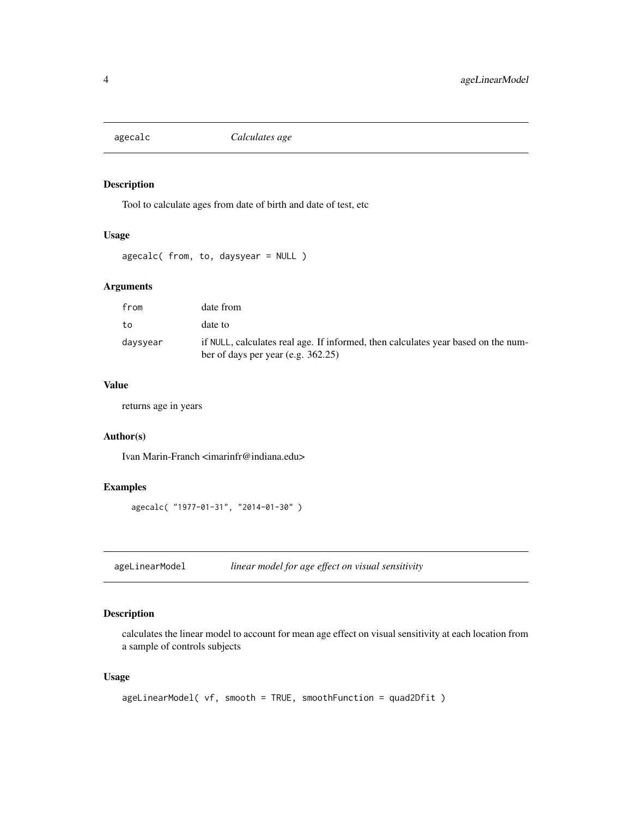<span id="page-3-0"></span>

Tool to calculate ages from date of birth and date of test, etc

## Usage

```
agecalc( from, to, daysyear = NULL )
```
## Arguments

| from     | date from                                                                                                                  |
|----------|----------------------------------------------------------------------------------------------------------------------------|
| to       | date to                                                                                                                    |
| daysyear | if NULL, calculates real age. If informed, then calculates year based on the num-<br>ber of days per year (e.g. $362.25$ ) |

## Value

returns age in years

## Author(s)

Ivan Marin-Franch <imarinfr@indiana.edu>

#### Examples

```
agecalc( "1977-01-31", "2014-01-30" )
```
<span id="page-3-1"></span>ageLinearModel *linear model for age effect on visual sensitivity*

## Description

calculates the linear model to account for mean age effect on visual sensitivity at each location from a sample of controls subjects

## Usage

```
ageLinearModel( vf, smooth = TRUE, smoothFunction = quad2Dfit )
```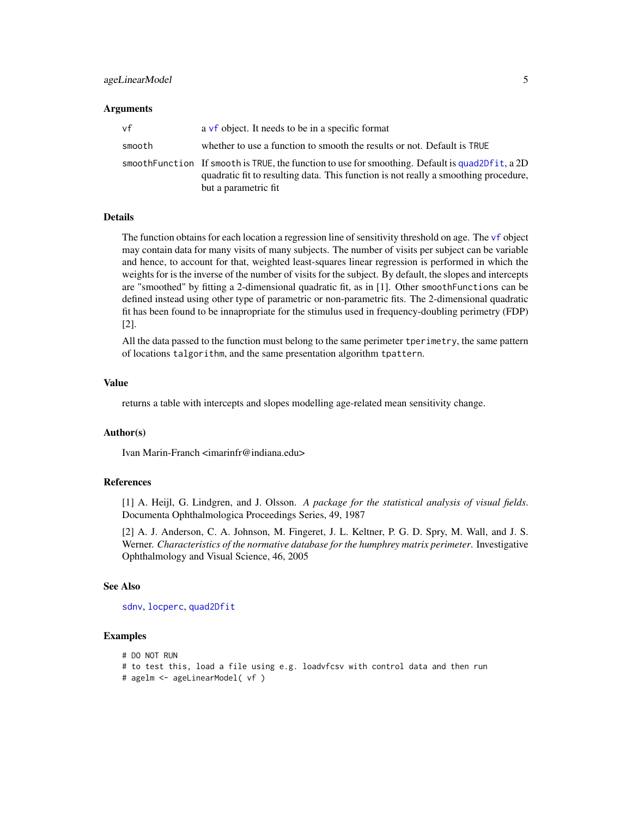## ageLinearModel 5

#### Arguments

| vf     | a vf object. It needs to be in a specific format                                                                                                                                                               |
|--------|----------------------------------------------------------------------------------------------------------------------------------------------------------------------------------------------------------------|
| smooth | whether to use a function to smooth the results or not. Default is TRUE                                                                                                                                        |
|        | smoothFunction If smooth is TRUE, the function to use for smoothing. Default is quad2Dfit, a 2D<br>quadratic fit to resulting data. This function is not really a smoothing procedure,<br>but a parametric fit |

#### Details

The function obtains for each location a regression line of sensitivity threshold on age. The [vf](#page-56-1) object may contain data for many visits of many subjects. The number of visits per subject can be variable and hence, to account for that, weighted least-squares linear regression is performed in which the weights for is the inverse of the number of visits for the subject. By default, the slopes and intercepts are "smoothed" by fitting a 2-dimensional quadratic fit, as in [1]. Other smoothFunctions can be defined instead using other type of parametric or non-parametric fits. The 2-dimensional quadratic fit has been found to be innapropriate for the stimulus used in frequency-doubling perimetry (FDP) [2].

All the data passed to the function must belong to the same perimeter tperimetry, the same pattern of locations talgorithm, and the same presentation algorithm tpattern.

#### Value

returns a table with intercepts and slopes modelling age-related mean sensitivity change.

#### Author(s)

Ivan Marin-Franch <imarinfr@indiana.edu>

#### References

[1] A. Heijl, G. Lindgren, and J. Olsson. *A package for the statistical analysis of visual fields*. Documenta Ophthalmologica Proceedings Series, 49, 1987

[2] A. J. Anderson, C. A. Johnson, M. Fingeret, J. L. Keltner, P. G. D. Spry, M. Wall, and J. S. Werner. *Characteristics of the normative database for the humphrey matrix perimeter*. Investigative Ophthalmology and Visual Science, 46, 2005

#### See Also

[sdnv](#page-33-1), [locperc](#page-19-1), [quad2Dfit](#page-30-1)

## Examples

# DO NOT RUN

```
# to test this, load a file using e.g. loadvfcsv with control data and then run
```
# agelm <- ageLinearModel( vf )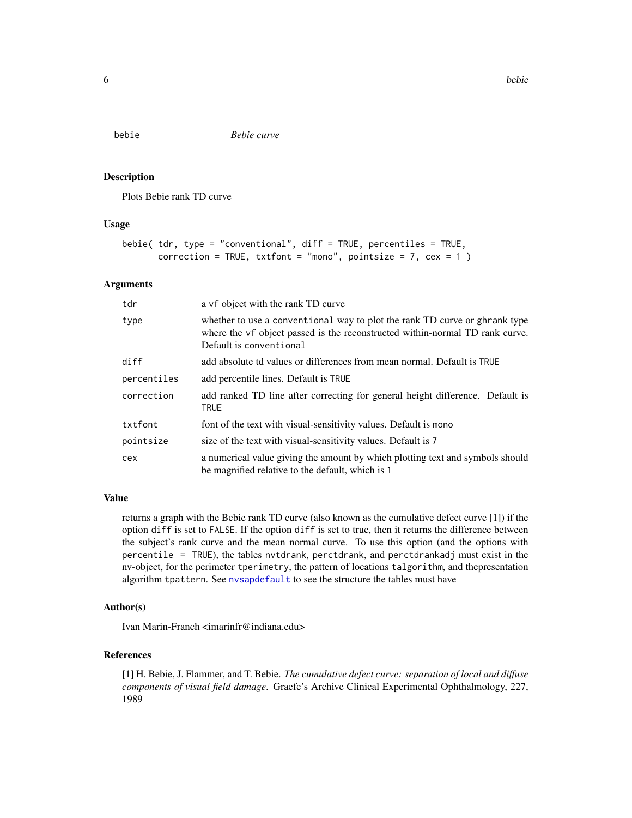<span id="page-5-1"></span><span id="page-5-0"></span>

Plots Bebie rank TD curve

#### Usage

```
bebie( tdr, type = "conventional", diff = TRUE, percentiles = TRUE,
      correction = TRUE, txtfont = "mono", pointsize = 7, cex = 1)
```
### Arguments

| tdr         | a vf object with the rank TD curve                                                                                                                                                    |
|-------------|---------------------------------------------------------------------------------------------------------------------------------------------------------------------------------------|
| type        | whether to use a conventional way to plot the rank TD curve or ghrank type<br>where the vf object passed is the reconstructed within-normal TD rank curve.<br>Default is conventional |
| diff        | add absolute td values or differences from mean normal. Default is TRUE                                                                                                               |
| percentiles | add percentile lines. Default is TRUE                                                                                                                                                 |
| correction  | add ranked TD line after correcting for general height difference. Default is<br><b>TRUE</b>                                                                                          |
| txtfont     | font of the text with visual-sensitivity values. Default is mono                                                                                                                      |
| pointsize   | size of the text with visual-sensitivity values. Default is 7                                                                                                                         |
| cex         | a numerical value giving the amount by which plotting text and symbols should<br>be magnified relative to the default, which is 1                                                     |

#### Value

returns a graph with the Bebie rank TD curve (also known as the cumulative defect curve [1]) if the option diff is set to FALSE. If the option diff is set to true, then it returns the difference between the subject's rank curve and the mean normal curve. To use this option (and the options with percentile = TRUE), the tables nvtdrank, perctdrank, and perctdrankadj must exist in the nv-object, for the perimeter tperimetry, the pattern of locations talgorithm, and thepresentation algorithm tpattern. See [nvsapdefault](#page-21-1) to see the structure the tables must have

#### Author(s)

Ivan Marin-Franch <imarinfr@indiana.edu>

#### References

[1] H. Bebie, J. Flammer, and T. Bebie. *The cumulative defect curve: separation of local and diffuse components of visual field damage*. Graefe's Archive Clinical Experimental Ophthalmology, 227, 1989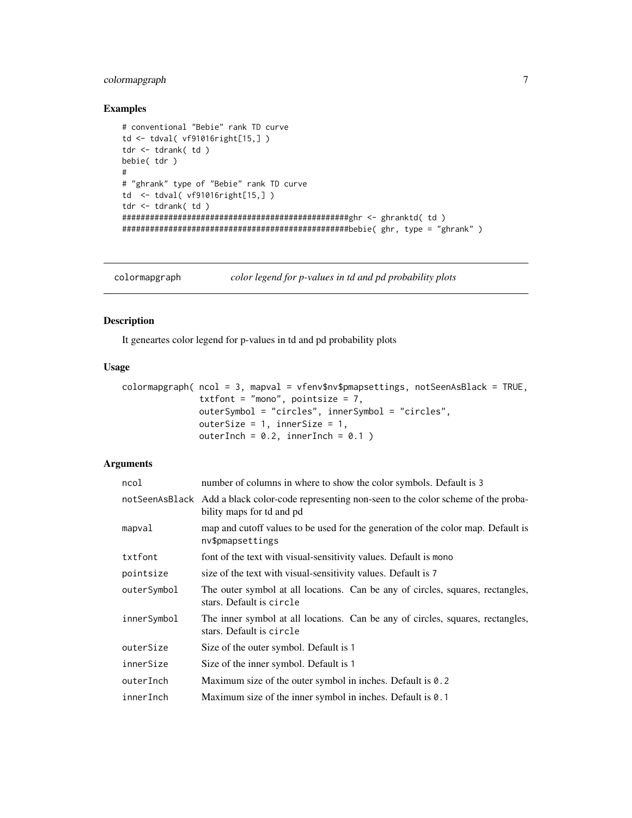## <span id="page-6-0"></span>colormapgraph 7

## Examples

```
# conventional "Bebie" rank TD curve
td <- tdval( vf91016right[15,] )
tdr <- tdrank( td )
bebie( tdr )
#
# "ghrank" type of "Bebie" rank TD curve
td <- tdval( vf91016right[15,] )
tdr <- tdrank( td )
#################################################ghr <- ghranktd( td )
#################################################bebie( ghr, type = "ghrank" )
```
colormapgraph *color legend for p-values in td and pd probability plots*

## Description

It geneartes color legend for p-values in td and pd probability plots

#### Usage

```
colormapgraph( ncol = 3, mapval = vfenv$nv$pmapsettings, notSeenAsBlack = TRUE,
               txtfont = "mono", pointsize = 7,
               outerSymbol = "circles", innerSymbol = "circles",
               outerSize = 1, innerSize = 1,
              outerInch = 0.2, innerInch = 0.1)
```
## Arguments

| ncol        | number of columns in where to show the color symbols. Default is 3                                                          |
|-------------|-----------------------------------------------------------------------------------------------------------------------------|
|             | not SeenAsBlack Add a black color-code representing non-seen to the color scheme of the proba-<br>bility maps for td and pd |
| mapval      | map and cutoff values to be used for the generation of the color map. Default is<br>nv\$pmapsettings                        |
| txtfont     | font of the text with visual-sensitivity values. Default is mono                                                            |
| pointsize   | size of the text with visual-sensitivity values. Default is 7                                                               |
| outerSymbol | The outer symbol at all locations. Can be any of circles, squares, rectangles,<br>stars. Default is circle                  |
| innerSymbol | The inner symbol at all locations. Can be any of circles, squares, rectangles,<br>stars. Default is circle                  |
| outerSize   | Size of the outer symbol. Default is 1                                                                                      |
| innerSize   | Size of the inner symbol. Default is 1                                                                                      |
| outerInch   | Maximum size of the outer symbol in inches. Default is 0.2                                                                  |
| innerInch   | Maximum size of the inner symbol in inches. Default is 0.1                                                                  |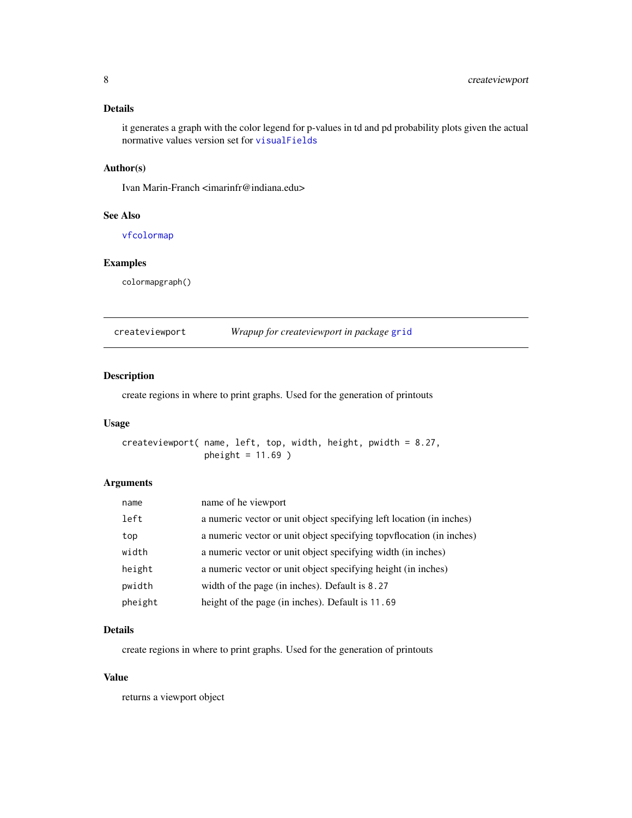## <span id="page-7-0"></span>Details

it generates a graph with the color legend for p-values in td and pd probability plots given the actual normative values version set for [visualFields](#page-2-1)

#### Author(s)

Ivan Marin-Franch <imarinfr@indiana.edu>

## See Also

[vfcolormap](#page-44-1)

## Examples

colormapgraph()

|--|

## Description

create regions in where to print graphs. Used for the generation of printouts

## Usage

createviewport( name, left, top, width, height, pwidth = 8.27, pheight =  $11.69$ )

## Arguments

| name    | name of he viewport                                                  |
|---------|----------------------------------------------------------------------|
| left    | a numeric vector or unit object specifying left location (in inches) |
| top     | a numeric vector or unit object specifying topyflocation (in inches) |
| width   | a numeric vector or unit object specifying width (in inches)         |
| height  | a numeric vector or unit object specifying height (in inches)        |
| pwidth  | width of the page (in inches). Default is 8.27                       |
| pheight | height of the page (in inches). Default is 11.69                     |

## Details

create regions in where to print graphs. Used for the generation of printouts

## Value

returns a viewport object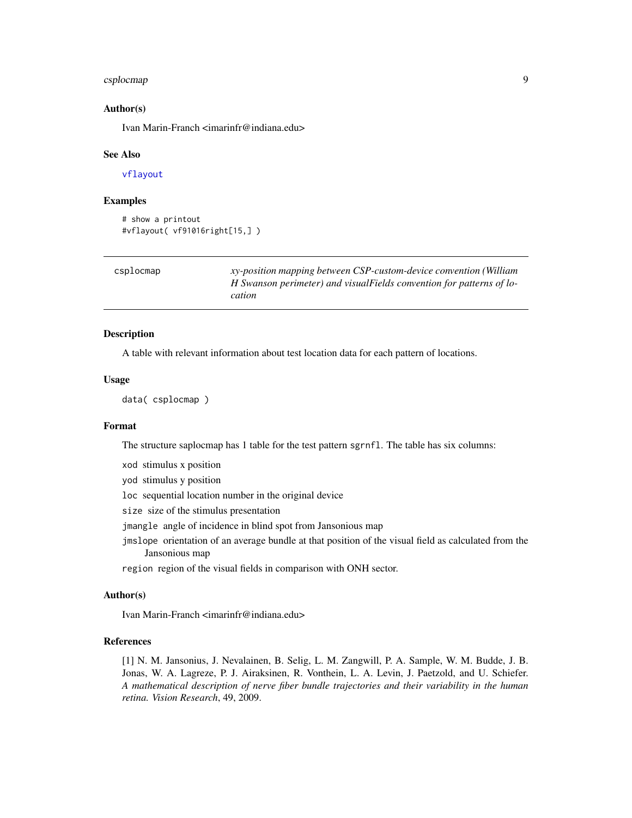#### <span id="page-8-0"></span>csplocmap 9

#### Author(s)

Ivan Marin-Franch <imarinfr@indiana.edu>

#### See Also

[vflayout](#page-51-1)

## Examples

```
# show a printout
#vflayout( vf91016right[15,] )
```

| csplocmap | xy-position mapping between CSP-custom-device convention (William     |
|-----------|-----------------------------------------------------------------------|
|           | H Swanson perimeter) and visual Fields convention for patterns of lo- |
|           | cation                                                                |

#### Description

A table with relevant information about test location data for each pattern of locations.

## Usage

data( csplocmap )

## Format

The structure saplocmap has 1 table for the test pattern sgrnfl. The table has six columns:

xod stimulus x position

yod stimulus y position

loc sequential location number in the original device

size size of the stimulus presentation

- jmangle angle of incidence in blind spot from Jansonious map
- jmslope orientation of an average bundle at that position of the visual field as calculated from the Jansonious map

region region of the visual fields in comparison with ONH sector.

## Author(s)

Ivan Marin-Franch <imarinfr@indiana.edu>

#### References

[1] N. M. Jansonius, J. Nevalainen, B. Selig, L. M. Zangwill, P. A. Sample, W. M. Budde, J. B. Jonas, W. A. Lagreze, P. J. Airaksinen, R. Vonthein, L. A. Levin, J. Paetzold, and U. Schiefer. *A mathematical description of nerve fiber bundle trajectories and their variability in the human retina. Vision Research*, 49, 2009.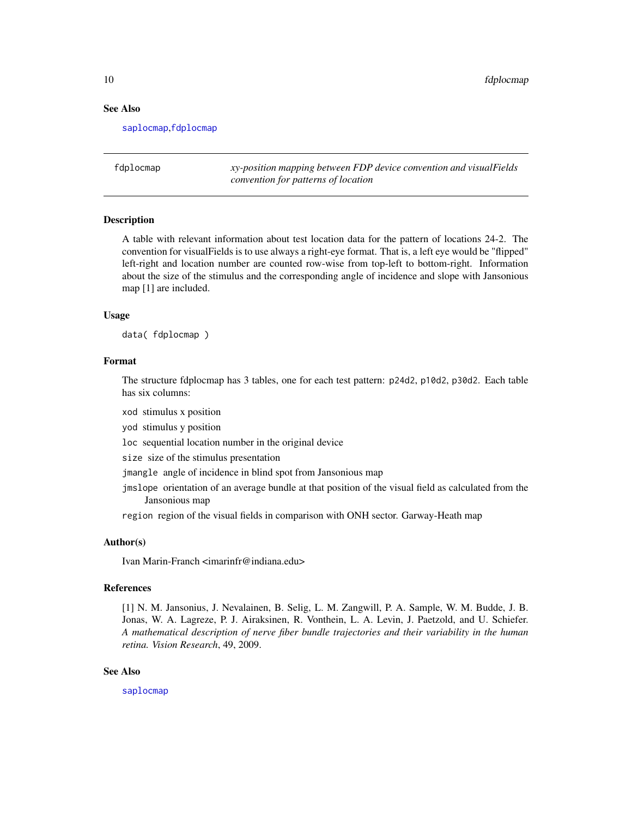#### See Also

[saplocmap](#page-32-1),[fdplocmap](#page-9-1)

<span id="page-9-1"></span>fdplocmap *xy-position mapping between FDP device convention and visualFields convention for patterns of location*

#### Description

A table with relevant information about test location data for the pattern of locations 24-2. The convention for visualFields is to use always a right-eye format. That is, a left eye would be "flipped" left-right and location number are counted row-wise from top-left to bottom-right. Information about the size of the stimulus and the corresponding angle of incidence and slope with Jansonious map [1] are included.

#### Usage

data( fdplocmap )

#### Format

The structure fdplocmap has 3 tables, one for each test pattern: p24d2, p10d2, p30d2. Each table has six columns:

xod stimulus x position

yod stimulus y position

loc sequential location number in the original device

size size of the stimulus presentation

jmangle angle of incidence in blind spot from Jansonious map

jmslope orientation of an average bundle at that position of the visual field as calculated from the Jansonious map

region region of the visual fields in comparison with ONH sector. Garway-Heath map

#### Author(s)

Ivan Marin-Franch <imarinfr@indiana.edu>

#### References

[1] N. M. Jansonius, J. Nevalainen, B. Selig, L. M. Zangwill, P. A. Sample, W. M. Budde, J. B. Jonas, W. A. Lagreze, P. J. Airaksinen, R. Vonthein, L. A. Levin, J. Paetzold, and U. Schiefer. *A mathematical description of nerve fiber bundle trajectories and their variability in the human retina. Vision Research*, 49, 2009.

#### See Also

[saplocmap](#page-32-1)

<span id="page-9-0"></span>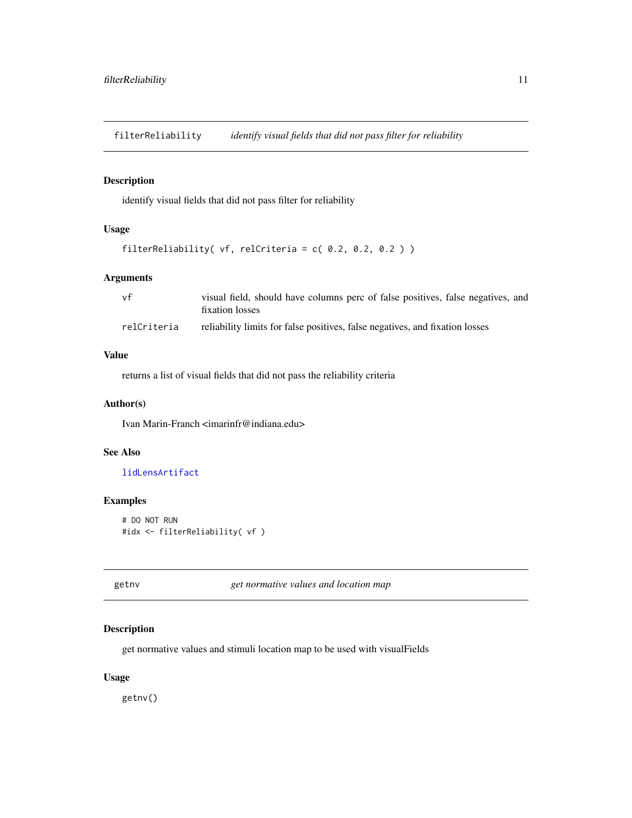<span id="page-10-1"></span><span id="page-10-0"></span>filterReliability *identify visual fields that did not pass filter for reliability*

## Description

identify visual fields that did not pass filter for reliability

## Usage

```
filterReliability( vf, relCriteria = c( 0.2, 0.2, 0.2 ) )
```
## Arguments

| vf          | visual field, should have columns perc of false positives, false negatives, and<br>fixation losses |
|-------------|----------------------------------------------------------------------------------------------------|
| relCriteria | reliability limits for false positives, false negatives, and fixation losses                       |

## Value

returns a list of visual fields that did not pass the reliability criteria

#### Author(s)

Ivan Marin-Franch <imarinfr@indiana.edu>

## See Also

[lidLensArtifact](#page-15-1)

## Examples

```
# DO NOT RUN
#idx <- filterReliability( vf )
```
<span id="page-10-2"></span>getnv *get normative values and location map*

## Description

get normative values and stimuli location map to be used with visualFields

## Usage

getnv()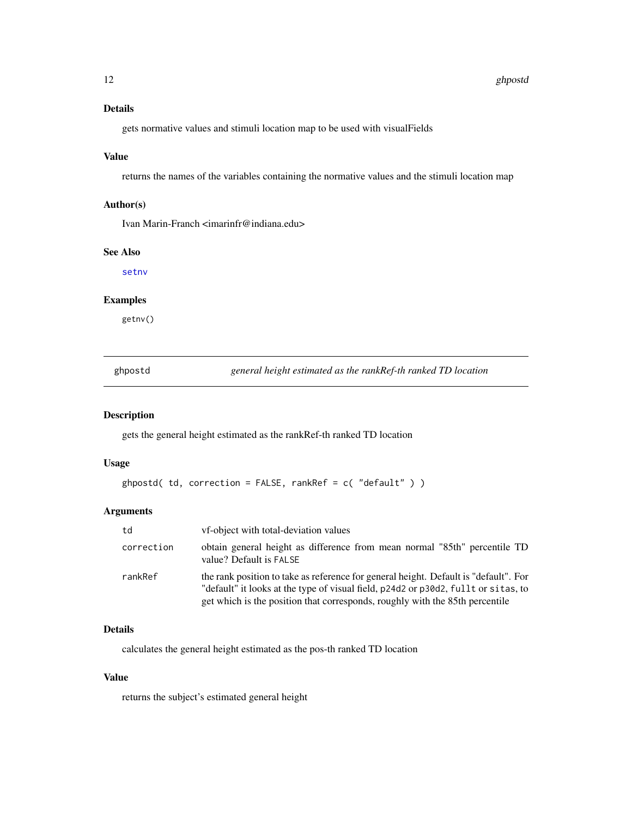## <span id="page-11-0"></span>Details

gets normative values and stimuli location map to be used with visualFields

## Value

returns the names of the variables containing the normative values and the stimuli location map

## Author(s)

Ivan Marin-Franch <imarinfr@indiana.edu>

## See Also

[setnv](#page-35-1)

## Examples

getnv()

<span id="page-11-1"></span>ghpostd *general height estimated as the rankRef-th ranked TD location*

## Description

gets the general height estimated as the rankRef-th ranked TD location

#### Usage

```
ghpostd( td, correction = FALSE, rankRef = c( "default" ) )
```
## Arguments

| td         | <i>vf-object with total-deviation values</i>                                                                                                                                                                                                               |
|------------|------------------------------------------------------------------------------------------------------------------------------------------------------------------------------------------------------------------------------------------------------------|
| correction | obtain general height as difference from mean normal "85th" percentile TD<br>value? Default is FALSE                                                                                                                                                       |
| rankRef    | the rank position to take as reference for general height. Default is "default". For<br>"default" it looks at the type of visual field, p24d2 or p30d2, fullt or sitas, to<br>get which is the position that corresponds, roughly with the 85th percentile |

## Details

calculates the general height estimated as the pos-th ranked TD location

## Value

returns the subject's estimated general height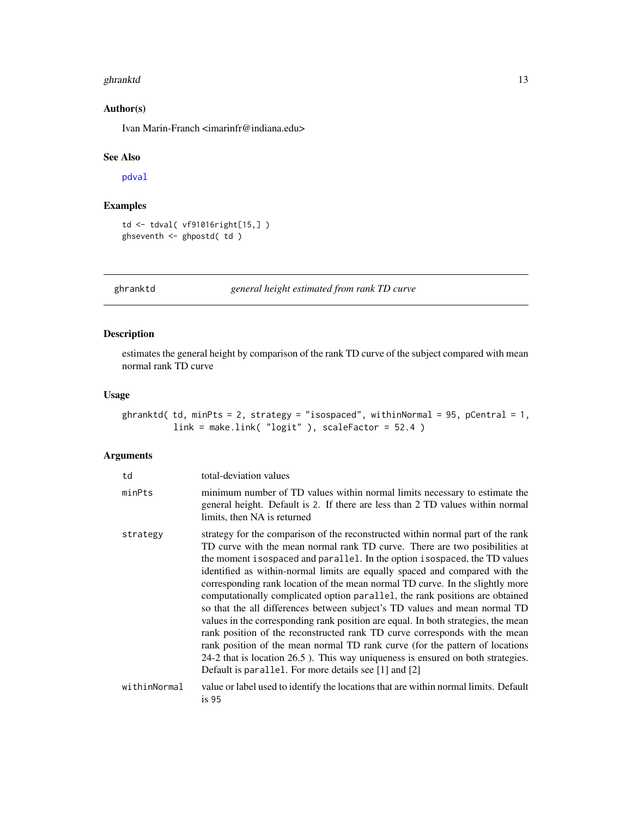#### <span id="page-12-0"></span>ghranktd 13

## Author(s)

Ivan Marin-Franch <imarinfr@indiana.edu>

## See Also

[pdval](#page-25-1)

## Examples

```
td <- tdval( vf91016right[15,] )
ghseventh <- ghpostd( td )
```
ghranktd *general height estimated from rank TD curve*

## Description

estimates the general height by comparison of the rank TD curve of the subject compared with mean normal rank TD curve

## Usage

```
ghranktd( td, minPts = 2, strategy = "isospaced", withinNormal = 95, pCentral = 1,
          link = make.link( "logit" ), scaleFactor = 52.4 )
```
#### Arguments

| td           | total-deviation values                                                                                                                                                                                                                                                                                                                                                                                                                                                                                                                                                                                                                                                                                                                                                                                                                                                                                                                                                  |
|--------------|-------------------------------------------------------------------------------------------------------------------------------------------------------------------------------------------------------------------------------------------------------------------------------------------------------------------------------------------------------------------------------------------------------------------------------------------------------------------------------------------------------------------------------------------------------------------------------------------------------------------------------------------------------------------------------------------------------------------------------------------------------------------------------------------------------------------------------------------------------------------------------------------------------------------------------------------------------------------------|
| minPts       | minimum number of TD values within normal limits necessary to estimate the<br>general height. Default is 2. If there are less than 2 TD values within normal<br>limits, then NA is returned                                                                                                                                                                                                                                                                                                                                                                                                                                                                                                                                                                                                                                                                                                                                                                             |
| strategy     | strategy for the comparison of the reconstructed within normal part of the rank<br>TD curve with the mean normal rank TD curve. There are two posibilities at<br>the moment isospaced and parallel. In the option isospaced, the TD values<br>identified as within-normal limits are equally spaced and compared with the<br>corresponding rank location of the mean normal TD curve. In the slightly more<br>computationally complicated option parallel, the rank positions are obtained<br>so that the all differences between subject's TD values and mean normal TD<br>values in the corresponding rank position are equal. In both strategies, the mean<br>rank position of the reconstructed rank TD curve corresponds with the mean<br>rank position of the mean normal TD rank curve (for the pattern of locations<br>24-2 that is location 26.5). This way uniqueness is ensured on both strategies.<br>Default is parallel. For more details see [1] and [2] |
| withinNormal | value or label used to identify the locations that are within normal limits. Default<br>is <sub>95</sub>                                                                                                                                                                                                                                                                                                                                                                                                                                                                                                                                                                                                                                                                                                                                                                                                                                                                |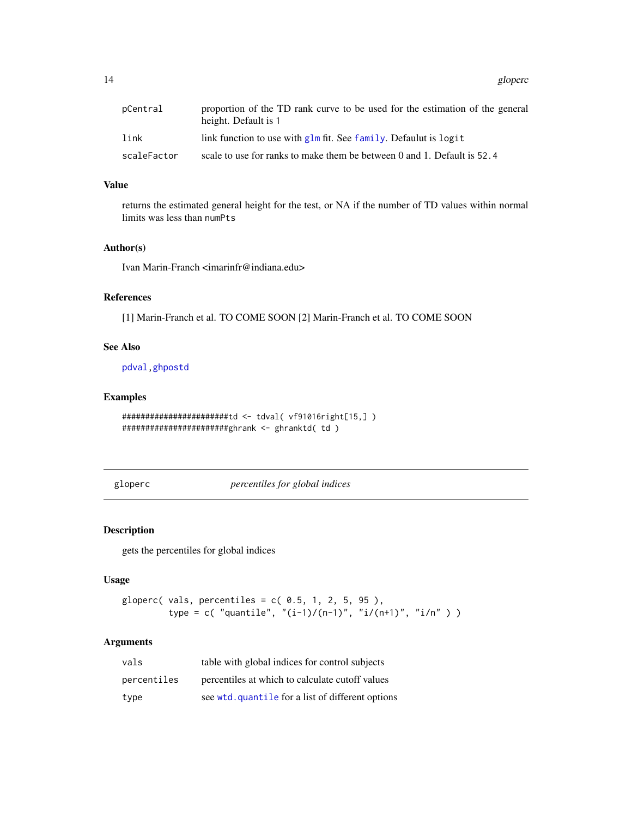<span id="page-13-0"></span>14 gloperc

| pCentral    | proportion of the TD rank curve to be used for the estimation of the general<br>height. Default is 1 |
|-------------|------------------------------------------------------------------------------------------------------|
| link        | link function to use with $g \ln \pi$ fit. See family. Defaulut is logit                             |
| scaleFactor | scale to use for ranks to make them be between 0 and 1. Default is $52.4$                            |

## Value

returns the estimated general height for the test, or NA if the number of TD values within normal limits was less than numPts

#### Author(s)

Ivan Marin-Franch <imarinfr@indiana.edu>

## References

[1] Marin-Franch et al. TO COME SOON [2] Marin-Franch et al. TO COME SOON

## See Also

[pdval](#page-25-1)[,ghpostd](#page-11-1)

## Examples

```
#######################td <- tdval( vf91016right[15,] )
#######################ghrank <- ghranktd( td )
```
<span id="page-13-1"></span>gloperc *percentiles for global indices*

## Description

gets the percentiles for global indices

#### Usage

```
gloperc( vals, percentiles = c( 0.5, 1, 2, 5, 95),
        type = c( "quantile", "(i-1)/(n-1)", "i/(n+1)", "i/n" ) )
```
## Arguments

| vals        | table with global indices for control subjects    |
|-------------|---------------------------------------------------|
| percentiles | percentiles at which to calculate cutoff values   |
| type        | see wtd. quantile for a list of different options |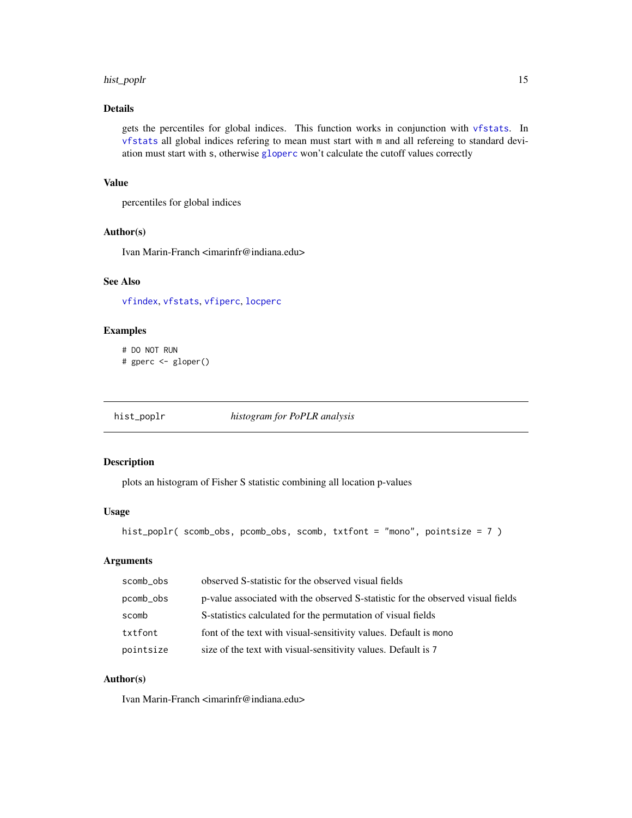#### <span id="page-14-0"></span>hist\_poplr 15

## Details

gets the percentiles for global indices. This function works in conjunction with [vfstats](#page-68-1). In [vfstats](#page-68-1) all global indices refering to mean must start with m and all refereing to standard deviation must start with s, otherwise [gloperc](#page-13-1) won't calculate the cutoff values correctly

## Value

percentiles for global indices

## Author(s)

Ivan Marin-Franch <imarinfr@indiana.edu>

## See Also

[vfindex](#page-48-1), [vfstats](#page-68-1), [vfiperc](#page-50-1), [locperc](#page-19-1)

## Examples

# DO NOT RUN # gperc <- gloper()

<span id="page-14-1"></span>hist\_poplr *histogram for PoPLR analysis*

#### Description

plots an histogram of Fisher S statistic combining all location p-values

## Usage

hist\_poplr( scomb\_obs, pcomb\_obs, scomb, txtfont = "mono", pointsize = 7 )

## Arguments

| scomb_obs | observed S-statistic for the observed visual fields                             |
|-----------|---------------------------------------------------------------------------------|
| pcomb_obs | p-value associated with the observed S-statistic for the observed visual fields |
| scomb     | S-statistics calculated for the permutation of visual fields                    |
| txtfont   | font of the text with visual-sensitivity values. Default is mono                |
| pointsize | size of the text with visual-sensitivity values. Default is 7                   |

## Author(s)

Ivan Marin-Franch <imarinfr@indiana.edu>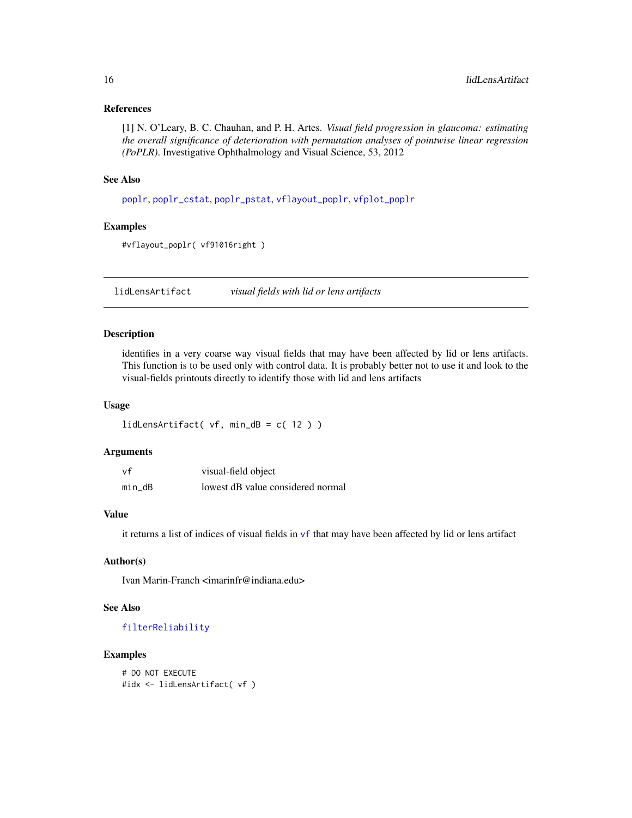#### <span id="page-15-0"></span>References

[1] N. O'Leary, B. C. Chauhan, and P. H. Artes. *Visual field progression in glaucoma: estimating the overall significance of deterioration with permutation analyses of pointwise linear regression (PoPLR)*. Investigative Ophthalmology and Visual Science, 53, 2012

#### See Also

[poplr](#page-26-1), [poplr\\_cstat](#page-27-1), [poplr\\_pstat](#page-28-1), [vflayout\\_poplr](#page-54-1), [vfplot\\_poplr](#page-62-1)

## Examples

#vflayout\_poplr( vf91016right )

<span id="page-15-1"></span>lidLensArtifact *visual fields with lid or lens artifacts*

## Description

identifies in a very coarse way visual fields that may have been affected by lid or lens artifacts. This function is to be used only with control data. It is probably better not to use it and look to the visual-fields printouts directly to identify those with lid and lens artifacts

#### Usage

```
lidLensArtifact( vf, min_dB = c( 12 ) )
```
#### Arguments

| vf     | visual-field object               |
|--------|-----------------------------------|
| min dB | lowest dB value considered normal |

#### Value

it returns a list of indices of visual fields in [vf](#page-56-1) that may have been affected by lid or lens artifact

## Author(s)

Ivan Marin-Franch <imarinfr@indiana.edu>

## See Also

[filterReliability](#page-10-1)

```
# DO NOT EXECUTE
#idx <- lidLensArtifact( vf )
```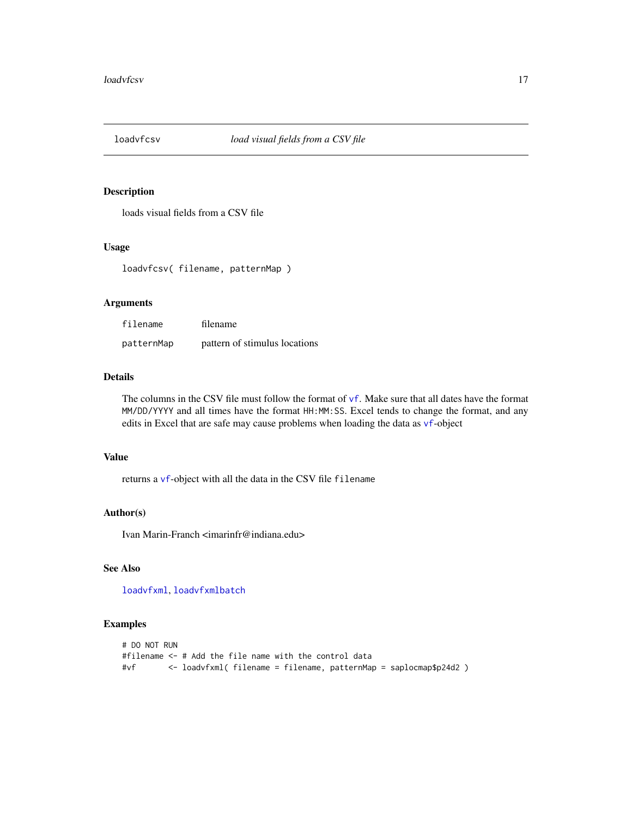<span id="page-16-1"></span><span id="page-16-0"></span>

loads visual fields from a CSV file

## Usage

loadvfcsv( filename, patternMap )

## Arguments

| filename   | filename                      |
|------------|-------------------------------|
| patternMap | pattern of stimulus locations |

## Details

The columns in the CSV file must follow the format of [vf](#page-56-1). Make sure that all dates have the format MM/DD/YYYY and all times have the format HH:MM:SS. Excel tends to change the format, and any edits in Excel that are safe may cause problems when loading the data as [vf](#page-56-1)-object

#### Value

returns a [vf](#page-56-1)-object with all the data in the CSV file filename

## Author(s)

Ivan Marin-Franch <imarinfr@indiana.edu>

## See Also

[loadvfxml](#page-17-1), [loadvfxmlbatch](#page-18-1)

```
# DO NOT RUN
#filename <- # Add the file name with the control data
#vf <- loadvfxml( filename = filename, patternMap = saplocmap$p24d2 )
```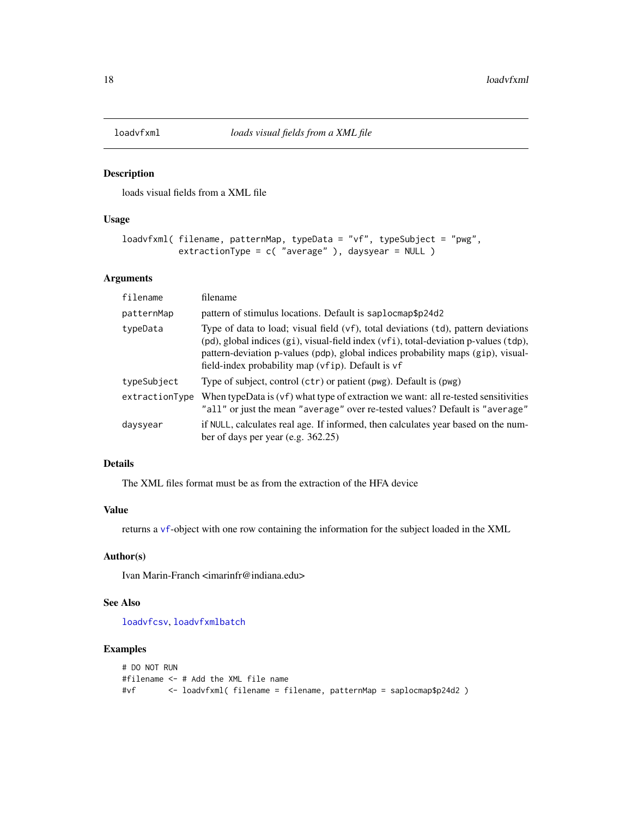<span id="page-17-1"></span><span id="page-17-0"></span>

loads visual fields from a XML file

#### Usage

```
loadvfxml( filename, patternMap, typeData = "vf", typeSubject = "pwg",
          extractionType = c( "average" ), daysyear = NULL )
```
## Arguments

| filename       | filename                                                                                                                                                                                                                                                                                                            |
|----------------|---------------------------------------------------------------------------------------------------------------------------------------------------------------------------------------------------------------------------------------------------------------------------------------------------------------------|
| patternMap     | pattern of stimulus locations. Default is saplocmap\$p24d2                                                                                                                                                                                                                                                          |
| typeData       | Type of data to load; visual field (vf), total deviations (td), pattern deviations<br>(pd), global indices (gi), visual-field index (vfi), total-deviation p-values (tdp),<br>pattern-deviation p-values (pdp), global indices probability maps (gip), visual-<br>field-index probability map (vfip). Default is vf |
| typeSubject    | Type of subject, control (ctr) or patient (pwg). Default is (pwg)                                                                                                                                                                                                                                                   |
| extractionType | When type Data is $(vf)$ what type of extraction we want: all re-tested sensitivities<br>"all" or just the mean "average" over re-tested values? Default is "average"                                                                                                                                               |
| daysyear       | if NULL, calculates real age. If informed, then calculates year based on the num-<br>ber of days per year (e.g. $362.25$ )                                                                                                                                                                                          |

## Details

The XML files format must be as from the extraction of the HFA device

#### Value

returns a [vf](#page-56-1)-object with one row containing the information for the subject loaded in the XML

## Author(s)

Ivan Marin-Franch <imarinfr@indiana.edu>

## See Also

[loadvfcsv](#page-16-1), [loadvfxmlbatch](#page-18-1)

```
# DO NOT RUN
#filename <- # Add the XML file name
#vf <- loadvfxml( filename = filename, patternMap = saplocmap$p24d2 )
```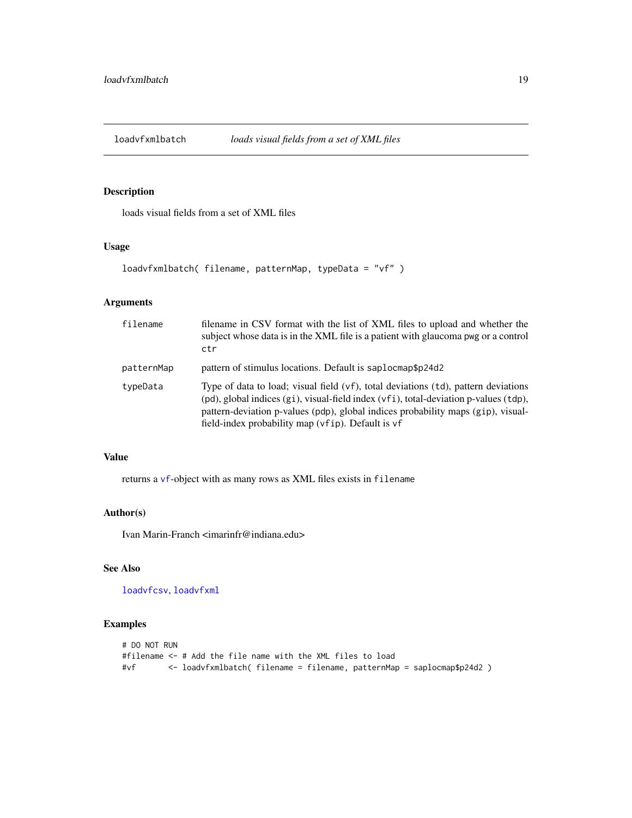<span id="page-18-1"></span><span id="page-18-0"></span>

loads visual fields from a set of XML files

## Usage

```
loadvfxmlbatch( filename, patternMap, typeData = "vf" )
```
## Arguments

| filename   | filename in CSV format with the list of XML files to upload and whether the<br>subject whose data is in the XML file is a patient with glaucoma pwg or a control<br>ctr                                                                                                                                             |
|------------|---------------------------------------------------------------------------------------------------------------------------------------------------------------------------------------------------------------------------------------------------------------------------------------------------------------------|
| patternMap | pattern of stimulus locations. Default is saplocmap\$p24d2                                                                                                                                                                                                                                                          |
| typeData   | Type of data to load; visual field (vf), total deviations (td), pattern deviations<br>(pd), global indices (gi), visual-field index (vfi), total-deviation p-values (tdp),<br>pattern-deviation p-values (pdp), global indices probability maps (gip), visual-<br>field-index probability map (vfip). Default is vf |

#### Value

returns a [vf](#page-56-1)-object with as many rows as XML files exists in filename

## Author(s)

Ivan Marin-Franch <imarinfr@indiana.edu>

## See Also

[loadvfcsv](#page-16-1), [loadvfxml](#page-17-1)

```
# DO NOT RUN
#filename <- # Add the file name with the XML files to load
#vf <- loadvfxmlbatch( filename = filename, patternMap = saplocmap$p24d2 )
```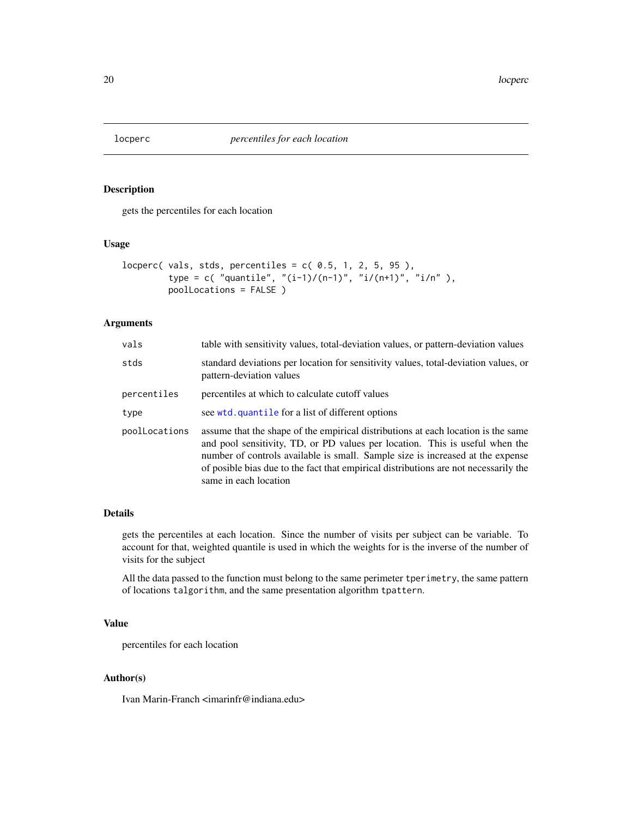<span id="page-19-1"></span><span id="page-19-0"></span>

gets the percentiles for each location

## Usage

```
locperc( vals, stds, percentiles = c( 0.5, 1, 2, 5, 95),
        type = c( "quantile", "(i-1)/(n-1)", "i/(n+1)", "i/n"),
         poolLocations = FALSE )
```
## Arguments

| vals          | table with sensitivity values, total-deviation values, or pattern-deviation values                                                                                                                                                                                                                                                                                   |
|---------------|----------------------------------------------------------------------------------------------------------------------------------------------------------------------------------------------------------------------------------------------------------------------------------------------------------------------------------------------------------------------|
| stds          | standard deviations per location for sensitivity values, total-deviation values, or<br>pattern-deviation values                                                                                                                                                                                                                                                      |
| percentiles   | percentiles at which to calculate cutoff values                                                                                                                                                                                                                                                                                                                      |
| type          | see wtd. quantile for a list of different options                                                                                                                                                                                                                                                                                                                    |
| poolLocations | assume that the shape of the empirical distributions at each location is the same<br>and pool sensitivity, TD, or PD values per location. This is useful when the<br>number of controls available is small. Sample size is increased at the expense<br>of posible bias due to the fact that empirical distributions are not necessarily the<br>same in each location |

#### Details

gets the percentiles at each location. Since the number of visits per subject can be variable. To account for that, weighted quantile is used in which the weights for is the inverse of the number of visits for the subject

All the data passed to the function must belong to the same perimeter tperimetry, the same pattern of locations talgorithm, and the same presentation algorithm tpattern.

#### Value

percentiles for each location

## Author(s)

Ivan Marin-Franch <imarinfr@indiana.edu>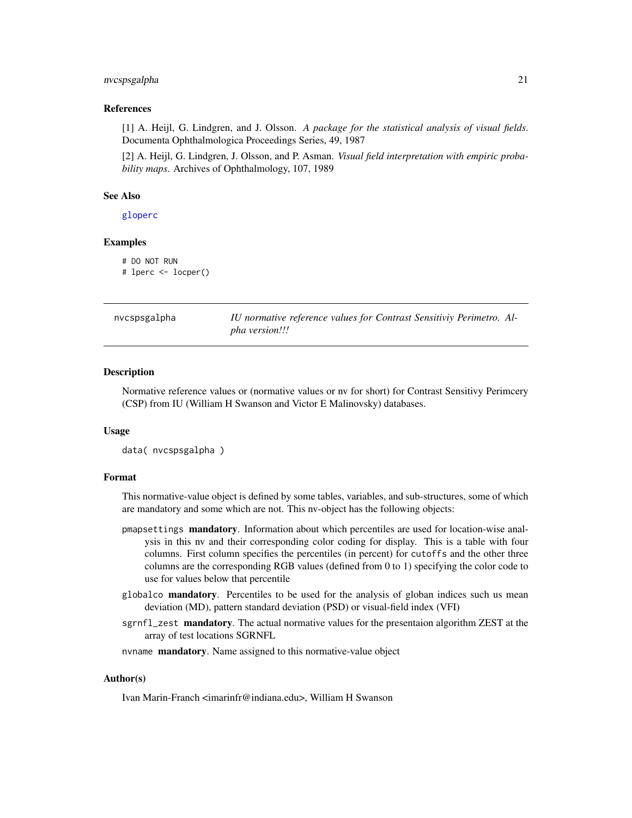#### <span id="page-20-0"></span>nvcspsgalpha 21

#### References

[1] A. Heijl, G. Lindgren, and J. Olsson. *A package for the statistical analysis of visual fields*. Documenta Ophthalmologica Proceedings Series, 49, 1987

[2] A. Heijl, G. Lindgren, J. Olsson, and P. Asman. *Visual field interpretation with empiric probability maps*. Archives of Ophthalmology, 107, 1989

#### See Also

[gloperc](#page-13-1)

#### Examples

```
# DO NOT RUN
```
# lperc <- locper()

| nvcspsgalpha | IU normative reference values for Contrast Sensitiviy Perimetro. Al- |
|--------------|----------------------------------------------------------------------|
|              | <i>pha version!!!</i>                                                |

#### Description

Normative reference values or (normative values or nv for short) for Contrast Sensitivy Perimcery (CSP) from IU (William H Swanson and Victor E Malinovsky) databases.

#### Usage

```
data( nvcspsgalpha )
```
#### Format

This normative-value object is defined by some tables, variables, and sub-structures, some of which are mandatory and some which are not. This nv-object has the following objects:

- pmapsettings **mandatory**. Information about which percentiles are used for location-wise analysis in this nv and their corresponding color coding for display. This is a table with four columns. First column specifies the percentiles (in percent) for cutoffs and the other three columns are the corresponding RGB values (defined from 0 to 1) specifying the color code to use for values below that percentile
- globalco mandatory. Percentiles to be used for the analysis of globan indices such us mean deviation (MD), pattern standard deviation (PSD) or visual-field index (VFI)
- sgrnfl\_zest mandatory. The actual normative values for the presentaion algorithm ZEST at the array of test locations SGRNFL
- nvname mandatory. Name assigned to this normative-value object

#### Author(s)

Ivan Marin-Franch <imarinfr@indiana.edu>, William H Swanson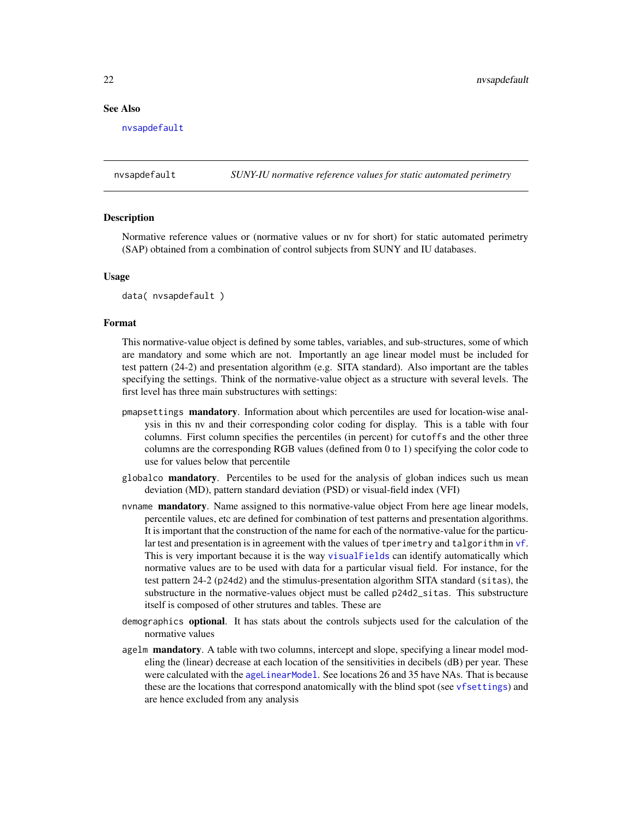#### <span id="page-21-0"></span>See Also

[nvsapdefault](#page-21-1)

<span id="page-21-1"></span>nvsapdefault *SUNY-IU normative reference values for static automated perimetry*

#### **Description**

Normative reference values or (normative values or nv for short) for static automated perimetry (SAP) obtained from a combination of control subjects from SUNY and IU databases.

#### Usage

data( nvsapdefault )

## Format

This normative-value object is defined by some tables, variables, and sub-structures, some of which are mandatory and some which are not. Importantly an age linear model must be included for test pattern (24-2) and presentation algorithm (e.g. SITA standard). Also important are the tables specifying the settings. Think of the normative-value object as a structure with several levels. The first level has three main substructures with settings:

- pmapsettings **mandatory**. Information about which percentiles are used for location-wise analysis in this nv and their corresponding color coding for display. This is a table with four columns. First column specifies the percentiles (in percent) for cutoffs and the other three columns are the corresponding RGB values (defined from 0 to 1) specifying the color code to use for values below that percentile
- globalco mandatory. Percentiles to be used for the analysis of globan indices such us mean deviation (MD), pattern standard deviation (PSD) or visual-field index (VFI)
- nvname **mandatory**. Name assigned to this normative-value object From here age linear models, percentile values, etc are defined for combination of test patterns and presentation algorithms. It is important that the construction of the name for each of the normative-value for the particular test and presentation is in agreement with the values of tperimetry and talgorithm in [vf](#page-56-1). This is very important because it is the way [visualFields](#page-2-1) can identify automatically which normative values are to be used with data for a particular visual field. For instance, for the test pattern 24-2 (p24d2) and the stimulus-presentation algorithm SITA standard (sitas), the substructure in the normative-values object must be called p24d2\_sitas. This substructure itself is composed of other strutures and tables. These are
- demographics optional. It has stats about the controls subjects used for the calculation of the normative values
- agelm mandatory. A table with two columns, intercept and slope, specifying a linear model modeling the (linear) decrease at each location of the sensitivities in decibels (dB) per year. These were calculated with the [ageLinearModel](#page-3-1). See locations 26 and 35 have NAs. That is because these are the locations that correspond anatomically with the blind spot (see [vfsettings](#page-66-1)) and are hence excluded from any analysis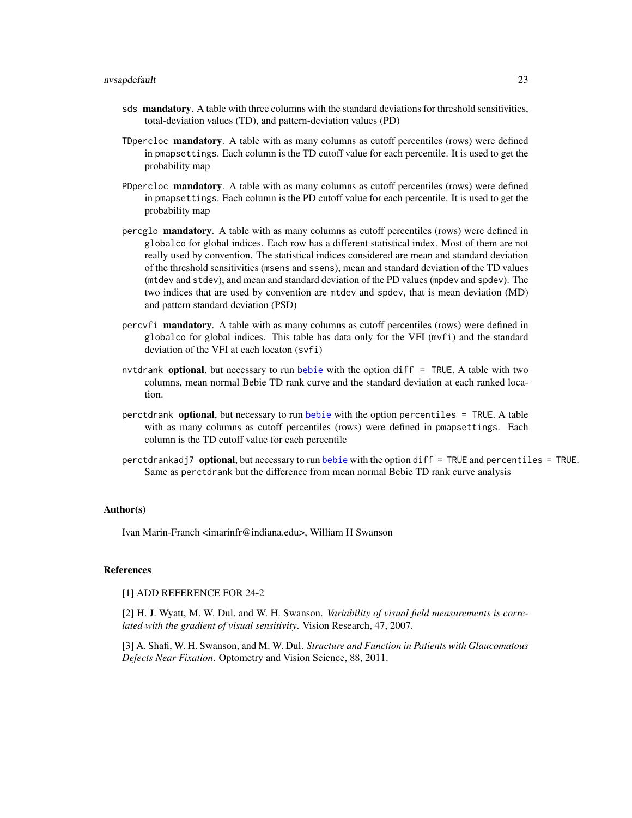- sds mandatory. A table with three columns with the standard deviations for threshold sensitivities, total-deviation values (TD), and pattern-deviation values (PD)
- TDpercloc mandatory. A table with as many columns as cutoff percentiles (rows) were defined in pmapsettings. Each column is the TD cutoff value for each percentile. It is used to get the probability map
- PDpercloc **mandatory**. A table with as many columns as cutoff percentiles (rows) were defined in pmapsettings. Each column is the PD cutoff value for each percentile. It is used to get the probability map
- percglo **mandatory**. A table with as many columns as cutoff percentiles (rows) were defined in globalco for global indices. Each row has a different statistical index. Most of them are not really used by convention. The statistical indices considered are mean and standard deviation of the threshold sensitivities (msens and ssens), mean and standard deviation of the TD values (mtdev and stdev), and mean and standard deviation of the PD values (mpdev and spdev). The two indices that are used by convention are mtdev and spdev, that is mean deviation (MD) and pattern standard deviation (PSD)
- percvfi mandatory. A table with as many columns as cutoff percentiles (rows) were defined in globalco for global indices. This table has data only for the VFI (mvfi) and the standard deviation of the VFI at each locaton (svfi)
- nvtdrank optional, but necessary to run [bebie](#page-5-1) with the option diff = TRUE. A table with two columns, mean normal Bebie TD rank curve and the standard deviation at each ranked location.
- perctdrank optional, but necessary to run [bebie](#page-5-1) with the option percentiles = TRUE. A table with as many columns as cutoff percentiles (rows) were defined in pmapsettings. Each column is the TD cutoff value for each percentile
- perctdrankadj7 optional, but necessary to run [bebie](#page-5-1) with the option diff = TRUE and percentiles = TRUE. Same as perctdrank but the difference from mean normal Bebie TD rank curve analysis

#### Author(s)

Ivan Marin-Franch <imarinfr@indiana.edu>, William H Swanson

#### References

[1] ADD REFERENCE FOR 24-2

[2] H. J. Wyatt, M. W. Dul, and W. H. Swanson. *Variability of visual field measurements is correlated with the gradient of visual sensitivity*. Vision Research, 47, 2007.

[3] A. Shafi, W. H. Swanson, and M. W. Dul. *Structure and Function in Patients with Glaucomatous Defects Near Fixation*. Optometry and Vision Science, 88, 2011.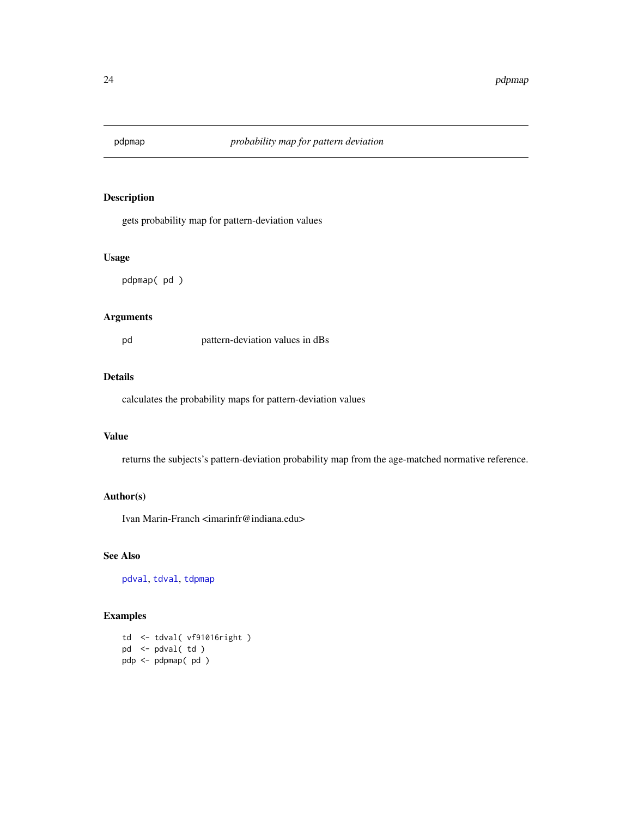<span id="page-23-1"></span><span id="page-23-0"></span>

gets probability map for pattern-deviation values

#### Usage

pdpmap( pd )

## Arguments

pd pattern-deviation values in dBs

## Details

calculates the probability maps for pattern-deviation values

## Value

returns the subjects's pattern-deviation probability map from the age-matched normative reference.

#### Author(s)

Ivan Marin-Franch <imarinfr@indiana.edu>

## See Also

[pdval](#page-25-1), [tdval](#page-42-1), [tdpmap](#page-36-1)

## Examples

td <- tdval( vf91016right ) pd <- pdval( td ) pdp <- pdpmap( pd )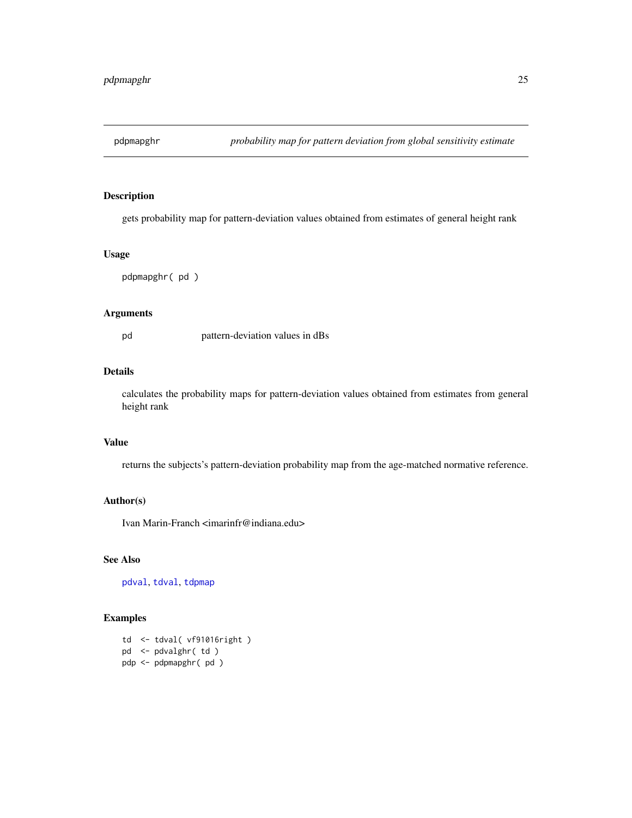<span id="page-24-1"></span><span id="page-24-0"></span>

gets probability map for pattern-deviation values obtained from estimates of general height rank

#### Usage

pdpmapghr( pd )

## Arguments

pd pattern-deviation values in dBs

## Details

calculates the probability maps for pattern-deviation values obtained from estimates from general height rank

## Value

returns the subjects's pattern-deviation probability map from the age-matched normative reference.

## Author(s)

Ivan Marin-Franch <imarinfr@indiana.edu>

## See Also

[pdval](#page-25-1), [tdval](#page-42-1), [tdpmap](#page-36-1)

#### Examples

td <- tdval( vf91016right ) pd <- pdvalghr( td ) pdp <- pdpmapghr( pd )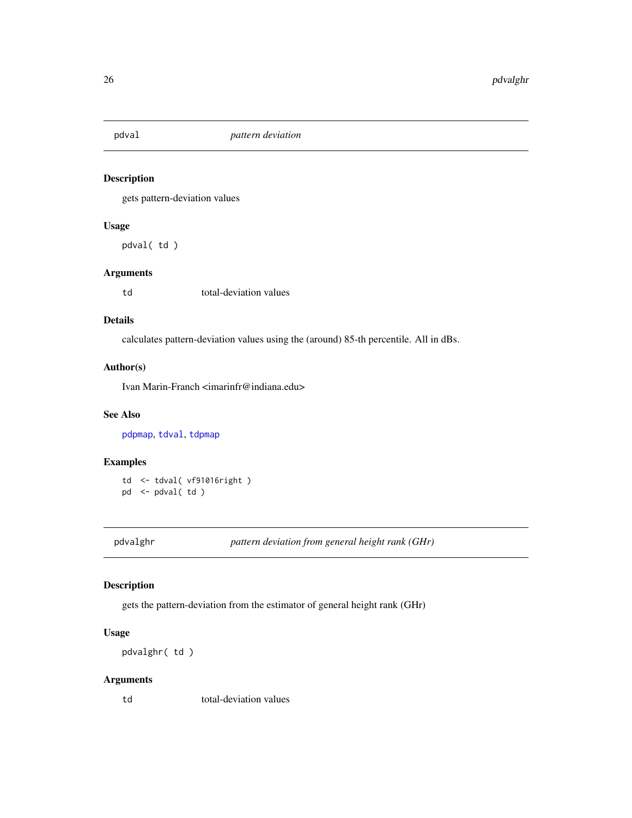<span id="page-25-1"></span><span id="page-25-0"></span>

gets pattern-deviation values

#### Usage

pdval( td )

## Arguments

td total-deviation values

#### Details

calculates pattern-deviation values using the (around) 85-th percentile. All in dBs.

#### Author(s)

Ivan Marin-Franch <imarinfr@indiana.edu>

## See Also

[pdpmap](#page-23-1), [tdval](#page-42-1), [tdpmap](#page-36-1)

## Examples

td <- tdval( vf91016right ) pd <- pdval( td )

pdvalghr *pattern deviation from general height rank (GHr)*

## Description

gets the pattern-deviation from the estimator of general height rank (GHr)

## Usage

pdvalghr( td )

## Arguments

td total-deviation values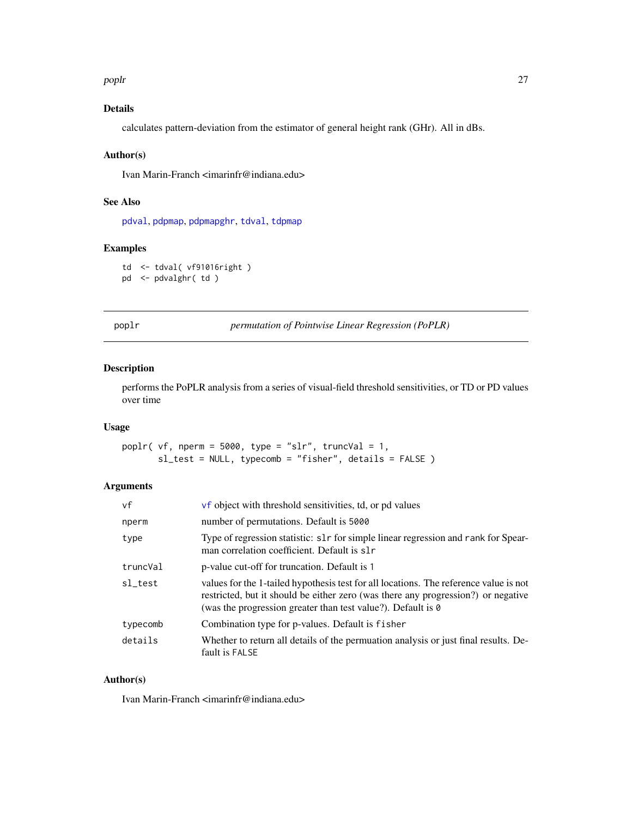<span id="page-26-0"></span>poplr and 27 and 27 and 27 and 27 and 27 and 27 and 27 and 27 and 27 and 27 and 27 and 27 and 27 and 27 and 27

## Details

calculates pattern-deviation from the estimator of general height rank (GHr). All in dBs.

#### Author(s)

Ivan Marin-Franch <imarinfr@indiana.edu>

#### See Also

[pdval](#page-25-1), [pdpmap](#page-23-1), [pdpmapghr](#page-24-1), [tdval](#page-42-1), [tdpmap](#page-36-1)

#### Examples

td <- tdval( vf91016right ) pd <- pdvalghr( td )

<span id="page-26-1"></span>poplr *permutation of Pointwise Linear Regression (PoPLR)*

## Description

performs the PoPLR analysis from a series of visual-field threshold sensitivities, or TD or PD values over time

#### Usage

poplr( vf, nperm =  $5000$ , type = "slr", truncVal = 1, sl\_test = NULL, typecomb = "fisher", details = FALSE )

## Arguments

| vf       | vf object with threshold sensitivities, td, or pd values                                                                                                                                                                                          |
|----------|---------------------------------------------------------------------------------------------------------------------------------------------------------------------------------------------------------------------------------------------------|
| nperm    | number of permutations. Default is 5000                                                                                                                                                                                                           |
| type     | Type of regression statistic: s1r for simple linear regression and rank for Spear-<br>man correlation coefficient. Default is slr                                                                                                                 |
| truncVal | p-value cut-off for truncation. Default is 1                                                                                                                                                                                                      |
| sl test  | values for the 1-tailed hypothesis test for all locations. The reference value is not<br>restricted, but it should be either zero (was there any progression?) or negative<br>(was the progression greater than test value?). Default is $\theta$ |
| typecomb | Combination type for p-values. Default is fisher                                                                                                                                                                                                  |
| details  | Whether to return all details of the permuation analysis or just final results. De-<br>fault is FALSE                                                                                                                                             |

## Author(s)

Ivan Marin-Franch <imarinfr@indiana.edu>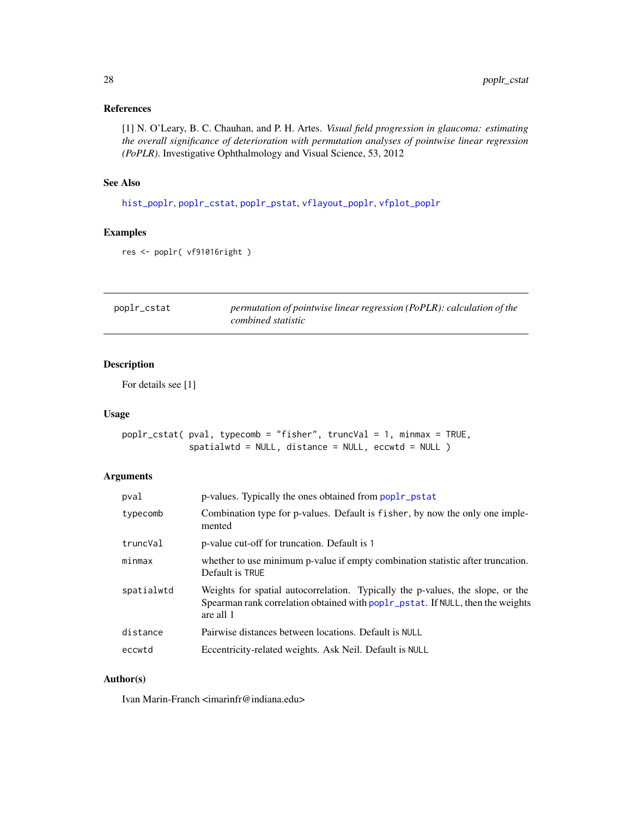## <span id="page-27-0"></span>References

[1] N. O'Leary, B. C. Chauhan, and P. H. Artes. *Visual field progression in glaucoma: estimating the overall significance of deterioration with permutation analyses of pointwise linear regression (PoPLR)*. Investigative Ophthalmology and Visual Science, 53, 2012

## See Also

[hist\\_poplr](#page-14-1), [poplr\\_cstat](#page-27-1), [poplr\\_pstat](#page-28-1), [vflayout\\_poplr](#page-54-1), [vfplot\\_poplr](#page-62-1)

### Examples

```
res <- poplr( vf91016right )
```
<span id="page-27-1"></span>

| poplr_cstat | permutation of pointwise linear regression (PoPLR): calculation of the |
|-------------|------------------------------------------------------------------------|
|             | combined statistic                                                     |

## Description

For details see [1]

#### Usage

```
poplr_cstat( pval, typecomb = "fisher", truncVal = 1, minmax = TRUE,
             spatialwtd = NULL, distance = NULL, eccwtd = NULL )
```
## Arguments

| pval       | p-values. Typically the ones obtained from poplr_pstat                                                                                                                        |
|------------|-------------------------------------------------------------------------------------------------------------------------------------------------------------------------------|
| typecomb   | Combination type for p-values. Default is fisher, by now the only one imple-<br>mented                                                                                        |
| truncVal   | p-value cut-off for truncation. Default is 1                                                                                                                                  |
| minmax     | whether to use minimum p-value if empty combination statistic after truncation.<br>Default is TRUE                                                                            |
| spatialwtd | Weights for spatial autocorrelation. Typically the p-values, the slope, or the<br>Spearman rank correlation obtained with poplr_pstat. If NULL, then the weights<br>are all 1 |
| distance   | Pairwise distances between locations. Default is NULL                                                                                                                         |
| eccwtd     | Eccentricity-related weights. Ask Neil. Default is NULL                                                                                                                       |

#### Author(s)

Ivan Marin-Franch <imarinfr@indiana.edu>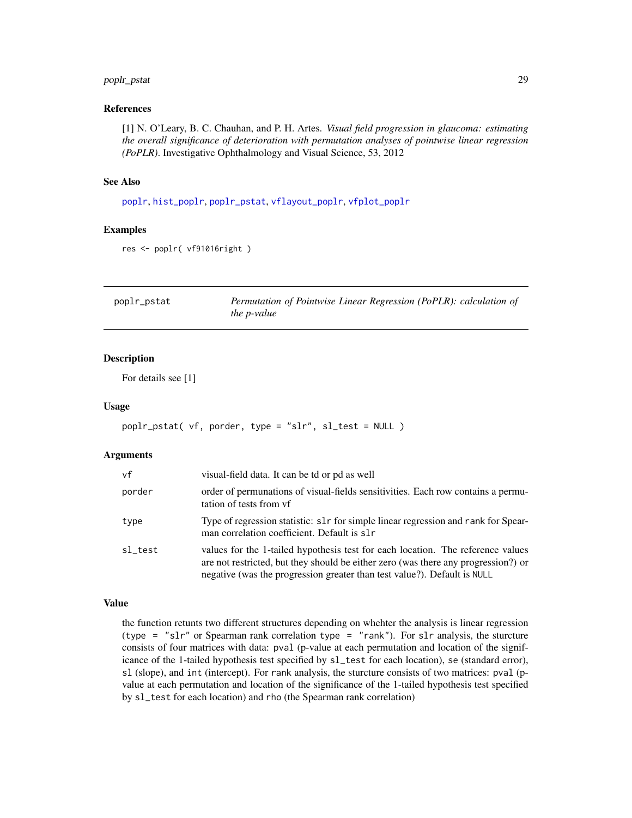## <span id="page-28-0"></span>poplr\_pstat 29

#### References

[1] N. O'Leary, B. C. Chauhan, and P. H. Artes. *Visual field progression in glaucoma: estimating the overall significance of deterioration with permutation analyses of pointwise linear regression (PoPLR)*. Investigative Ophthalmology and Visual Science, 53, 2012

## See Also

[poplr](#page-26-1), [hist\\_poplr](#page-14-1), [poplr\\_pstat](#page-28-1), [vflayout\\_poplr](#page-54-1), [vfplot\\_poplr](#page-62-1)

#### Examples

```
res <- poplr( vf91016right )
```
<span id="page-28-1"></span>

| poplr_pstat | Permutation of Pointwise Linear Regression (PoPLR): calculation of |
|-------------|--------------------------------------------------------------------|
|             | <i>the p-value</i>                                                 |

## Description

For details see [1]

#### Usage

```
poplr_pstat( vf, porder, type = "slr", sl_test = NULL )
```
#### Arguments

| vf      | visual-field data. It can be td or pd as well                                                                                                                                                                                                     |
|---------|---------------------------------------------------------------------------------------------------------------------------------------------------------------------------------------------------------------------------------------------------|
| porder  | order of permunations of visual-fields sensitivities. Each row contains a permu-<br>tation of tests from yf                                                                                                                                       |
| type    | Type of regression statistic: slr for simple linear regression and rank for Spear-<br>man correlation coefficient. Default is slr                                                                                                                 |
| sl_test | values for the 1-tailed hypothesis test for each location. The reference values<br>are not restricted, but they should be either zero (was there any progression?) or<br>negative (was the progression greater than test value?). Default is NULL |

#### Value

the function retunts two different structures depending on whehter the analysis is linear regression (type = "slr" or Spearman rank correlation type = "rank"). For slr analysis, the sturcture consists of four matrices with data: pval (p-value at each permutation and location of the significance of the 1-tailed hypothesis test specified by sl\_test for each location), se (standard error), sl (slope), and int (intercept). For rank analysis, the sturcture consists of two matrices: pval (pvalue at each permutation and location of the significance of the 1-tailed hypothesis test specified by sl\_test for each location) and rho (the Spearman rank correlation)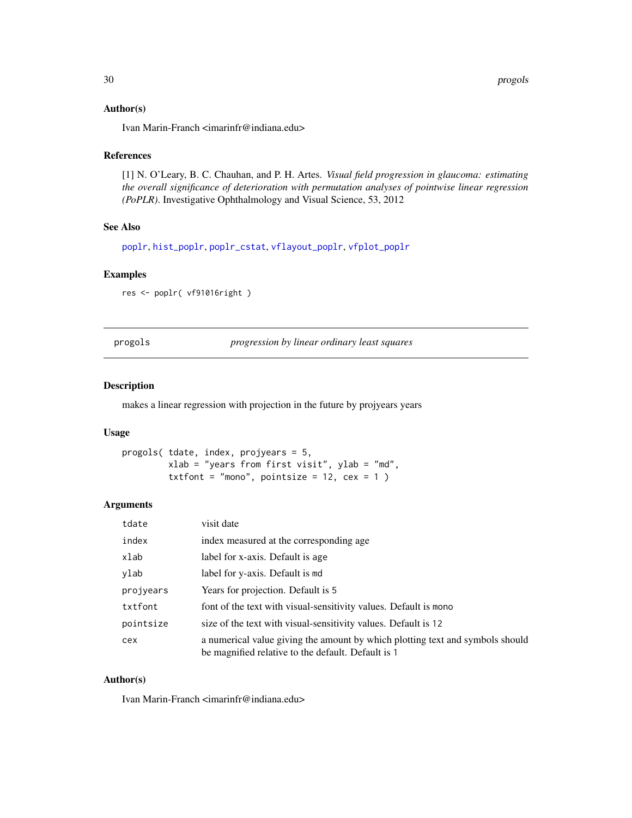#### <span id="page-29-0"></span>Author(s)

Ivan Marin-Franch <imarinfr@indiana.edu>

#### References

[1] N. O'Leary, B. C. Chauhan, and P. H. Artes. *Visual field progression in glaucoma: estimating the overall significance of deterioration with permutation analyses of pointwise linear regression (PoPLR)*. Investigative Ophthalmology and Visual Science, 53, 2012

## See Also

[poplr](#page-26-1), [hist\\_poplr](#page-14-1), [poplr\\_cstat](#page-27-1), [vflayout\\_poplr](#page-54-1), [vfplot\\_poplr](#page-62-1)

#### Examples

res <- poplr( vf91016right )

progols *progression by linear ordinary least squares*

#### Description

makes a linear regression with projection in the future by projyears years

#### Usage

```
progols( tdate, index, projyears = 5,
         xlab = "years from first visit", ylab = "md",
         txtfont = "mono", pointsize = 12, cex = 1)
```
## Arguments

| tdate     | visit date                                                                                                                          |
|-----------|-------------------------------------------------------------------------------------------------------------------------------------|
| index     | index measured at the corresponding age.                                                                                            |
| xlab      | label for x-axis. Default is age                                                                                                    |
| ylab      | label for y-axis. Default is md                                                                                                     |
| projyears | Years for projection. Default is 5                                                                                                  |
| txtfont   | font of the text with visual-sensitivity values. Default is mono                                                                    |
| pointsize | size of the text with visual-sensitivity values. Default is 12                                                                      |
| cex       | a numerical value giving the amount by which plotting text and symbols should<br>be magnified relative to the default. Default is 1 |

#### Author(s)

Ivan Marin-Franch <imarinfr@indiana.edu>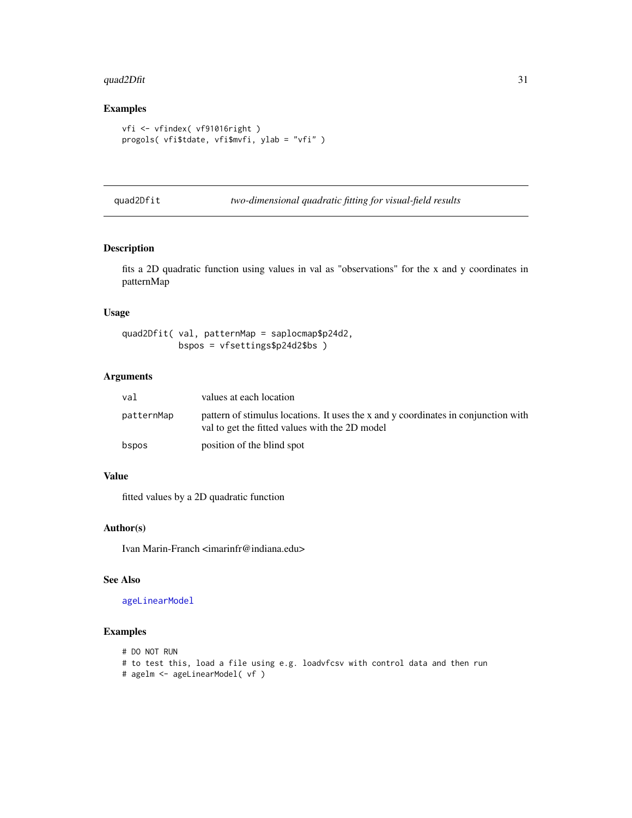#### <span id="page-30-0"></span>quad $2D$ fit  $31$

## Examples

```
vfi <- vfindex( vf91016right )
progols( vfi$tdate, vfi$mvfi, ylab = "vfi" )
```
- 
- <span id="page-30-1"></span>quad2Dfit *two-dimensional quadratic fitting for visual-field results*

## Description

fits a 2D quadratic function using values in val as "observations" for the x and y coordinates in patternMap

## Usage

```
quad2Dfit( val, patternMap = saplocmap$p24d2,
           bspos = vfsettings$p24d2$bs )
```
## Arguments

| val        | values at each location                                                                                                              |
|------------|--------------------------------------------------------------------------------------------------------------------------------------|
| patternMap | pattern of stimulus locations. It uses the x and y coordinates in conjunction with<br>val to get the fitted values with the 2D model |
| bspos      | position of the blind spot                                                                                                           |

## Value

fitted values by a 2D quadratic function

## Author(s)

Ivan Marin-Franch <imarinfr@indiana.edu>

## See Also

[ageLinearModel](#page-3-1)

## Examples

```
# DO NOT RUN
```
# to test this, load a file using e.g. loadvfcsv with control data and then run

# agelm <- ageLinearModel( vf )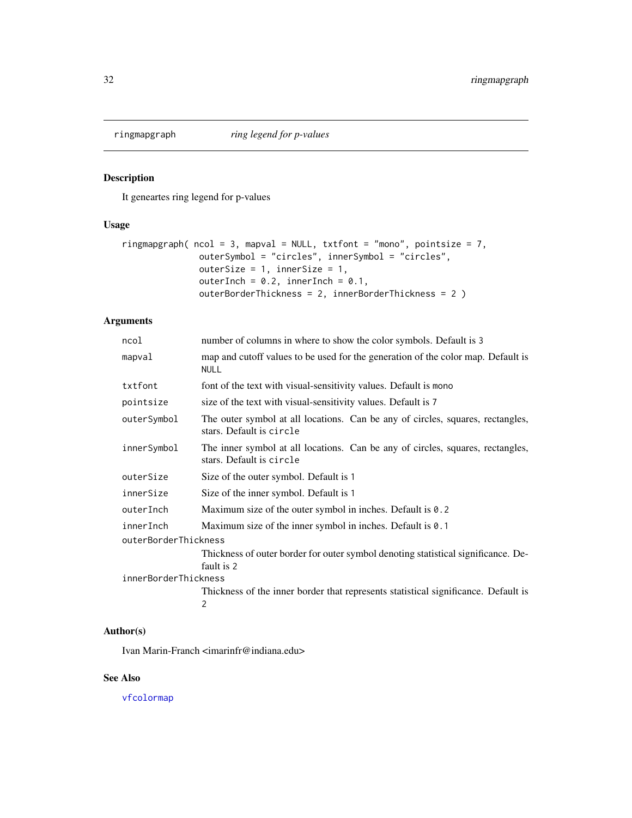<span id="page-31-0"></span>

It geneartes ring legend for p-values

## Usage

```
ringmapgraph( ncol = 3, mapval = NULL, txtfont = "mono", pointsize = 7,
               outerSymbol = "circles", innerSymbol = "circles",
              outerSize = 1, innerSize = 1,
              outerInch = 0.2, innerInch = 0.1,
              outerBorderThickness = 2, innerBorderThickness = 2 )
```
## Arguments

| ncol                 | number of columns in where to show the color symbols. Default is 3                                         |
|----------------------|------------------------------------------------------------------------------------------------------------|
| mapval               | map and cutoff values to be used for the generation of the color map. Default is<br><b>NULL</b>            |
| txtfont              | font of the text with visual-sensitivity values. Default is mono                                           |
| pointsize            | size of the text with visual-sensitivity values. Default is 7                                              |
| outerSymbol          | The outer symbol at all locations. Can be any of circles, squares, rectangles,<br>stars. Default is circle |
| innerSymbol          | The inner symbol at all locations. Can be any of circles, squares, rectangles,<br>stars. Default is circle |
| outerSize            | Size of the outer symbol. Default is 1                                                                     |
| innerSize            | Size of the inner symbol. Default is 1                                                                     |
| outerInch            | Maximum size of the outer symbol in inches. Default is $0.2$                                               |
| innerInch            | Maximum size of the inner symbol in inches. Default is 0.1                                                 |
| outerBorderThickness |                                                                                                            |
|                      | Thickness of outer border for outer symbol denoting statistical significance. De-<br>fault is 2            |
| innerBorderThickness |                                                                                                            |
|                      | Thickness of the inner border that represents statistical significance. Default is<br>2                    |

## Author(s)

Ivan Marin-Franch <imarinfr@indiana.edu>

#### See Also

[vfcolormap](#page-44-1)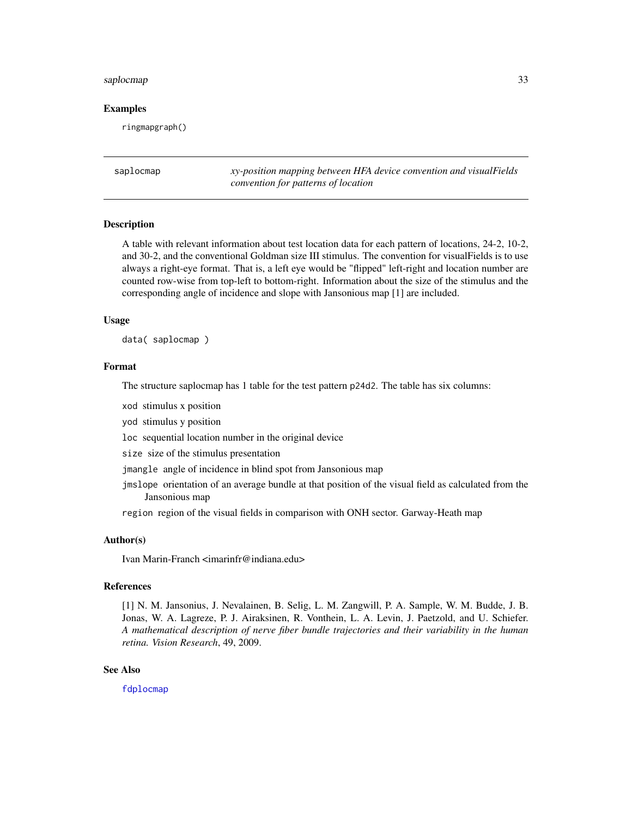#### <span id="page-32-0"></span>saplocmap 33

#### Examples

ringmapgraph()

<span id="page-32-1"></span>saplocmap *xy-position mapping between HFA device convention and visualFields convention for patterns of location*

#### **Description**

A table with relevant information about test location data for each pattern of locations, 24-2, 10-2, and 30-2, and the conventional Goldman size III stimulus. The convention for visualFields is to use always a right-eye format. That is, a left eye would be "flipped" left-right and location number are counted row-wise from top-left to bottom-right. Information about the size of the stimulus and the corresponding angle of incidence and slope with Jansonious map [1] are included.

#### Usage

data( saplocmap )

#### Format

The structure saplocmap has 1 table for the test pattern p24d2. The table has six columns:

xod stimulus x position

yod stimulus y position

loc sequential location number in the original device

size size of the stimulus presentation

jmangle angle of incidence in blind spot from Jansonious map

jmslope orientation of an average bundle at that position of the visual field as calculated from the Jansonious map

region region of the visual fields in comparison with ONH sector. Garway-Heath map

## Author(s)

Ivan Marin-Franch <imarinfr@indiana.edu>

#### References

[1] N. M. Jansonius, J. Nevalainen, B. Selig, L. M. Zangwill, P. A. Sample, W. M. Budde, J. B. Jonas, W. A. Lagreze, P. J. Airaksinen, R. Vonthein, L. A. Levin, J. Paetzold, and U. Schiefer. *A mathematical description of nerve fiber bundle trajectories and their variability in the human retina. Vision Research*, 49, 2009.

#### See Also

[fdplocmap](#page-9-1)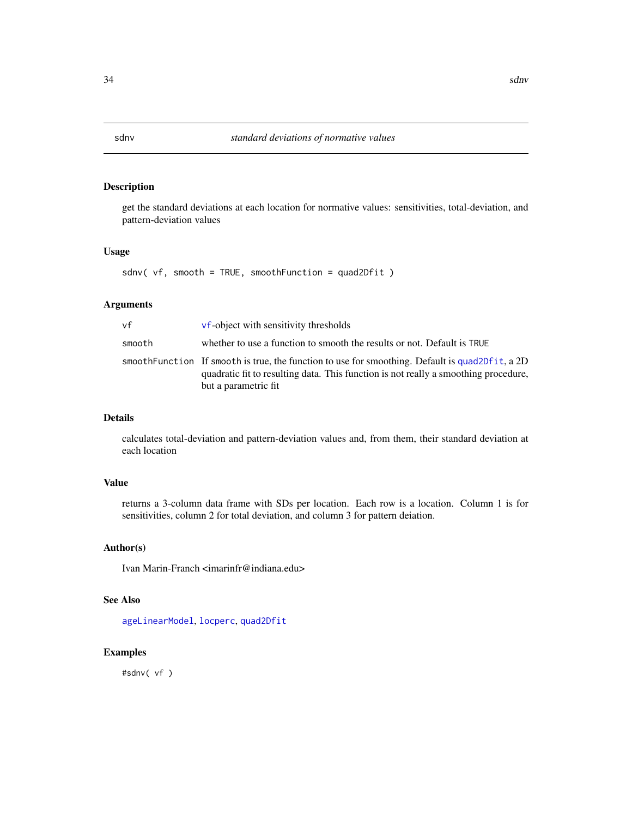get the standard deviations at each location for normative values: sensitivities, total-deviation, and pattern-deviation values

## Usage

sdnv( vf, smooth = TRUE, smoothFunction = quad2Dfit )

## Arguments

| vf     | <b>vf-object with sensitivity thresholds</b>                                                                                                                                                                     |
|--------|------------------------------------------------------------------------------------------------------------------------------------------------------------------------------------------------------------------|
| smooth | whether to use a function to smooth the results or not. Default is TRUE                                                                                                                                          |
|        | smooth Function If smooth is true, the function to use for smoothing. Default is quad2Dfit, a 2D<br>quadratic fit to resulting data. This function is not really a smoothing procedure,<br>but a parametric fit. |

#### Details

calculates total-deviation and pattern-deviation values and, from them, their standard deviation at each location

## Value

returns a 3-column data frame with SDs per location. Each row is a location. Column 1 is for sensitivities, column 2 for total deviation, and column 3 for pattern deiation.

#### Author(s)

Ivan Marin-Franch <imarinfr@indiana.edu>

#### See Also

[ageLinearModel](#page-3-1), [locperc](#page-19-1), [quad2Dfit](#page-30-1)

## Examples

#sdnv( vf )

<span id="page-33-1"></span><span id="page-33-0"></span>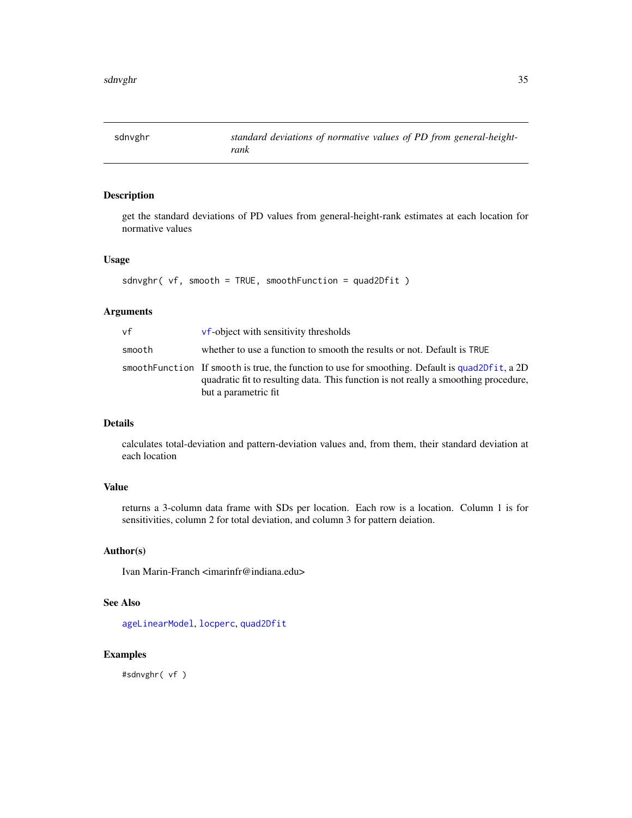<span id="page-34-0"></span>

get the standard deviations of PD values from general-height-rank estimates at each location for normative values

## Usage

```
sdnvghr( vf, smooth = TRUE, smoothFunction = quad2Dfit )
```
#### Arguments

| vf     | <b>vf-object with sensitivity thresholds</b>                                                                                                                                                                     |
|--------|------------------------------------------------------------------------------------------------------------------------------------------------------------------------------------------------------------------|
| smooth | whether to use a function to smooth the results or not. Default is TRUE                                                                                                                                          |
|        | smooth Function If smooth is true, the function to use for smoothing. Default is quad2Dfit, a 2D<br>quadratic fit to resulting data. This function is not really a smoothing procedure,<br>but a parametric fit. |

#### Details

calculates total-deviation and pattern-deviation values and, from them, their standard deviation at each location

## Value

returns a 3-column data frame with SDs per location. Each row is a location. Column 1 is for sensitivities, column 2 for total deviation, and column 3 for pattern deiation.

## Author(s)

Ivan Marin-Franch <imarinfr@indiana.edu>

## See Also

[ageLinearModel](#page-3-1), [locperc](#page-19-1), [quad2Dfit](#page-30-1)

## Examples

#sdnvghr( vf )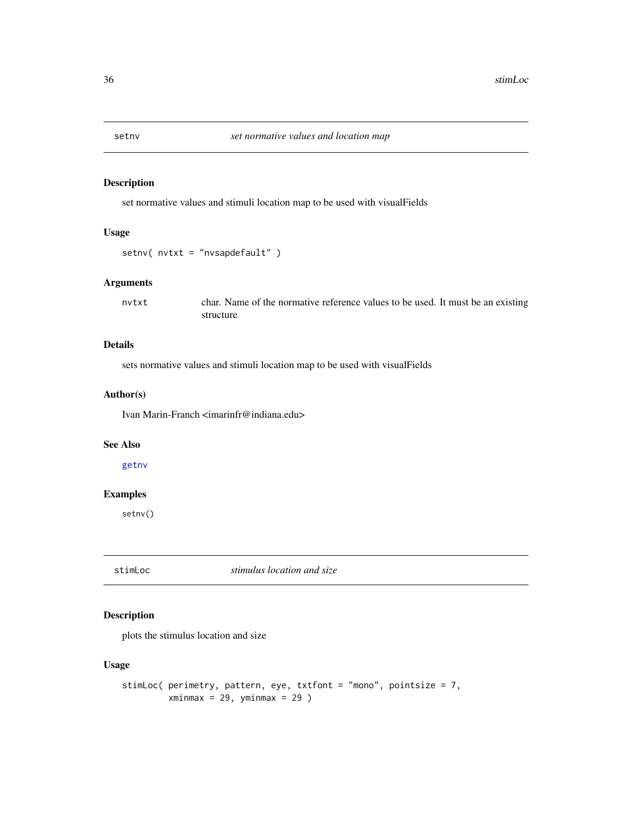<span id="page-35-1"></span><span id="page-35-0"></span>

set normative values and stimuli location map to be used with visualFields

## Usage

```
setnv( nvtxt = "nvsapdefault" )
```
#### Arguments

nvtxt char. Name of the normative reference values to be used. It must be an existing structure

## Details

sets normative values and stimuli location map to be used with visualFields

#### Author(s)

Ivan Marin-Franch <imarinfr@indiana.edu>

#### See Also

[getnv](#page-10-2)

## Examples

setnv()

stimLoc *stimulus location and size*

## Description

plots the stimulus location and size

## Usage

```
stimLoc( perimetry, pattern, eye, txtfont = "mono", pointsize = 7,
        xminmax = 29, yminmax = 29)
```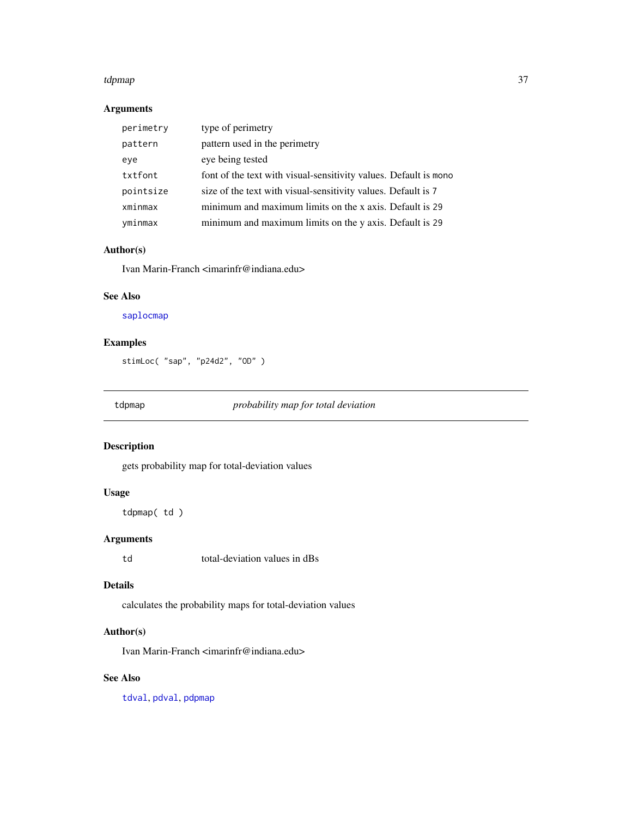#### tdpmap 37

# Arguments

| perimetry | type of perimetry                                                  |
|-----------|--------------------------------------------------------------------|
| pattern   | pattern used in the perimetry                                      |
| eye       | eye being tested                                                   |
| txtfont   | font of the text with visual-sensitivity values. Default is monor- |
| pointsize | size of the text with visual-sensitivity values. Default is 7      |
| xminmax   | minimum and maximum limits on the x axis. Default is 29            |
| yminmax   | minimum and maximum limits on the y axis. Default is 29            |

# Author(s)

Ivan Marin-Franch <imarinfr@indiana.edu>

# See Also

[saplocmap](#page-32-0)

# Examples

stimLoc( "sap", "p24d2", "OD" )

<span id="page-36-0"></span>tdpmap *probability map for total deviation*

# Description

gets probability map for total-deviation values

## Usage

tdpmap( td )

# Arguments

td total-deviation values in dBs

# Details

calculates the probability maps for total-deviation values

## Author(s)

Ivan Marin-Franch <imarinfr@indiana.edu>

# See Also

[tdval](#page-42-0), [pdval](#page-25-0), [pdpmap](#page-23-0)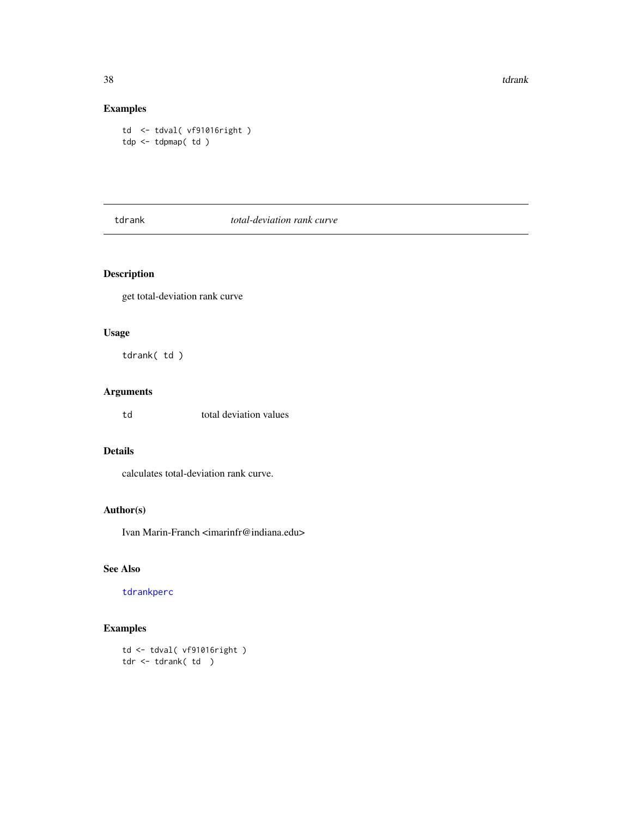38 tdrank to the control of the control of the control of the control of the control of the control of the control of the control of the control of the control of the control of the control of the control of the control of

# Examples

td <- tdval( vf91016right ) tdp <- tdpmap( td )

<span id="page-37-0"></span>tdrank *total-deviation rank curve*

# Description

get total-deviation rank curve

# Usage

tdrank( td )

# Arguments

td total deviation values

# Details

calculates total-deviation rank curve.

# Author(s)

Ivan Marin-Franch <imarinfr@indiana.edu>

# See Also

[tdrankperc](#page-41-0)

# Examples

td <- tdval( vf91016right ) tdr <- tdrank( td )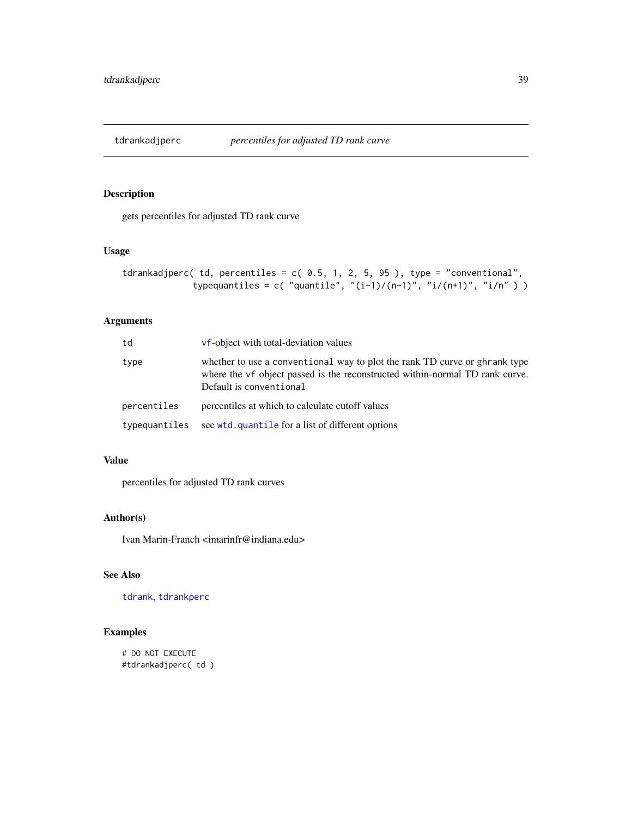gets percentiles for adjusted TD rank curve

# Usage

```
tdrankadjperc( td, percentiles = c( 0.5, 1, 2, 5, 95), type = "conventional",
             typequantiles = c( "quantile", "(i-1)/(n-1)", "i/(n+1)", "i/n" ) )
```
## Arguments

| td            | <b>vf-object</b> with total-deviation values                                                                                                                                          |
|---------------|---------------------------------------------------------------------------------------------------------------------------------------------------------------------------------------|
| type          | whether to use a conventional way to plot the rank TD curve or ghrank type<br>where the vf object passed is the reconstructed within-normal TD rank curve.<br>Default is conventional |
| percentiles   | percentiles at which to calculate cutoff values                                                                                                                                       |
| typequantiles | see wtd. quantile for a list of different options                                                                                                                                     |

## Value

percentiles for adjusted TD rank curves

## Author(s)

Ivan Marin-Franch <imarinfr@indiana.edu>

# See Also

[tdrank](#page-37-0), [tdrankperc](#page-41-0)

# Examples

# DO NOT EXECUTE #tdrankadjperc( td )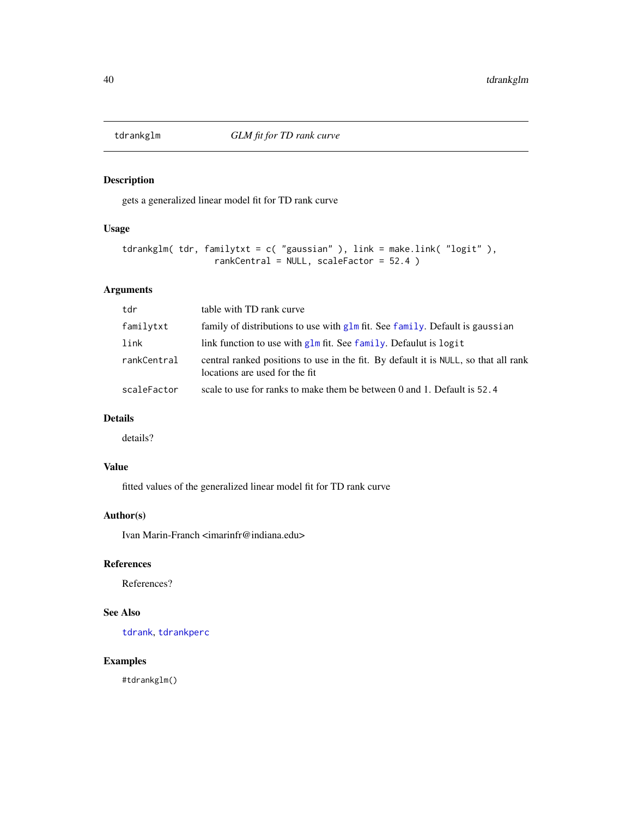<span id="page-39-0"></span>

gets a generalized linear model fit for TD rank curve

## Usage

```
tdrankglm( tdr, familytxt = c( "gaussian" ), link = make.link( "logit" ),
                  rankCentral = NULL, scaleFactor = 52.4 )
```
# Arguments

| tdr         | table with TD rank curve                                                                                              |
|-------------|-----------------------------------------------------------------------------------------------------------------------|
| familytxt   | family of distributions to use with $g/m$ fit. See family. Default is gaussian                                        |
| link        | link function to use with glm fit. See family. Defaulut is logit                                                      |
| rankCentral | central ranked positions to use in the fit. By default it is NULL, so that all rank<br>locations are used for the fit |
| scaleFactor | scale to use for ranks to make them be between 0 and 1. Default is $52.4$                                             |

## Details

details?

# Value

fitted values of the generalized linear model fit for TD rank curve

## Author(s)

Ivan Marin-Franch <imarinfr@indiana.edu>

# References

References?

# See Also

[tdrank](#page-37-0), [tdrankperc](#page-41-0)

# Examples

#tdrankglm()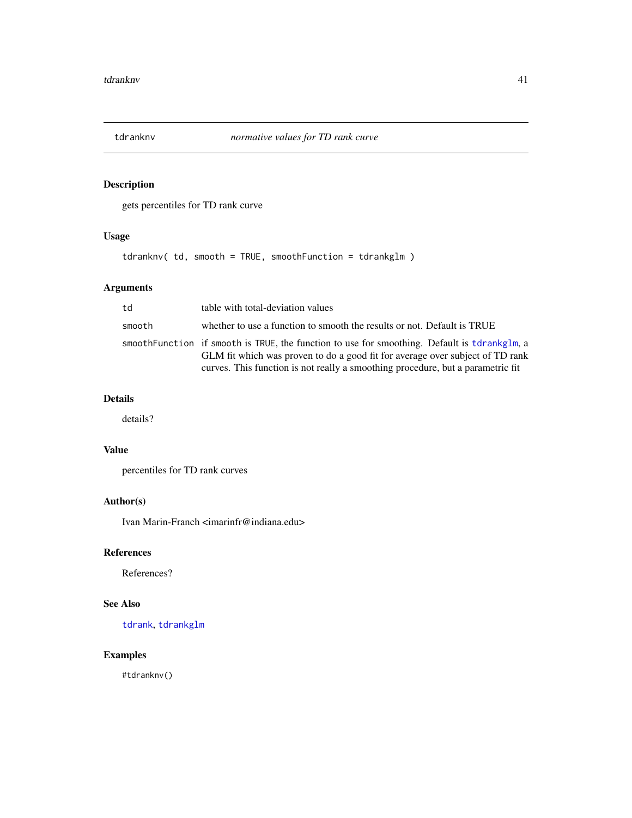gets percentiles for TD rank curve

# Usage

tdranknv( td, smooth = TRUE, smoothFunction = tdrankglm )

# Arguments

| td     | table with total-deviation values                                                                                                                                                                                                                                 |
|--------|-------------------------------------------------------------------------------------------------------------------------------------------------------------------------------------------------------------------------------------------------------------------|
| smooth | whether to use a function to smooth the results or not. Default is TRUE                                                                                                                                                                                           |
|        | smooth Function if smooth is TRUE, the function to use for smoothing. Default is tdrankglm, a<br>GLM fit which was proven to do a good fit for average over subject of TD rank<br>curves. This function is not really a smoothing procedure, but a parametric fit |

# Details

details?

#### Value

percentiles for TD rank curves

# Author(s)

Ivan Marin-Franch <imarinfr@indiana.edu>

# References

References?

# See Also

[tdrank](#page-37-0), [tdrankglm](#page-39-0)

# Examples

#tdranknv()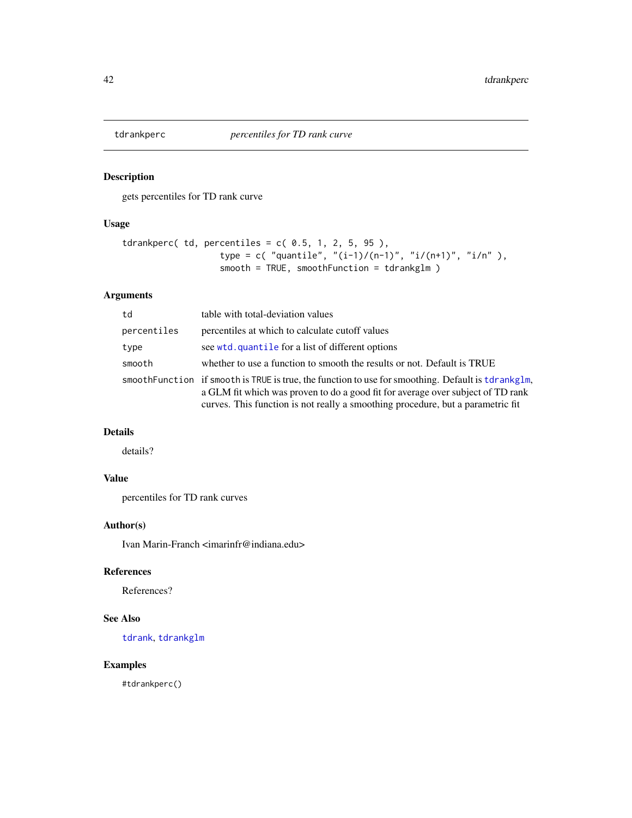<span id="page-41-0"></span>

gets percentiles for TD rank curve

# Usage

```
tdrankperc( td, percentiles = c( 0.5, 1, 2, 5, 95),
                  type = c( "quantile", "(i-1)/(n-1)", "i/(n+1)", "i/n"),
                  smooth = TRUE, smoothFunction = tdrankglm )
```
# Arguments

| td          | table with total-deviation values                                                                                                                                                                                                                                         |
|-------------|---------------------------------------------------------------------------------------------------------------------------------------------------------------------------------------------------------------------------------------------------------------------------|
| percentiles | percentiles at which to calculate cutoff values                                                                                                                                                                                                                           |
| type        | see wtd. quantile for a list of different options                                                                                                                                                                                                                         |
| smooth      | whether to use a function to smooth the results or not. Default is TRUE                                                                                                                                                                                                   |
|             | smooth Function if smooth is TRUE is true, the function to use for smoothing. Default is tdrankglm,<br>a GLM fit which was proven to do a good fit for average over subject of TD rank<br>curves. This function is not really a smoothing procedure, but a parametric fit |

# Details

details?

# Value

percentiles for TD rank curves

# Author(s)

Ivan Marin-Franch <imarinfr@indiana.edu>

# References

References?

#### See Also

[tdrank](#page-37-0), [tdrankglm](#page-39-0)

## Examples

#tdrankperc()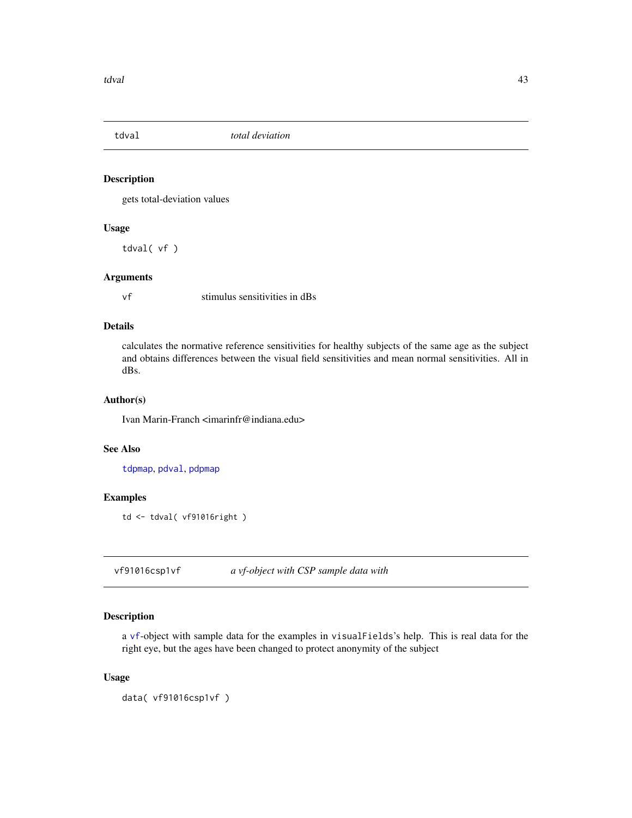<span id="page-42-0"></span>

gets total-deviation values

## Usage

tdval( vf )

#### Arguments

vf stimulus sensitivities in dBs

# Details

calculates the normative reference sensitivities for healthy subjects of the same age as the subject and obtains differences between the visual field sensitivities and mean normal sensitivities. All in dBs.

## Author(s)

Ivan Marin-Franch <imarinfr@indiana.edu>

# See Also

[tdpmap](#page-36-0), [pdval](#page-25-0), [pdpmap](#page-23-0)

## Examples

```
td <- tdval( vf91016right )
```
vf91016csp1vf *a vf-object with CSP sample data with*

#### Description

a [vf](#page-56-0)-object with sample data for the examples in visualFields's help. This is real data for the right eye, but the ages have been changed to protect anonymity of the subject

#### Usage

```
data( vf91016csp1vf )
```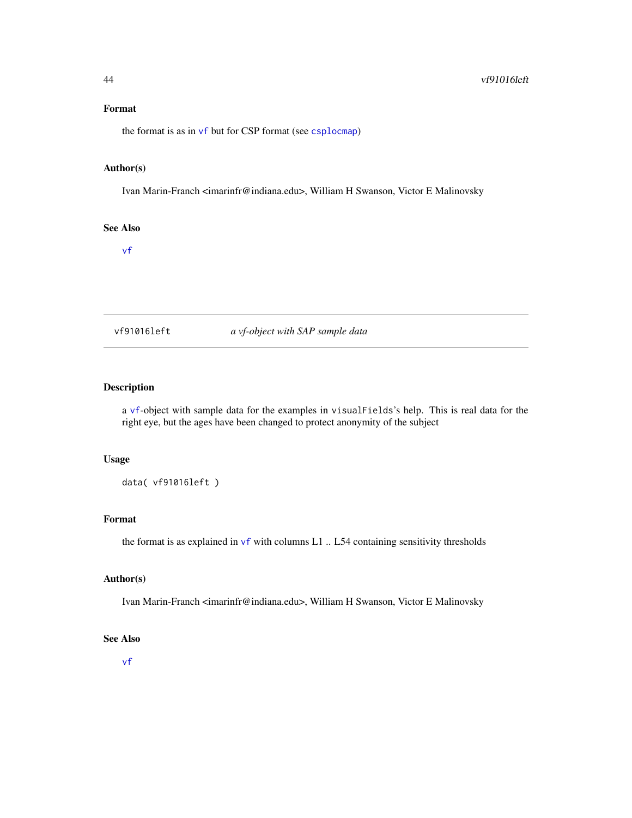## Format

the format is as in  $\vee$ f but for CSP format (see [csplocmap](#page-8-0))

### Author(s)

Ivan Marin-Franch <imarinfr@indiana.edu>, William H Swanson, Victor E Malinovsky

# See Also

[vf](#page-56-0)

vf91016left *a vf-object with SAP sample data*

# Description

a [vf](#page-56-0)-object with sample data for the examples in visualFields's help. This is real data for the right eye, but the ages have been changed to protect anonymity of the subject

# Usage

data( vf91016left )

## Format

the format is as explained in  $\mathsf{v}\mathsf{f}$  with columns L1 .. L54 containing sensitivity thresholds

## Author(s)

Ivan Marin-Franch <imarinfr@indiana.edu>, William H Swanson, Victor E Malinovsky

# See Also

[vf](#page-56-0)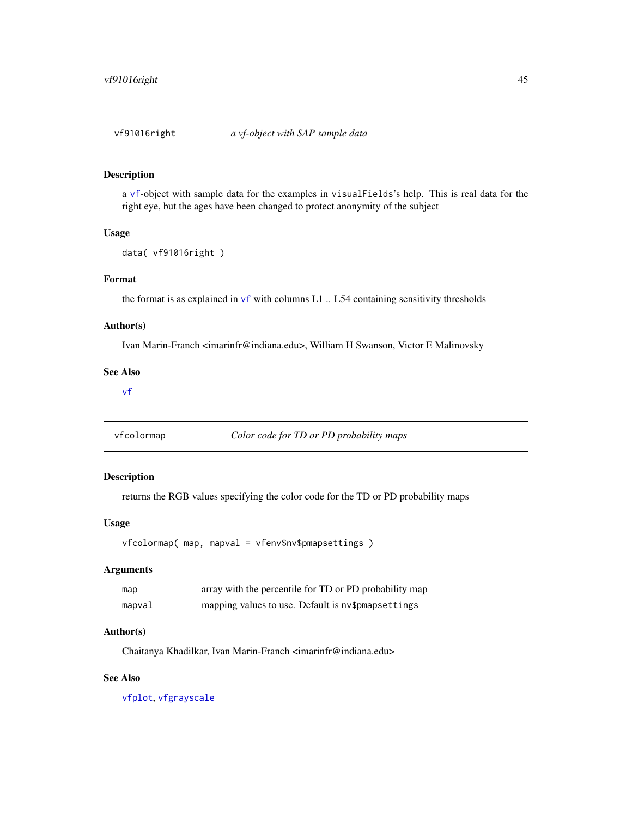a [vf](#page-56-0)-object with sample data for the examples in visualFields's help. This is real data for the right eye, but the ages have been changed to protect anonymity of the subject

# Usage

```
data( vf91016right )
```
## Format

the format is as explained in  $\vee$  f with columns L1  $\ldots$  L54 containing sensitivity thresholds

#### Author(s)

Ivan Marin-Franch <imarinfr@indiana.edu>, William H Swanson, Victor E Malinovsky

#### See Also

[vf](#page-56-0)

<span id="page-44-0"></span>vfcolormap *Color code for TD or PD probability maps*

# Description

returns the RGB values specifying the color code for the TD or PD probability maps

#### Usage

vfcolormap( map, mapval = vfenv\$nv\$pmapsettings )

## Arguments

| map    | array with the percentile for TD or PD probability map |
|--------|--------------------------------------------------------|
| mapval | mapping values to use. Default is nv\$pmapsettings     |

#### Author(s)

Chaitanya Khadilkar, Ivan Marin-Franch <imarinfr@indiana.edu>

#### See Also

[vfplot](#page-58-0), [vfgrayscale](#page-46-0)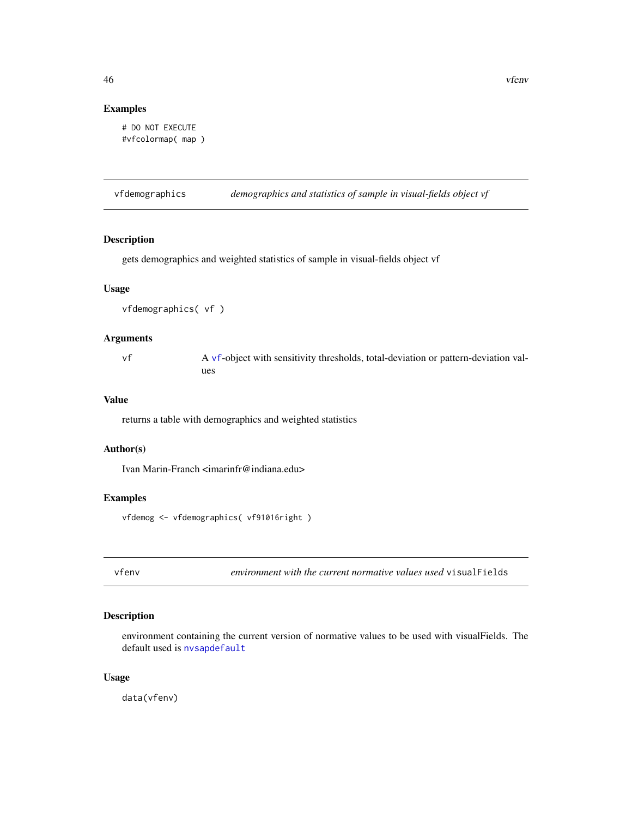# Examples

```
# DO NOT EXECUTE
#vfcolormap( map )
```
vfdemographics *demographics and statistics of sample in visual-fields object vf*

# Description

gets demographics and weighted statistics of sample in visual-fields object vf

# Usage

vfdemographics( vf )

### Arguments

vf A [vf](#page-56-0)-object with sensitivity thresholds, total-deviation or pattern-deviation values

# Value

returns a table with demographics and weighted statistics

## Author(s)

Ivan Marin-Franch <imarinfr@indiana.edu>

#### Examples

vfdemog <- vfdemographics( vf91016right )

vfenv *environment with the current normative values used* visualFields

## Description

environment containing the current version of normative values to be used with visualFields. The default used is [nvsapdefault](#page-21-0)

# Usage

data(vfenv)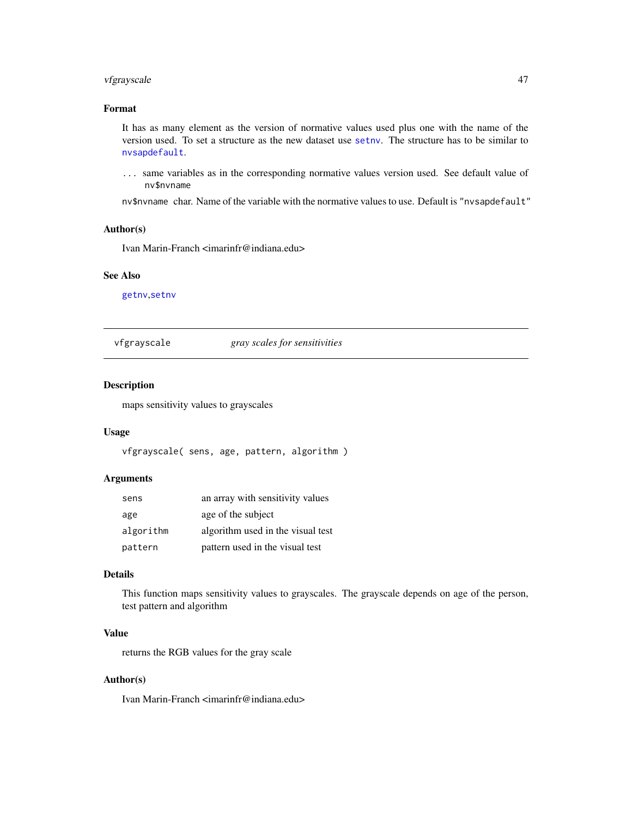# vfgrayscale 47

# Format

It has as many element as the version of normative values used plus one with the name of the version used. To set a structure as the new dataset use [setnv](#page-35-0). The structure has to be similar to [nvsapdefault](#page-21-0).

... same variables as in the corresponding normative values version used. See default value of nv\$nvname

nv\$nvname char. Name of the variable with the normative values to use. Default is "nvsapdefault"

#### Author(s)

Ivan Marin-Franch <imarinfr@indiana.edu>

#### See Also

[getnv](#page-10-0),[setnv](#page-35-0)

<span id="page-46-0"></span>vfgrayscale *gray scales for sensitivities*

## Description

maps sensitivity values to grayscales

## Usage

vfgrayscale( sens, age, pattern, algorithm )

## Arguments

| sens      | an array with sensitivity values  |
|-----------|-----------------------------------|
| age       | age of the subject                |
| algorithm | algorithm used in the visual test |
| pattern   | pattern used in the visual test   |

# Details

This function maps sensitivity values to grayscales. The grayscale depends on age of the person, test pattern and algorithm

# Value

returns the RGB values for the gray scale

# Author(s)

Ivan Marin-Franch <imarinfr@indiana.edu>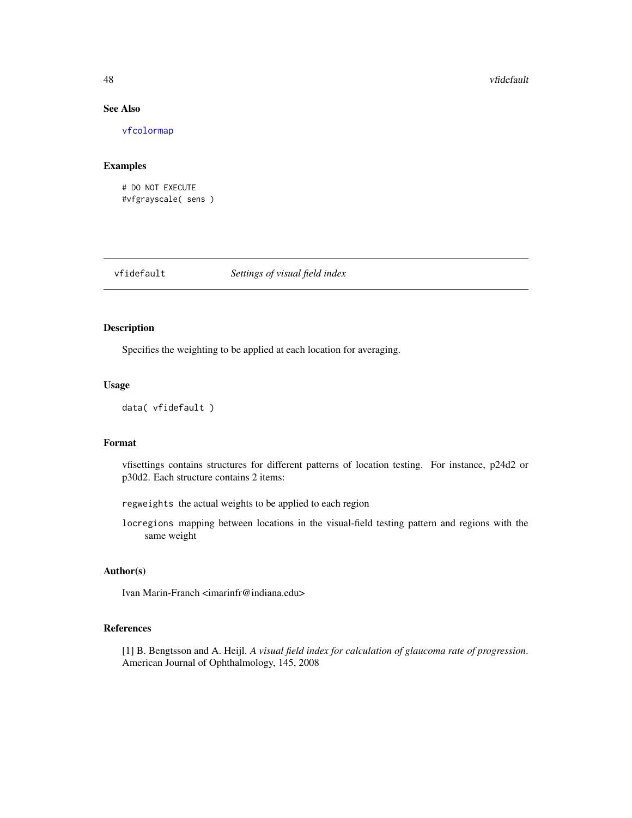# See Also

[vfcolormap](#page-44-0)

#### Examples

# DO NOT EXECUTE #vfgrayscale( sens )

vfidefault *Settings of visual field index*

## Description

Specifies the weighting to be applied at each location for averaging.

## Usage

```
data( vfidefault )
```
# Format

vfisettings contains structures for different patterns of location testing. For instance, p24d2 or p30d2. Each structure contains 2 items:

regweights the actual weights to be applied to each region

locregions mapping between locations in the visual-field testing pattern and regions with the same weight

# Author(s)

Ivan Marin-Franch <imarinfr@indiana.edu>

# References

[1] B. Bengtsson and A. Heijl. *A visual field index for calculation of glaucoma rate of progression*. American Journal of Ophthalmology, 145, 2008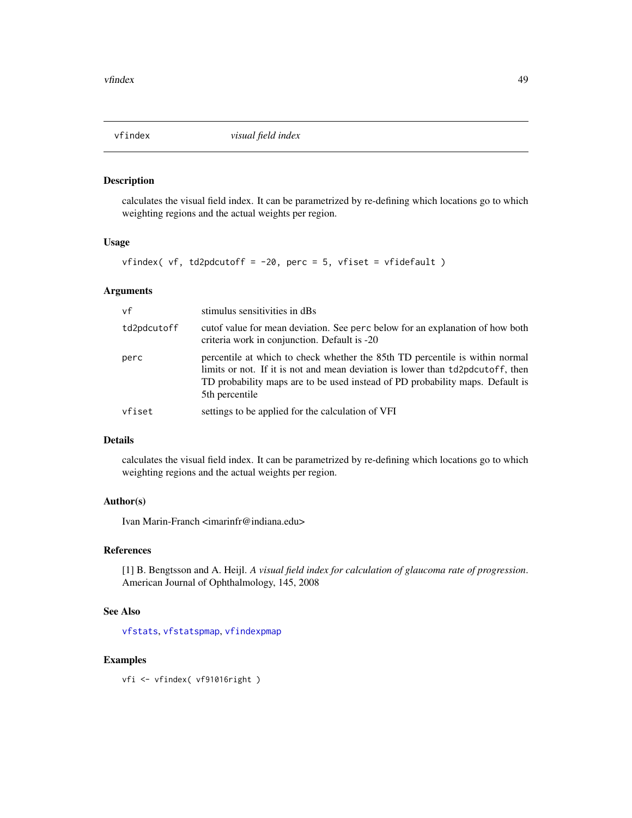<span id="page-48-0"></span>

calculates the visual field index. It can be parametrized by re-defining which locations go to which weighting regions and the actual weights per region.

## Usage

```
vfindex( vf, td2pdcutoff = -20, perc = 5, vfiset = vfidefault )
```
## Arguments

| vf          | stimulus sensitivities in dBs                                                                                                                                                                                                                                     |
|-------------|-------------------------------------------------------------------------------------------------------------------------------------------------------------------------------------------------------------------------------------------------------------------|
| td2pdcutoff | cutof value for mean deviation. See perc below for an explanation of how both<br>criteria work in conjunction. Default is -20                                                                                                                                     |
| perc        | percentile at which to check whether the 85th TD percentile is within normal<br>limits or not. If it is not and mean deviation is lower than td2pdcutoff, then<br>TD probability maps are to be used instead of PD probability maps. Default is<br>5th percentile |
| vfiset      | settings to be applied for the calculation of VFI                                                                                                                                                                                                                 |

## Details

calculates the visual field index. It can be parametrized by re-defining which locations go to which weighting regions and the actual weights per region.

#### Author(s)

Ivan Marin-Franch <imarinfr@indiana.edu>

# References

[1] B. Bengtsson and A. Heijl. *A visual field index for calculation of glaucoma rate of progression*. American Journal of Ophthalmology, 145, 2008

# See Also

[vfstats](#page-68-0), [vfstatspmap](#page-69-0), [vfindexpmap](#page-49-0)

## Examples

vfi <- vfindex( vf91016right )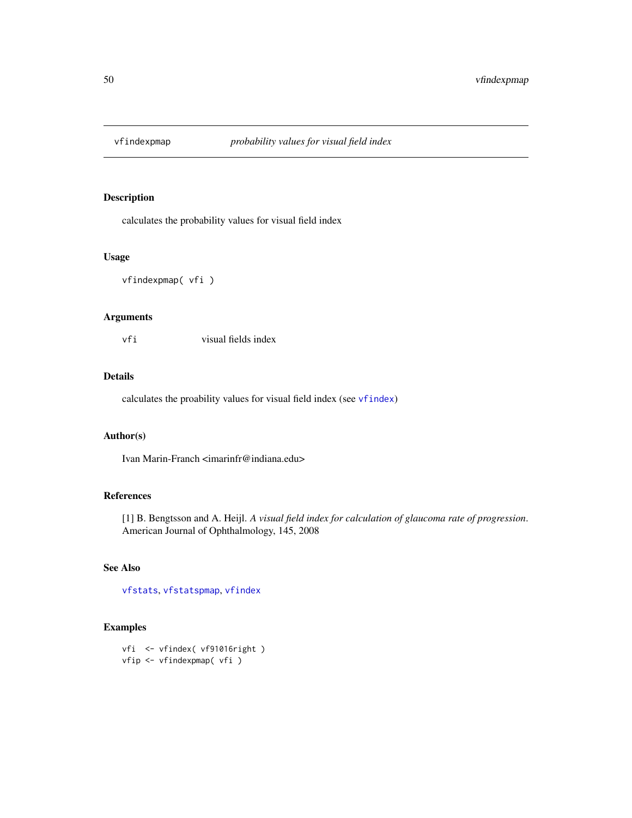<span id="page-49-0"></span>

calculates the probability values for visual field index

## Usage

vfindexpmap( vfi )

## Arguments

vfi visual fields index

## Details

calculates the proability values for visual field index (see [vfindex](#page-48-0))

## Author(s)

Ivan Marin-Franch <imarinfr@indiana.edu>

## References

[1] B. Bengtsson and A. Heijl. *A visual field index for calculation of glaucoma rate of progression*. American Journal of Ophthalmology, 145, 2008

# See Also

[vfstats](#page-68-0), [vfstatspmap](#page-69-0), [vfindex](#page-48-0)

```
vfi <- vfindex( vf91016right )
vfip <- vfindexpmap( vfi )
```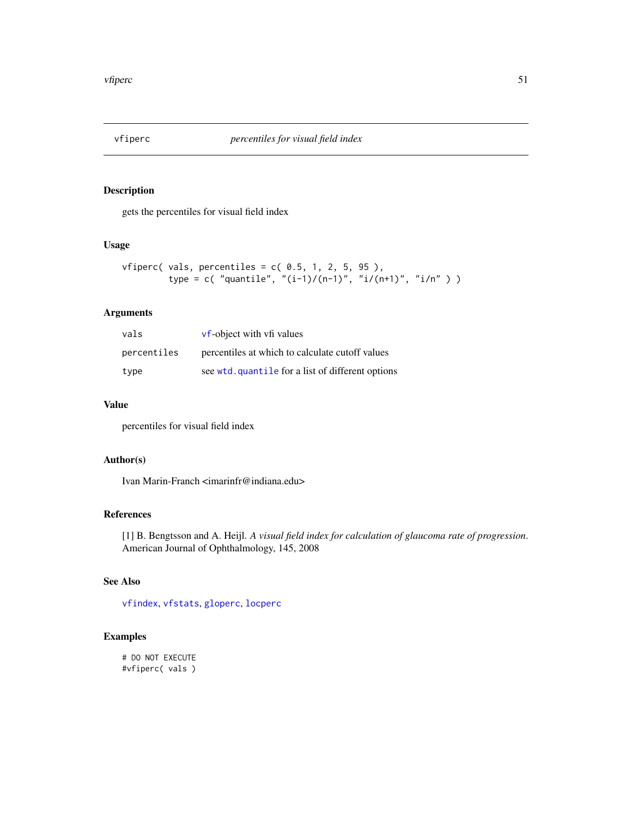gets the percentiles for visual field index

## Usage

```
vfiperc( vals, percentiles = c( 0.5, 1, 2, 5, 95),
         type = c( "quantile", "(i-1)/(n-1)", "i/(n+1)", "i/n" ) )
```
# Arguments

| vals        | vf-object with vfi values                         |
|-------------|---------------------------------------------------|
| percentiles | percentiles at which to calculate cutoff values   |
| type        | see wtd. quantile for a list of different options |

# Value

percentiles for visual field index

# Author(s)

Ivan Marin-Franch <imarinfr@indiana.edu>

#### References

[1] B. Bengtsson and A. Heijl. *A visual field index for calculation of glaucoma rate of progression*. American Journal of Ophthalmology, 145, 2008

## See Also

[vfindex](#page-48-0), [vfstats](#page-68-0), [gloperc](#page-13-0), [locperc](#page-19-0)

```
# DO NOT EXECUTE
#vfiperc( vals )
```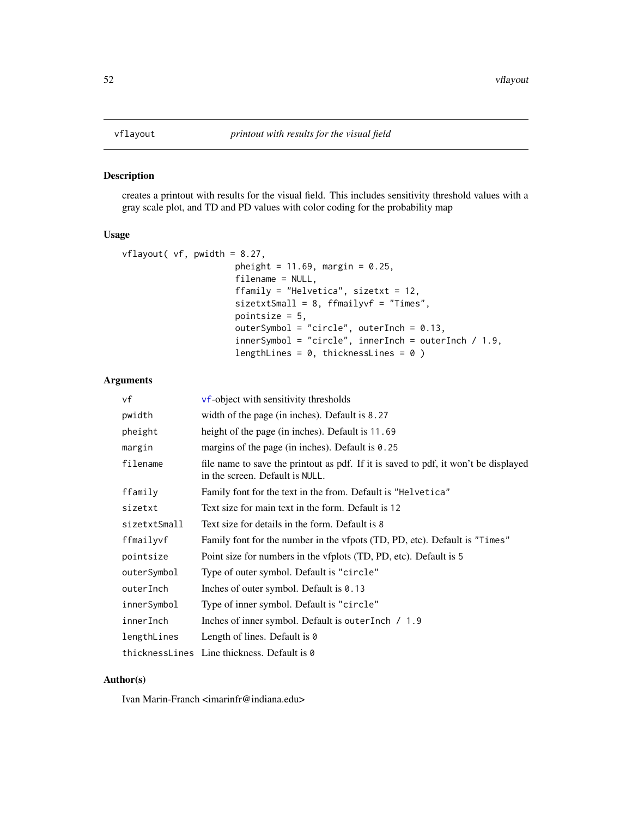<span id="page-51-0"></span>creates a printout with results for the visual field. This includes sensitivity threshold values with a gray scale plot, and TD and PD values with color coding for the probability map

#### Usage

```
vflayout( vf, pwidth = 8.27,
                      pheight = 11.69, margin = 0.25,
                      filename = NULL,
                      ffamily = "Helvetica", sizetxt = 12,
                      sizetxtSmall = 8, ffmailyvf = "Times",
                      pointsize = 5,
                      outerSymbol = "circle", outerInch = 0.13,
                      innerSymbol = "circle", innerInch = outerInch / 1.9,
                      lengthLines = 0, thicknessLines = 0)
```
# Arguments

| vf           | <b>vf-object</b> with sensitivity thresholds                                                                           |
|--------------|------------------------------------------------------------------------------------------------------------------------|
| pwidth       | width of the page (in inches). Default is 8.27                                                                         |
| pheight      | height of the page (in inches). Default is 11.69                                                                       |
| margin       | margins of the page (in inches). Default is $0.25$                                                                     |
| filename     | file name to save the printout as pdf. If it is saved to pdf, it won't be displayed<br>in the screen. Default is NULL. |
| ffamily      | Family font for the text in the from. Default is "Helvetica"                                                           |
| sizetxt      | Text size for main text in the form. Default is 12                                                                     |
| sizetxtSmall | Text size for details in the form. Default is 8                                                                        |
| ffmailyvf    | Family font for the number in the vfpots (TD, PD, etc). Default is "Times"                                             |
| pointsize    | Point size for numbers in the vfplots (TD, PD, etc). Default is 5                                                      |
| outerSymbol  | Type of outer symbol. Default is "circle"                                                                              |
| outerInch    | Inches of outer symbol. Default is $0.13$                                                                              |
| innerSymbol  | Type of inner symbol. Default is "circle"                                                                              |
| innerInch    | Inches of inner symbol. Default is outer Inch / 1.9                                                                    |
| lengthLines  | Length of lines. Default is $\theta$                                                                                   |
|              | thicknessLines Line thickness. Default is 0                                                                            |

# Author(s)

Ivan Marin-Franch <imarinfr@indiana.edu>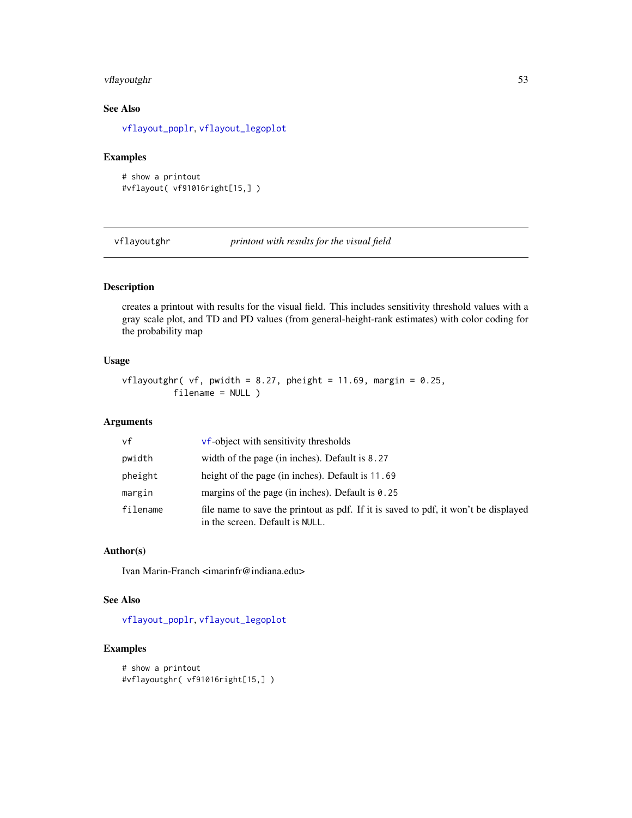# vflayoutghr 53

# See Also

[vflayout\\_poplr](#page-54-0), [vflayout\\_legoplot](#page-53-0)

#### Examples

```
# show a printout
#vflayout( vf91016right[15,] )
```
vflayoutghr *printout with results for the visual field*

# Description

creates a printout with results for the visual field. This includes sensitivity threshold values with a gray scale plot, and TD and PD values (from general-height-rank estimates) with color coding for the probability map

# Usage

vflayoutghr( vf, pwidth =  $8.27$ , pheight =  $11.69$ , margin =  $0.25$ , filename = NULL )

# Arguments

| vf       | <b>vf-object</b> with sensitivity thresholds                                                                           |
|----------|------------------------------------------------------------------------------------------------------------------------|
| pwidth   | width of the page (in inches). Default is 8.27                                                                         |
| pheight  | height of the page (in inches). Default is 11.69                                                                       |
| margin   | margins of the page (in inches). Default is $0.25$                                                                     |
| filename | file name to save the printout as pdf. If it is saved to pdf, it won't be displayed<br>in the screen. Default is NULL. |

# Author(s)

Ivan Marin-Franch <imarinfr@indiana.edu>

#### See Also

[vflayout\\_poplr](#page-54-0), [vflayout\\_legoplot](#page-53-0)

```
# show a printout
#vflayoutghr( vf91016right[15,] )
```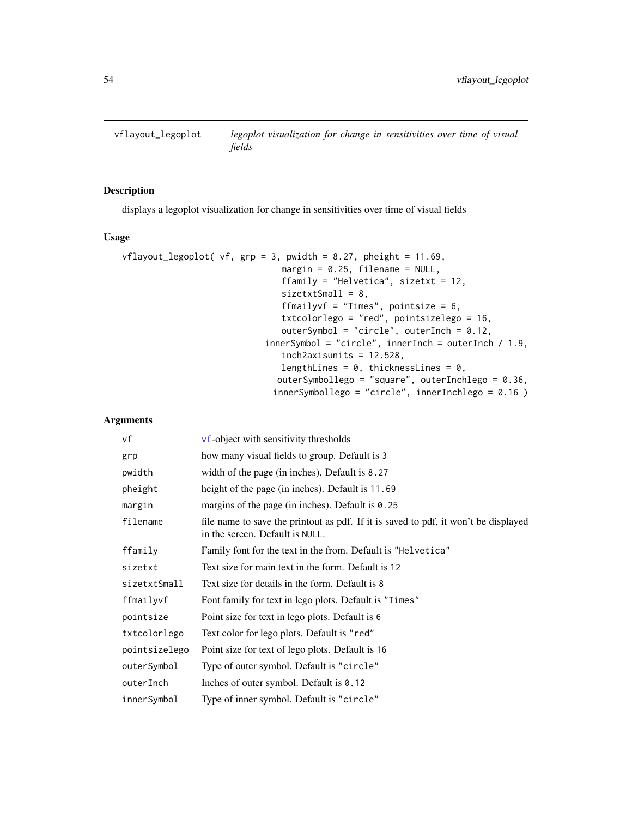<span id="page-53-0"></span>

displays a legoplot visualization for change in sensitivities over time of visual fields

# Usage

```
vflagout_length( vf, grp = 3, pwidth = 8.27, pheight = 11.69,margin = 0.25, filename = NULL,
                               ffamily = "Helvetica", sizetxt = 12,
                               sizetxtSmall = 8,
                               ffmailyvf = "Times", pointsize = 6,
                               txtcolorlego = "red", pointsizelego = 16,
                               outerSymbol = "circle", outerInch = 0.12,
                            innerSymbol = "circle", innerInch = outerInch / 1.9,inch2axisunits = 12.528,
                               lengthLines = 0, thicknessLines = 0,
                              outerSymbollego = "square", outerInchlego = 0.36,
                             innerSymbollego = "circle", innerInchlego = 0.16 )
```
# Arguments

| vf            | vf-object with sensitivity thresholds                                                                                  |
|---------------|------------------------------------------------------------------------------------------------------------------------|
| grp           | how many visual fields to group. Default is 3                                                                          |
| pwidth        | width of the page (in inches). Default is 8.27                                                                         |
| pheight       | height of the page (in inches). Default is 11.69                                                                       |
| margin        | margins of the page (in inches). Default is $0.25$                                                                     |
| filename      | file name to save the printout as pdf. If it is saved to pdf, it won't be displayed<br>in the screen. Default is NULL. |
| ffamily       | Family font for the text in the from. Default is "Helvetica"                                                           |
| sizetxt       | Text size for main text in the form. Default is 12                                                                     |
| sizetxtSmall  | Text size for details in the form. Default is 8                                                                        |
| ffmailyvf     | Font family for text in lego plots. Default is "Times"                                                                 |
| pointsize     | Point size for text in lego plots. Default is 6                                                                        |
| txtcolorlego  | Text color for lego plots. Default is "red"                                                                            |
| pointsizelego | Point size for text of lego plots. Default is 16                                                                       |
| outerSymbol   | Type of outer symbol. Default is "circle"                                                                              |
| outerInch     | Inches of outer symbol. Default is $0.12$                                                                              |
| innerSymbol   | Type of inner symbol. Default is "circle"                                                                              |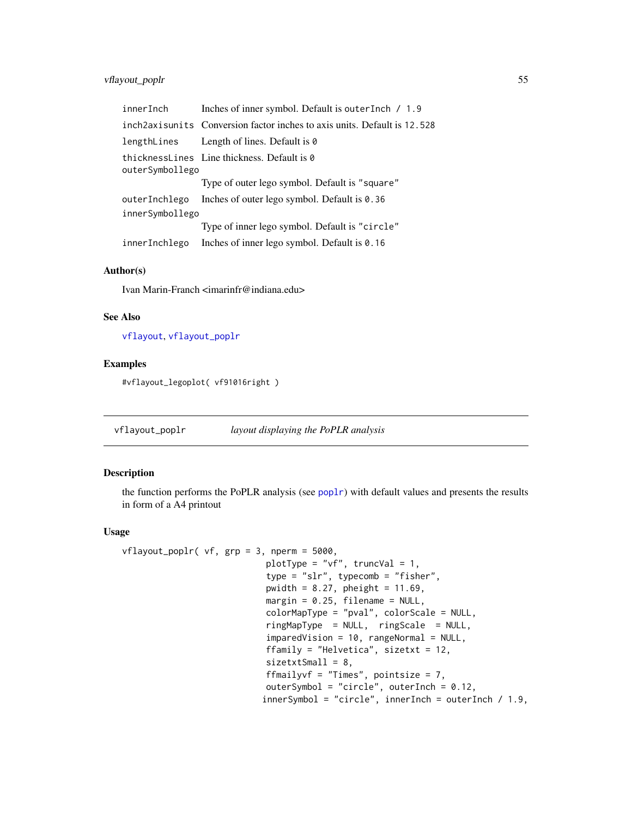# vflayout\_poplr 55

| innerInch       | Inches of inner symbol. Default is outer Inch / 1.9                         |  |
|-----------------|-----------------------------------------------------------------------------|--|
|                 | inch 2 axis units Conversion factor inches to axis units. Default is 12.528 |  |
| lengthLines     | Length of lines. Default is 0                                               |  |
| outerSymbollego | thicknessLines Line thickness. Default is 0                                 |  |
|                 | Type of outer lego symbol. Default is "square"                              |  |
| outerInchlego   | Inches of outer lego symbol. Default is $0.36$                              |  |
| innerSymbollego |                                                                             |  |
|                 | Type of inner lego symbol. Default is "circle"                              |  |
| innerInchlego   | Inches of inner lego symbol. Default is $0.16$                              |  |

#### Author(s)

Ivan Marin-Franch <imarinfr@indiana.edu>

## See Also

[vflayout](#page-51-0), [vflayout\\_poplr](#page-54-0)

# Examples

#vflayout\_legoplot( vf91016right )

<span id="page-54-0"></span>vflayout\_poplr *layout displaying the PoPLR analysis*

## Description

the function performs the PoPLR analysis (see  $pop1r$ ) with default values and presents the results in form of a A4 printout

#### Usage

```
vflayout_poplr( vf, grp = 3, nperm = 5000,
                            plotType = "vf", truncVal = 1,
                            type = "slr", typecomb = "fisher",
                            pwidth = 8.27, pheight = 11.69,
                            margin = 0.25, filename = NULL,
                            colorMapType = "pval", colorScale = NULL,
                            ringMapType = NULL, ringScale = NULL,
                            imparedVision = 10, rangeNormal = NULL,
                            ffamily = "Helvetica", sizetxt = 12,
                            sizetxtSmall = 8,
                            ffmailyvf = "Times", pointsize = 7,
                            outerSymbol = "circle", outerInch = 0.12,
                           innerSymbol = "circle", innerInch = outerInch / 1.9,
```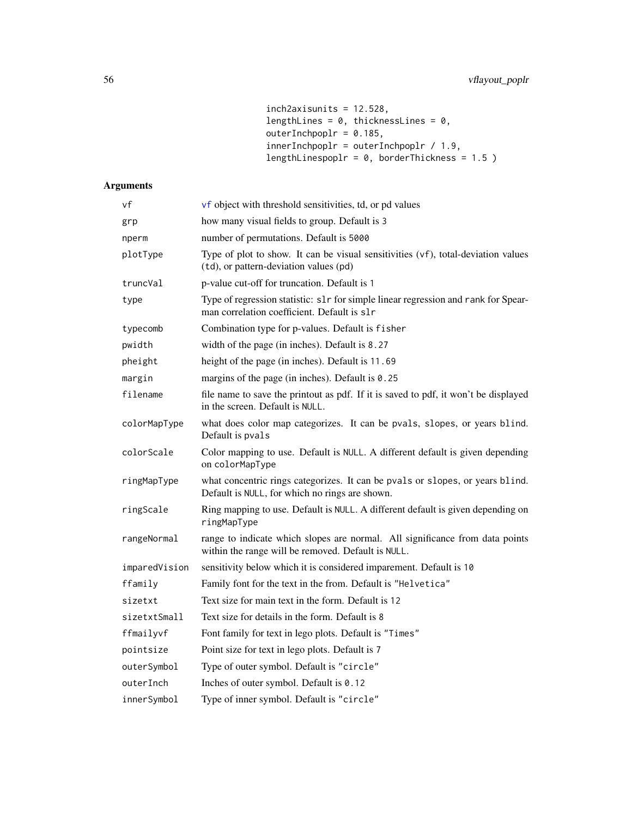```
inch2axisunits = 12.528,
lengthLines = 0, thicknessLines = 0,
outerInchpoplr = 0.185,
innerInchpoplr = outerInchpoplr / 1.9,
lengthLinespoplr = 0, borderThickness = 1.5 )
```
# Arguments

| νf            | vf object with threshold sensitivities, td, or pd values                                                                           |
|---------------|------------------------------------------------------------------------------------------------------------------------------------|
| grp           | how many visual fields to group. Default is 3                                                                                      |
| nperm         | number of permutations. Default is 5000                                                                                            |
| plotType      | Type of plot to show. It can be visual sensitivities (vf), total-deviation values<br>(td), or pattern-deviation values (pd)        |
| truncVal      | p-value cut-off for truncation. Default is 1                                                                                       |
| type          | Type of regression statistic: slr for simple linear regression and rank for Spear-<br>man correlation coefficient. Default is slr  |
| typecomb      | Combination type for p-values. Default is fisher                                                                                   |
| pwidth        | width of the page (in inches). Default is 8.27                                                                                     |
| pheight       | height of the page (in inches). Default is 11.69                                                                                   |
| margin        | margins of the page (in inches). Default is $0.25$                                                                                 |
| filename      | file name to save the printout as pdf. If it is saved to pdf, it won't be displayed<br>in the screen. Default is NULL.             |
| colorMapType  | what does color map categorizes. It can be pvals, slopes, or years blind.<br>Default is pvals                                      |
| colorScale    | Color mapping to use. Default is NULL. A different default is given depending<br>on colorMapType                                   |
| ringMapType   | what concentric rings categorizes. It can be pvals or slopes, or years blind.<br>Default is NULL, for which no rings are shown.    |
| ringScale     | Ring mapping to use. Default is NULL. A different default is given depending on<br>ringMapType                                     |
| rangeNormal   | range to indicate which slopes are normal. All significance from data points<br>within the range will be removed. Default is NULL. |
| imparedVision | sensitivity below which it is considered imparement. Default is 10                                                                 |
| ffamily       | Family font for the text in the from. Default is "Helvetica"                                                                       |
| sizetxt       | Text size for main text in the form. Default is 12                                                                                 |
| sizetxtSmall  | Text size for details in the form. Default is 8                                                                                    |
| ffmailyvf     | Font family for text in lego plots. Default is "Times"                                                                             |
| pointsize     | Point size for text in lego plots. Default is 7                                                                                    |
| outerSymbol   | Type of outer symbol. Default is "circle"                                                                                          |
| outerInch     | Inches of outer symbol. Default is 0.12                                                                                            |
| innerSymbol   | Type of inner symbol. Default is "circle"                                                                                          |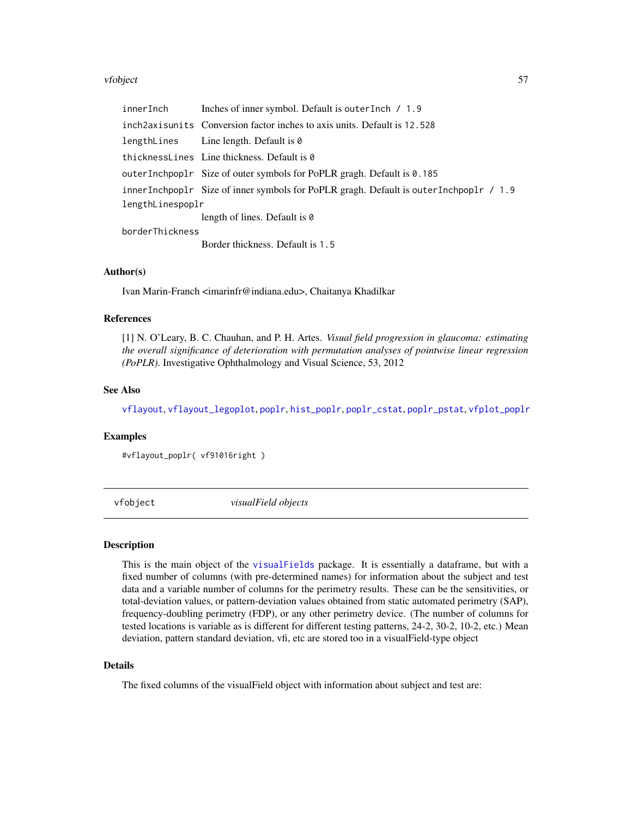#### vfobject 57

| innerInch        | Inches of inner symbol. Default is outer Inch / 1.9                                   |  |
|------------------|---------------------------------------------------------------------------------------|--|
|                  | inch 2 axis units Conversion factor inches to axis units. Default is 12.528           |  |
|                  | lengthLines Line length. Default is 0                                                 |  |
|                  | thicknessLines Line thickness. Default is 0                                           |  |
|                  | outerInchpoplr Size of outer symbols for PoPLR gragh. Default is $0.185$              |  |
|                  | innerInchpoplr Size of inner symbols for PoPLR gragh. Default is outerInchpoplr / 1.9 |  |
| lengthLinespoplr |                                                                                       |  |
|                  | length of lines. Default is 0                                                         |  |
| borderThickness  |                                                                                       |  |
|                  | Border thickness. Default is 1.5                                                      |  |

## Author(s)

Ivan Marin-Franch <imarinfr@indiana.edu>, Chaitanya Khadilkar

#### References

[1] N. O'Leary, B. C. Chauhan, and P. H. Artes. *Visual field progression in glaucoma: estimating the overall significance of deterioration with permutation analyses of pointwise linear regression (PoPLR)*. Investigative Ophthalmology and Visual Science, 53, 2012

## See Also

[vflayout](#page-51-0), [vflayout\\_legoplot](#page-53-0), [poplr](#page-26-0), [hist\\_poplr](#page-14-0), [poplr\\_cstat](#page-27-0), [poplr\\_pstat](#page-28-0), [vfplot\\_poplr](#page-62-0)

## Examples

#vflayout\_poplr( vf91016right )

vfobject *visualField objects*

#### <span id="page-56-0"></span>Description

This is the main object of the [visualFields](#page-2-0) package. It is essentially a dataframe, but with a fixed number of columns (with pre-determined names) for information about the subject and test data and a variable number of columns for the perimetry results. These can be the sensitivities, or total-deviation values, or pattern-deviation values obtained from static automated perimetry (SAP), frequency-doubling perimetry (FDP), or any other perimetry device. (The number of columns for tested locations is variable as is different for different testing patterns, 24-2, 30-2, 10-2, etc.) Mean deviation, pattern standard deviation, vfi, etc are stored too in a visualField-type object

## Details

The fixed columns of the visualField object with information about subject and test are: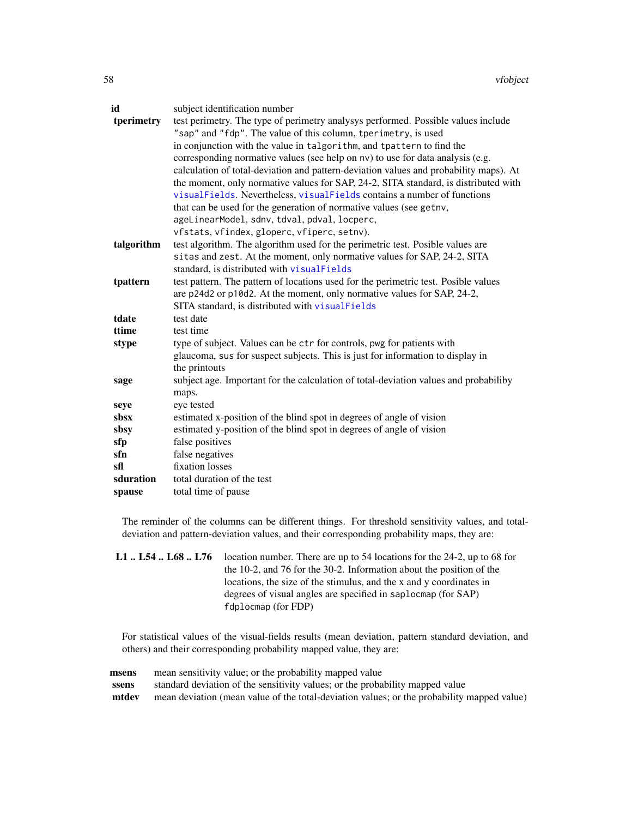| id         | subject identification number                                                         |
|------------|---------------------------------------------------------------------------------------|
| tperimetry | test perimetry. The type of perimetry analysys performed. Possible values include     |
|            | "sap" and "fdp". The value of this column, tperimetry, is used                        |
|            | in conjunction with the value in talgorithm, and tpattern to find the                 |
|            | corresponding normative values (see help on nv) to use for data analysis (e.g.        |
|            | calculation of total-deviation and pattern-deviation values and probability maps). At |
|            | the moment, only normative values for SAP, 24-2, SITA standard, is distributed with   |
|            | visualFields. Nevertheless, visualFields contains a number of functions               |
|            | that can be used for the generation of normative values (see getny,                   |
|            | ageLinearModel, sdnv, tdval, pdval, locperc,                                          |
|            | vfstats, vfindex, gloperc, vfiperc, setnv).                                           |
| talgorithm | test algorithm. The algorithm used for the perimetric test. Posible values are        |
|            | sitas and zest. At the moment, only normative values for SAP, 24-2, SITA              |
|            | standard, is distributed with visualFields                                            |
| tpattern   | test pattern. The pattern of locations used for the perimetric test. Posible values   |
|            | are p24d2 or p10d2. At the moment, only normative values for SAP, 24-2,               |
|            | SITA standard, is distributed with visualFields                                       |
| tdate      | test date                                                                             |
| ttime      | test time                                                                             |
| stype      | type of subject. Values can be ctr for controls, pwg for patients with                |
|            | glaucoma, sus for suspect subjects. This is just for information to display in        |
|            | the printouts                                                                         |
| sage       | subject age. Important for the calculation of total-deviation values and probabiliby  |
|            | maps.                                                                                 |
| seye       | eye tested                                                                            |
| sbsx       | estimated x-position of the blind spot in degrees of angle of vision                  |
| sbsy       | estimated y-position of the blind spot in degrees of angle of vision                  |
| sfp        | false positives                                                                       |
| sfn        | false negatives                                                                       |
| sfl        | fixation losses                                                                       |
| sduration  | total duration of the test                                                            |
| spause     | total time of pause                                                                   |

The reminder of the columns can be different things. For threshold sensitivity values, and totaldeviation and pattern-deviation values, and their corresponding probability maps, they are:

**L1**  $\ldots$  L54  $\ldots$  L68  $\ldots$  L76 location number. There are up to 54 locations for the 24-2, up to 68 for the 10-2, and 76 for the 30-2. Information about the position of the locations, the size of the stimulus, and the x and y coordinates in degrees of visual angles are specified in saplocmap (for SAP) fdplocmap (for FDP)

For statistical values of the visual-fields results (mean deviation, pattern standard deviation, and others) and their corresponding probability mapped value, they are:

| msens | mean sensitivity value; or the probability mapped value                                    |
|-------|--------------------------------------------------------------------------------------------|
| ssens | standard deviation of the sensitivity values; or the probability mapped value              |
| mtdev | mean deviation (mean value of the total-deviation values; or the probability mapped value) |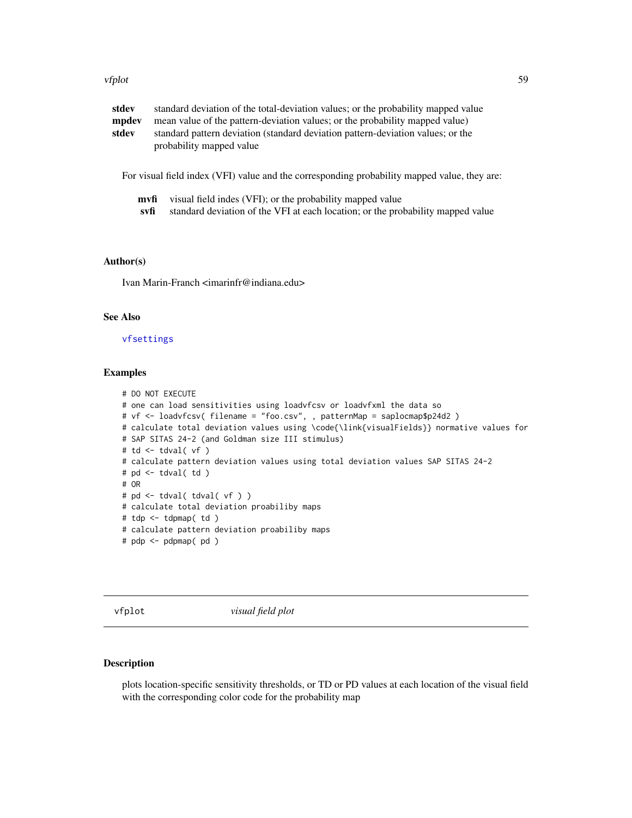#### vfplot 59

| stdev | standard deviation of the total-deviation values; or the probability mapped value                           |
|-------|-------------------------------------------------------------------------------------------------------------|
| mpdev | mean value of the pattern-deviation values; or the probability mapped value)                                |
| stdev | standard pattern deviation (standard deviation pattern-deviation values; or the<br>probability mapped value |

For visual field index (VFI) value and the corresponding probability mapped value, they are:

| <b>mvfi</b> visual field indes (VFI); or the probability mapped value |  |
|-----------------------------------------------------------------------|--|
|-----------------------------------------------------------------------|--|

svfi standard deviation of the VFI at each location; or the probability mapped value

#### Author(s)

Ivan Marin-Franch <imarinfr@indiana.edu>

## See Also

[vfsettings](#page-66-0)

#### Examples

```
# DO NOT EXECUTE
# one can load sensitivities using loadvfcsv or loadvfxml the data so
# vf <- loadvfcsv( filename = "foo.csv", , patternMap = saplocmap$p24d2 )
# calculate total deviation values using \code{\link{visualFields}} normative values for
# SAP SITAS 24-2 (and Goldman size III stimulus)
# td <- tdval( vf )
# calculate pattern deviation values using total deviation values SAP SITAS 24-2
# pd <- tdval( td )
# OR
# pd <- tdval( tdval( vf ) )
# calculate total deviation proabiliby maps
# tdp <- tdpmap( td )
# calculate pattern deviation proabiliby maps
# pdp <- pdpmap( pd )
```
<span id="page-58-0"></span>

vfplot *visual field plot*

#### Description

plots location-specific sensitivity thresholds, or TD or PD values at each location of the visual field with the corresponding color code for the probability map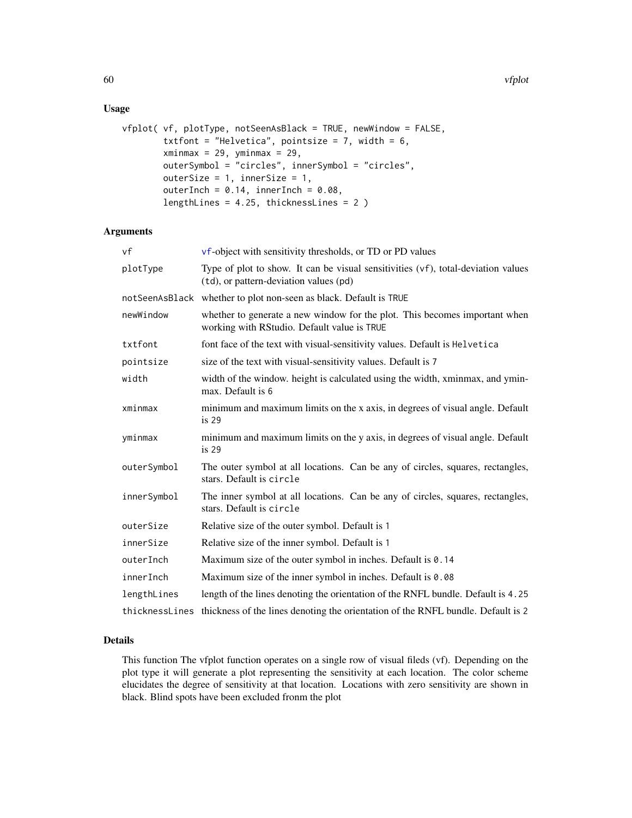# Usage

```
vfplot( vf, plotType, notSeenAsBlack = TRUE, newWindow = FALSE,
        txtfont = "Helvetica", pointsize = 7, width = 6,
        xminmax = 29, yminmax = 29,
        outerSymbol = "circles", innerSymbol = "circles",
        outerSize = 1, innerSize = 1,
        outerInch = 0.14, innerInch = 0.08,
        lengthLines = 4.25, thicknessLines = 2 )
```
#### Arguments

| vf             | vf-object with sensitivity thresholds, or TD or PD values                                                                   |
|----------------|-----------------------------------------------------------------------------------------------------------------------------|
| plotType       | Type of plot to show. It can be visual sensitivities (vf), total-deviation values<br>(td), or pattern-deviation values (pd) |
| notSeenAsBlack | whether to plot non-seen as black. Default is TRUE                                                                          |
| newWindow      | whether to generate a new window for the plot. This becomes important when<br>working with RStudio. Default value is TRUE   |
| txtfont        | font face of the text with visual-sensitivity values. Default is Helvetica                                                  |
| pointsize      | size of the text with visual-sensitivity values. Default is 7                                                               |
| width          | width of the window. height is calculated using the width, xminmax, and ymin-<br>max. Default is 6                          |
| xminmax        | minimum and maximum limits on the x axis, in degrees of visual angle. Default<br>is <sub>29</sub>                           |
| yminmax        | minimum and maximum limits on the y axis, in degrees of visual angle. Default<br>is <sub>29</sub>                           |
| outerSymbol    | The outer symbol at all locations. Can be any of circles, squares, rectangles,<br>stars. Default is circle                  |
| innerSymbol    | The inner symbol at all locations. Can be any of circles, squares, rectangles,<br>stars. Default is circle                  |
| outerSize      | Relative size of the outer symbol. Default is 1                                                                             |
| innerSize      | Relative size of the inner symbol. Default is 1                                                                             |
| outerInch      | Maximum size of the outer symbol in inches. Default is 0.14                                                                 |
| innerInch      | Maximum size of the inner symbol in inches. Default is 0.08                                                                 |
| lengthLines    | length of the lines denoting the orientation of the RNFL bundle. Default is 4.25                                            |
|                | thicknessLines thickness of the lines denoting the orientation of the RNFL bundle. Default is 2                             |

#### Details

This function The vfplot function operates on a single row of visual fileds (vf). Depending on the plot type it will generate a plot representing the sensitivity at each location. The color scheme elucidates the degree of sensitivity at that location. Locations with zero sensitivity are shown in black. Blind spots have been excluded fronm the plot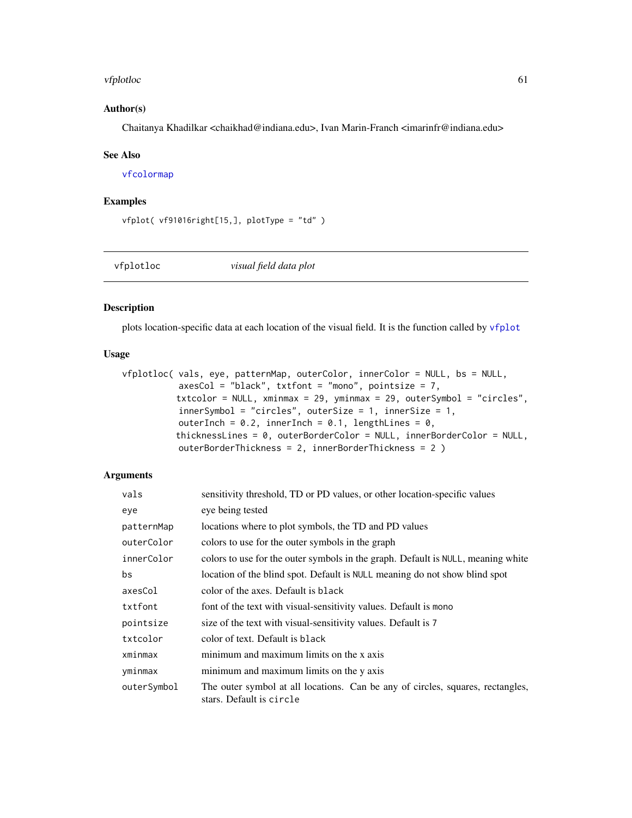#### vfplotloc 61

## Author(s)

Chaitanya Khadilkar <chaikhad@indiana.edu>, Ivan Marin-Franch <imarinfr@indiana.edu>

#### See Also

[vfcolormap](#page-44-0)

## Examples

```
vfplot( vf91016right[15,], plotType = "td" )
```
vfplotloc *visual field data plot*

#### Description

plots location-specific data at each location of the visual field. It is the function called by [vfplot](#page-58-0)

#### Usage

```
vfplotloc( vals, eye, patternMap, outerColor, innerColor = NULL, bs = NULL,
           axesCol = "black", txffont = "mono", pointsize = 7,txtcolor = NULL, xminmax = 29, yminmax = 29, outerSymbol = "circles",
           innerSymbol = "circles", outerSize = 1, innerSize = 1,
          outerInch = 0.2, innerInch = 0.1, lengthLines = 0,
          thicknessLines = 0, outerBorderColor = NULL, innerBorderColor = NULL,
          outerBorderThickness = 2, innerBorderThickness = 2 )
```
## Arguments

| vals        | sensitivity threshold, TD or PD values, or other location-specific values                                  |
|-------------|------------------------------------------------------------------------------------------------------------|
| eye         | eye being tested                                                                                           |
| patternMap  | locations where to plot symbols, the TD and PD values                                                      |
| outerColor  | colors to use for the outer symbols in the graph                                                           |
| innerColor  | colors to use for the outer symbols in the graph. Default is NULL, meaning white                           |
| bs          | location of the blind spot. Default is NULL meaning do not show blind spot                                 |
| axesCol     | color of the axes. Default is black                                                                        |
| txtfont     | font of the text with visual-sensitivity values. Default is mono                                           |
| pointsize   | size of the text with visual-sensitivity values. Default is 7                                              |
| txtcolor    | color of text. Default is black                                                                            |
| xminmax     | minimum and maximum limits on the x axis                                                                   |
| yminmax     | minimum and maximum limits on the y axis                                                                   |
| outerSymbol | The outer symbol at all locations. Can be any of circles, squares, rectangles,<br>stars. Default is circle |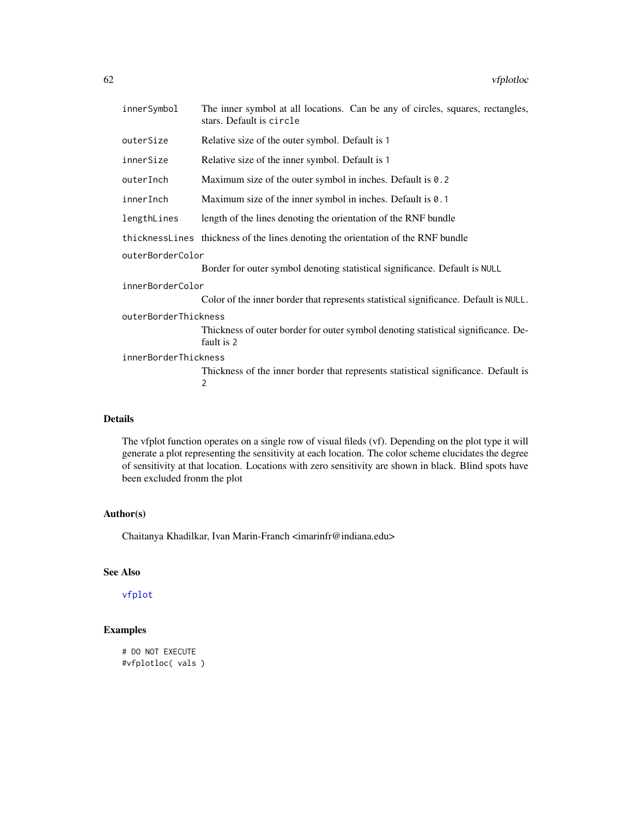| innerSymbol          | The inner symbol at all locations. Can be any of circles, squares, rectangles,<br>stars. Default is circle |  |
|----------------------|------------------------------------------------------------------------------------------------------------|--|
| outerSize            | Relative size of the outer symbol. Default is 1                                                            |  |
| innerSize            | Relative size of the inner symbol. Default is 1                                                            |  |
| outerInch            | Maximum size of the outer symbol in inches. Default is 0.2                                                 |  |
| innerInch            | Maximum size of the inner symbol in inches. Default is 0.1                                                 |  |
| lengthLines          | length of the lines denoting the orientation of the RNF bundle                                             |  |
|                      | thicknessLines thickness of the lines denoting the orientation of the RNF bundle                           |  |
| outerBorderColor     |                                                                                                            |  |
|                      | Border for outer symbol denoting statistical significance. Default is NULL                                 |  |
| innerBorderColor     |                                                                                                            |  |
|                      | Color of the inner border that represents statistical significance. Default is NULL.                       |  |
| outerBorderThickness |                                                                                                            |  |
|                      | Thickness of outer border for outer symbol denoting statistical significance. De-<br>fault is 2            |  |
| innerBorderThickness |                                                                                                            |  |
|                      | Thickness of the inner border that represents statistical significance. Default is<br>$\overline{2}$       |  |

## Details

The vfplot function operates on a single row of visual fileds (vf). Depending on the plot type it will generate a plot representing the sensitivity at each location. The color scheme elucidates the degree of sensitivity at that location. Locations with zero sensitivity are shown in black. Blind spots have been excluded fronm the plot

# Author(s)

Chaitanya Khadilkar, Ivan Marin-Franch <imarinfr@indiana.edu>

# See Also

# [vfplot](#page-58-0)

# Examples

# DO NOT EXECUTE #vfplotloc( vals )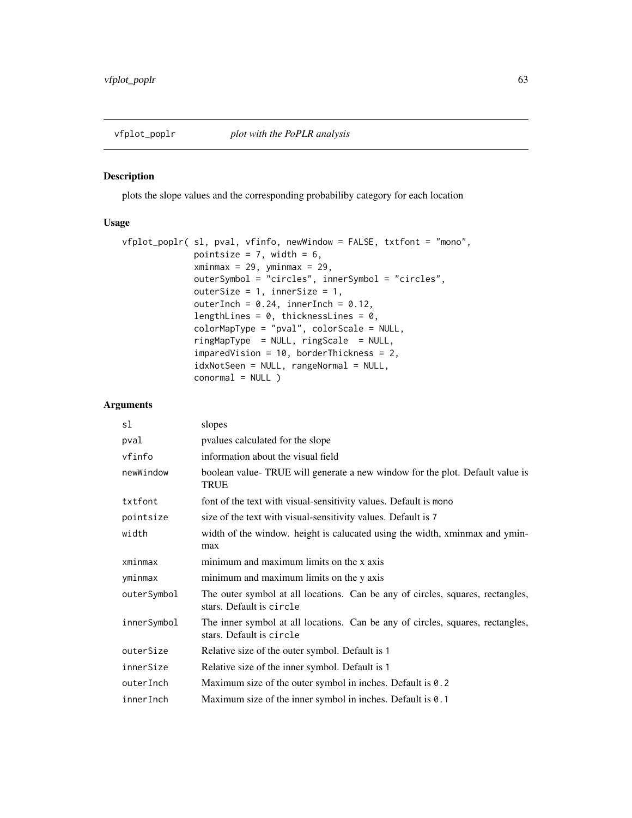<span id="page-62-0"></span>

plots the slope values and the corresponding probabiliby category for each location

# Usage

```
vfplot_poplr( sl, pval, vfinfo, newWindow = FALSE, txtfont = "mono",
             pointsize = 7, width = 6,
             xminmax = 29, yminmax = 29,
             outerSymbol = "circles", innerSymbol = "circles",
             outerSize = 1, innerSize = 1,
             outerInch = 0.24, innerInch = 0.12,
             lengthLines = 0, thicknessLines = 0,
             colorMapType = "pval", colorScale = NULL,
             ringMapType = NULL, ringScale = NULL,
             imparedVision = 10, borderThickness = 2,
             idxNotSeen = NULL, rangeNormal = NULL,
             conormal = NULL )
```
## Arguments

| sl          | slopes                                                                                                     |
|-------------|------------------------------------------------------------------------------------------------------------|
| pval        | pyalues calculated for the slope                                                                           |
| vfinfo      | information about the visual field                                                                         |
| newWindow   | boolean value-TRUE will generate a new window for the plot. Default value is<br>TRUE                       |
| txtfont     | font of the text with visual-sensitivity values. Default is mono                                           |
| pointsize   | size of the text with visual-sensitivity values. Default is 7                                              |
| width       | width of the window. height is calucated using the width, xminmax and ymin-<br>max                         |
| xminmax     | minimum and maximum limits on the x axis                                                                   |
| yminmax     | minimum and maximum limits on the y axis                                                                   |
| outerSymbol | The outer symbol at all locations. Can be any of circles, squares, rectangles,<br>stars. Default is circle |
| innerSymbol | The inner symbol at all locations. Can be any of circles, squares, rectangles,<br>stars. Default is circle |
| outerSize   | Relative size of the outer symbol. Default is 1                                                            |
| innerSize   | Relative size of the inner symbol. Default is 1                                                            |
| outerInch   | Maximum size of the outer symbol in inches. Default is 0.2                                                 |
| innerInch   | Maximum size of the inner symbol in inches. Default is 0.1                                                 |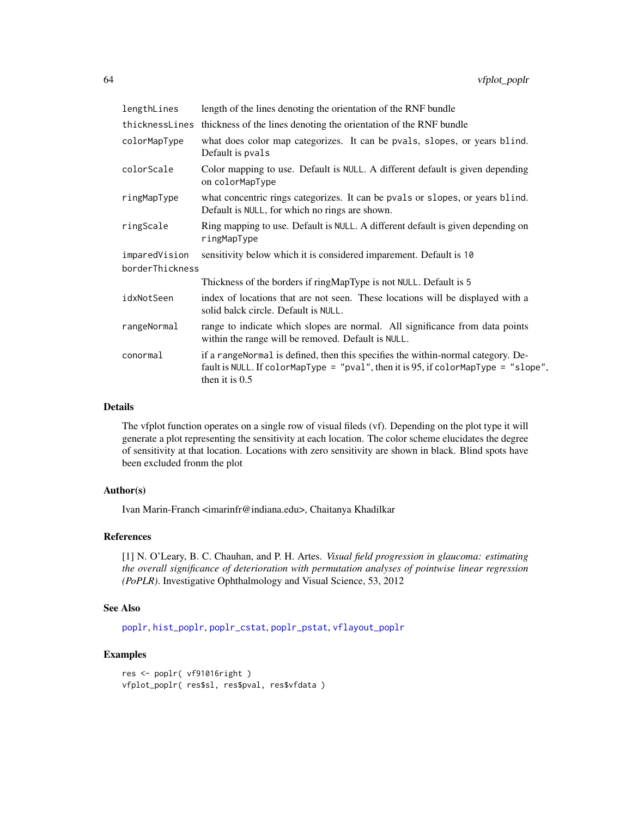| lengthLines     | length of the lines denoting the orientation of the RNF bundle                                                                                                                             |  |
|-----------------|--------------------------------------------------------------------------------------------------------------------------------------------------------------------------------------------|--|
| thicknessLines  | thickness of the lines denoting the orientation of the RNF bundle                                                                                                                          |  |
| colorMapType    | what does color map categorizes. It can be pvals, slopes, or years blind.<br>Default is pvals                                                                                              |  |
| colorScale      | Color mapping to use. Default is NULL. A different default is given depending<br>on colorMapType                                                                                           |  |
| ringMapType     | what concentric rings categorizes. It can be pvals or slopes, or years blind.<br>Default is NULL, for which no rings are shown.                                                            |  |
| ringScale       | Ring mapping to use. Default is NULL. A different default is given depending on<br>ringMapType                                                                                             |  |
| imparedVision   | sensitivity below which it is considered imparement. Default is 10                                                                                                                         |  |
| borderThickness |                                                                                                                                                                                            |  |
|                 | Thickness of the borders if ringMapType is not NULL. Default is 5                                                                                                                          |  |
| idxNotSeen      | index of locations that are not seen. These locations will be displayed with a<br>solid balck circle. Default is NULL.                                                                     |  |
| rangeNormal     | range to indicate which slopes are normal. All significance from data points<br>within the range will be removed. Default is NULL.                                                         |  |
| conormal        | if a rangeNormal is defined, then this specifies the within-normal category. De-<br>fault is NULL. If colorMapType = "pval", then it is 95, if colorMapType = "slope",<br>then it is $0.5$ |  |

## Details

The vfplot function operates on a single row of visual fileds (vf). Depending on the plot type it will generate a plot representing the sensitivity at each location. The color scheme elucidates the degree of sensitivity at that location. Locations with zero sensitivity are shown in black. Blind spots have been excluded fronm the plot

#### Author(s)

Ivan Marin-Franch <imarinfr@indiana.edu>, Chaitanya Khadilkar

#### References

[1] N. O'Leary, B. C. Chauhan, and P. H. Artes. *Visual field progression in glaucoma: estimating the overall significance of deterioration with permutation analyses of pointwise linear regression (PoPLR)*. Investigative Ophthalmology and Visual Science, 53, 2012

# See Also

[poplr](#page-26-0), [hist\\_poplr](#page-14-0), [poplr\\_cstat](#page-27-0), [poplr\\_pstat](#page-28-0), [vflayout\\_poplr](#page-54-0)

```
res <- poplr( vf91016right )
vfplot_poplr( res$sl, res$pval, res$vfdata )
```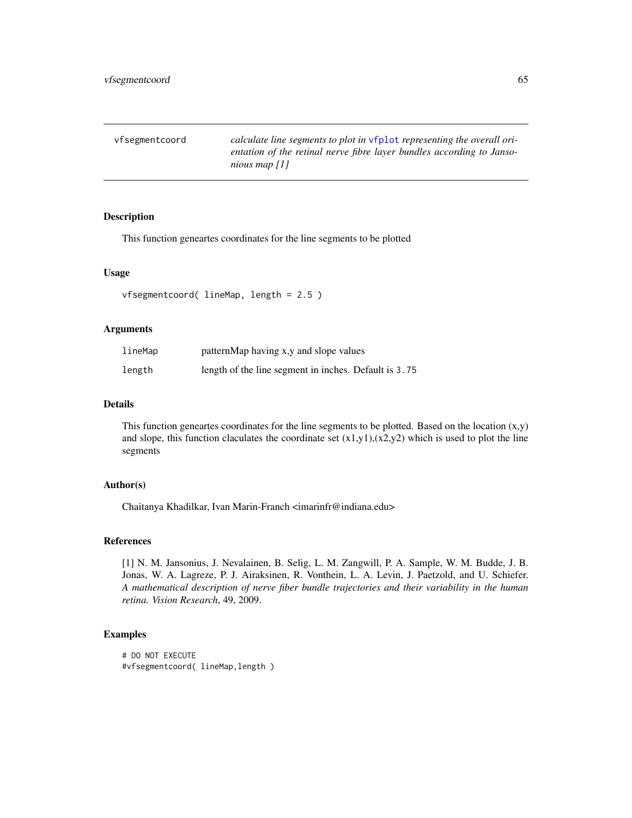| vfsegmentcoord | calculate line segments to plot in vfplot representing the overall ori- |
|----------------|-------------------------------------------------------------------------|
|                | entation of the retinal nerve fibre layer bundles according to Janso-   |
|                | nious map $[1]$                                                         |

This function geneartes coordinates for the line segments to be plotted

## Usage

```
vfsegmentcoord( lineMap, length = 2.5 )
```
# Arguments

| lineMap | patternMap having x,y and slope values                |
|---------|-------------------------------------------------------|
| length  | length of the line segment in inches. Default is 3.75 |

## Details

This function geneartes coordinates for the line segments to be plotted. Based on the location (x,y) and slope, this function claculates the coordinate set  $(x1,y1),(x2,y2)$  which is used to plot the line segments

#### Author(s)

Chaitanya Khadilkar, Ivan Marin-Franch <imarinfr@indiana.edu>

#### References

[1] N. M. Jansonius, J. Nevalainen, B. Selig, L. M. Zangwill, P. A. Sample, W. M. Budde, J. B. Jonas, W. A. Lagreze, P. J. Airaksinen, R. Vonthein, L. A. Levin, J. Paetzold, and U. Schiefer. *A mathematical description of nerve fiber bundle trajectories and their variability in the human retina. Vision Research*, 49, 2009.

```
# DO NOT EXECUTE
#vfsegmentcoord( lineMap,length )
```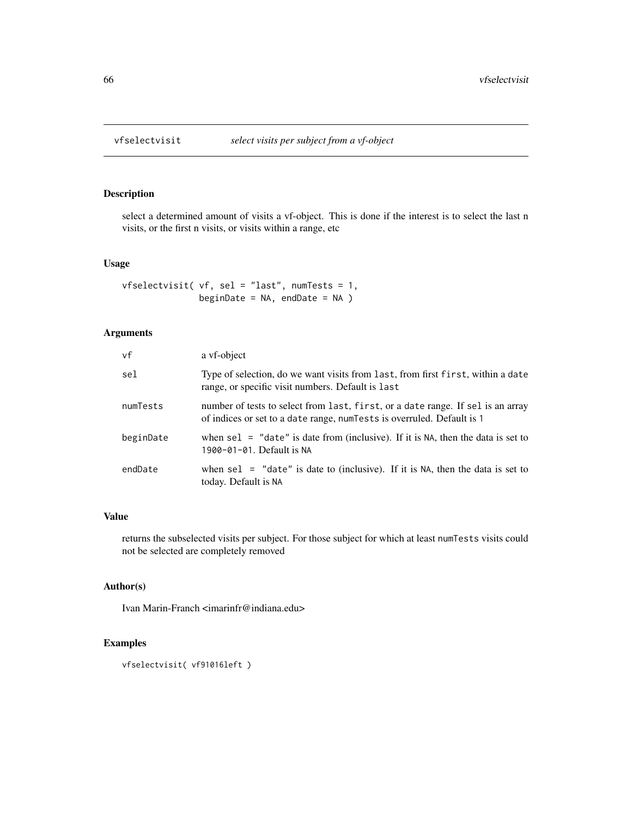select a determined amount of visits a vf-object. This is done if the interest is to select the last n visits, or the first n visits, or visits within a range, etc

## Usage

```
vfselectvisit( vf, sel = "last", numTests = 1,
               beginDate = NA, endDate = NA )
```
# Arguments

| vf        | a vf-object                                                                                                                                                |
|-----------|------------------------------------------------------------------------------------------------------------------------------------------------------------|
| sel       | Type of selection, do we want visits from last, from first first, within a date<br>range, or specific visit numbers. Default is last                       |
| numTests  | number of tests to select from last, first, or a date range. If sel is an array<br>of indices or set to a date range, num Tests is overruled. Default is 1 |
| beginDate | when sel $=$ "date" is date from (inclusive). If it is NA, then the data is set to<br>1900-01-01. Default is NA                                            |
| endDate   | when sel $=$ "date" is date to (inclusive). If it is NA, then the data is set to<br>today. Default is NA                                                   |

#### Value

returns the subselected visits per subject. For those subject for which at least numTests visits could not be selected are completely removed

## Author(s)

Ivan Marin-Franch <imarinfr@indiana.edu>

```
vfselectvisit( vf91016left )
```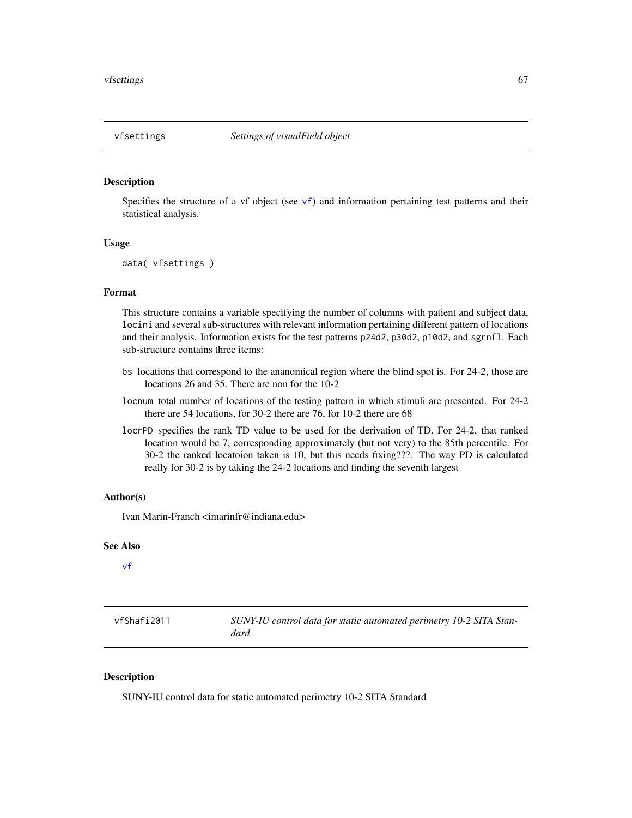<span id="page-66-0"></span>Specifies the structure of a [vf](#page-56-0) object (see  $vf$ ) and information pertaining test patterns and their statistical analysis.

## Usage

```
data( vfsettings )
```
# Format

This structure contains a variable specifying the number of columns with patient and subject data, locini and several sub-structures with relevant information pertaining different pattern of locations and their analysis. Information exists for the test patterns p24d2, p30d2, p10d2, and sgrnfl. Each sub-structure contains three items:

- bs locations that correspond to the ananomical region where the blind spot is. For 24-2, those are locations 26 and 35. There are non for the 10-2
- locnum total number of locations of the testing pattern in which stimuli are presented. For 24-2 there are 54 locations, for 30-2 there are 76, for 10-2 there are 68
- locrPD specifies the rank TD value to be used for the derivation of TD. For 24-2, that ranked location would be 7, corresponding approximately (but not very) to the 85th percentile. For 30-2 the ranked locatoion taken is 10, but this needs fixing???. The way PD is calculated really for 30-2 is by taking the 24-2 locations and finding the seventh largest

## Author(s)

Ivan Marin-Franch <imarinfr@indiana.edu>

#### See Also

[vf](#page-56-0)

| vfShafi2011 | SUNY-IU control data for static automated perimetry 10-2 SITA Stan- |
|-------------|---------------------------------------------------------------------|
|             | dard                                                                |

# Description

SUNY-IU control data for static automated perimetry 10-2 SITA Standard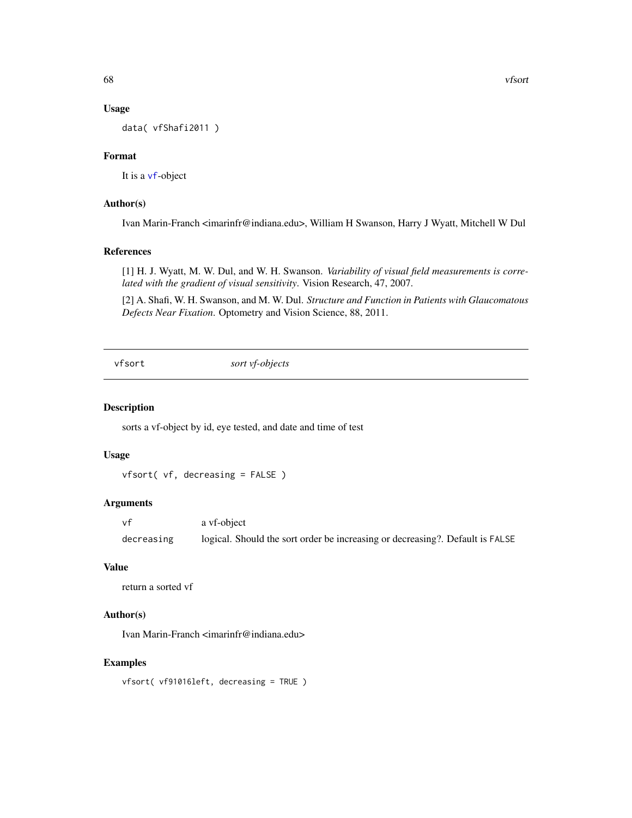#### Usage

data( vfShafi2011 )

# Format

It is a [vf](#page-56-0)-object

# Author(s)

Ivan Marin-Franch <imarinfr@indiana.edu>, William H Swanson, Harry J Wyatt, Mitchell W Dul

## References

[1] H. J. Wyatt, M. W. Dul, and W. H. Swanson. *Variability of visual field measurements is correlated with the gradient of visual sensitivity*. Vision Research, 47, 2007.

[2] A. Shafi, W. H. Swanson, and M. W. Dul. *Structure and Function in Patients with Glaucomatous Defects Near Fixation*. Optometry and Vision Science, 88, 2011.

vfsort *sort vf-objects*

#### Description

sorts a vf-object by id, eye tested, and date and time of test

## Usage

vfsort( vf, decreasing = FALSE )

## Arguments

vf a vf-object decreasing logical. Should the sort order be increasing or decreasing?. Default is FALSE

# Value

```
return a sorted vf
```
# Author(s)

Ivan Marin-Franch <imarinfr@indiana.edu>

# Examples

vfsort( vf91016left, decreasing = TRUE )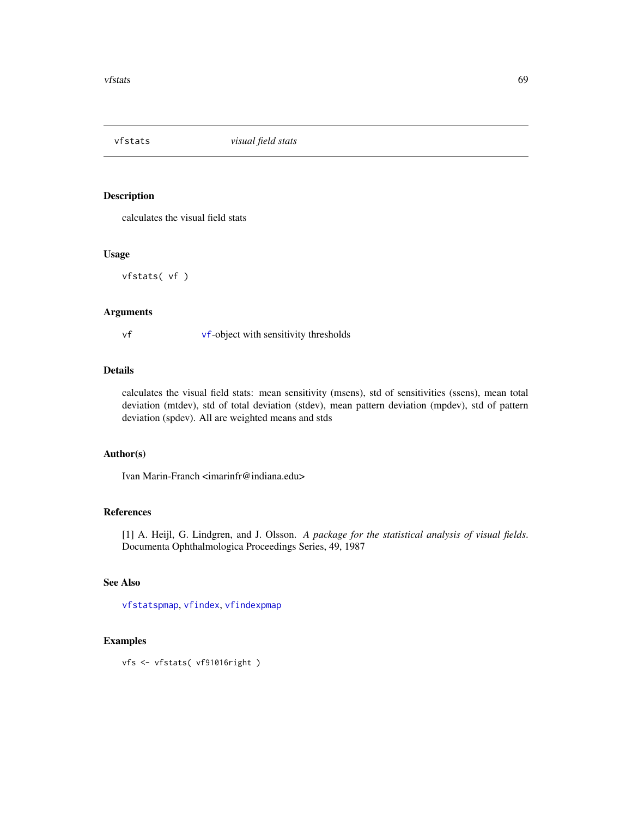<span id="page-68-0"></span>

calculates the visual field stats

#### Usage

vfstats( vf )

# Arguments

vf [vf](#page-56-0)-object with sensitivity thresholds

# Details

calculates the visual field stats: mean sensitivity (msens), std of sensitivities (ssens), mean total deviation (mtdev), std of total deviation (stdev), mean pattern deviation (mpdev), std of pattern deviation (spdev). All are weighted means and stds

# Author(s)

Ivan Marin-Franch <imarinfr@indiana.edu>

# References

[1] A. Heijl, G. Lindgren, and J. Olsson. *A package for the statistical analysis of visual fields*. Documenta Ophthalmologica Proceedings Series, 49, 1987

#### See Also

[vfstatspmap](#page-69-0), [vfindex](#page-48-0), [vfindexpmap](#page-49-0)

# Examples

vfs <- vfstats( vf91016right )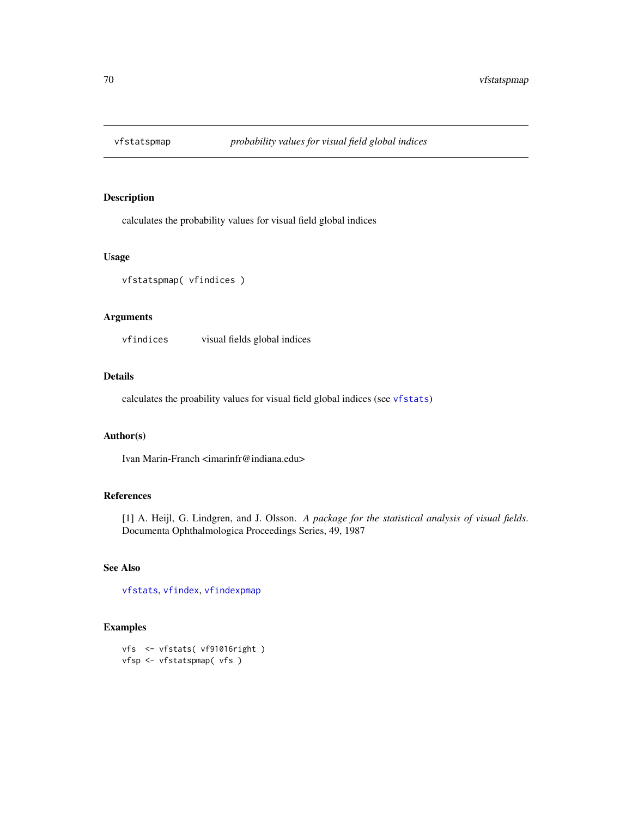<span id="page-69-0"></span>

calculates the probability values for visual field global indices

## Usage

```
vfstatspmap( vfindices )
```
## Arguments

vfindices visual fields global indices

#### Details

calculates the proability values for visual field global indices (see [vfstats](#page-68-0))

#### Author(s)

Ivan Marin-Franch <imarinfr@indiana.edu>

## References

[1] A. Heijl, G. Lindgren, and J. Olsson. *A package for the statistical analysis of visual fields*. Documenta Ophthalmologica Proceedings Series, 49, 1987

## See Also

[vfstats](#page-68-0), [vfindex](#page-48-0), [vfindexpmap](#page-49-0)

```
vfs <- vfstats( vf91016right )
vfsp <- vfstatspmap( vfs )
```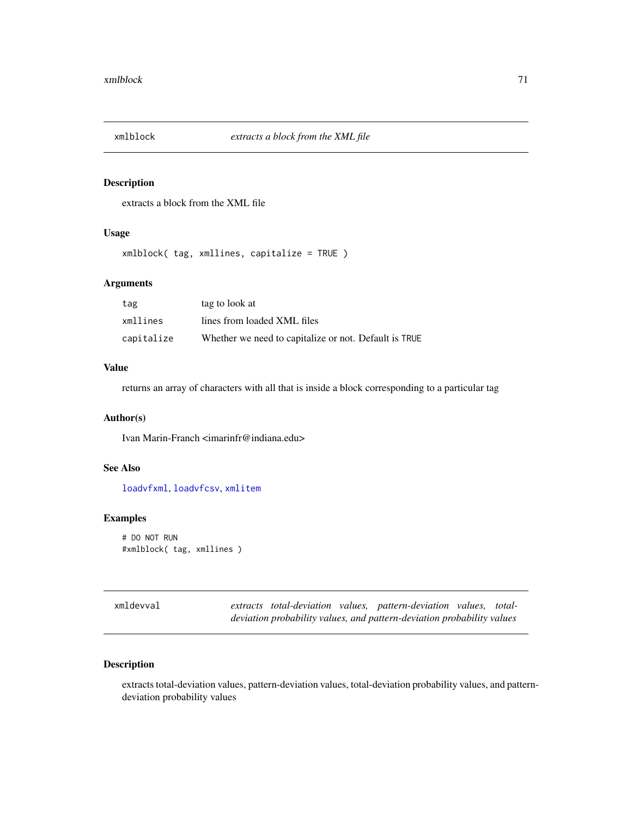extracts a block from the XML file

# Usage

xmlblock( tag, xmllines, capitalize = TRUE )

# Arguments

| tag        | tag to look at                                        |
|------------|-------------------------------------------------------|
| xmllines   | lines from loaded XML files                           |
| capitalize | Whether we need to capitalize or not. Default is TRUE |

#### Value

returns an array of characters with all that is inside a block corresponding to a particular tag

## Author(s)

Ivan Marin-Franch <imarinfr@indiana.edu>

## See Also

[loadvfxml](#page-17-0), [loadvfcsv](#page-16-0), [xmlitem](#page-71-0)

## Examples

```
# DO NOT RUN
#xmlblock( tag, xmllines )
```
xmldevval *extracts total-deviation values, pattern-deviation values, totaldeviation probability values, and pattern-deviation probability values*

# Description

extracts total-deviation values, pattern-deviation values, total-deviation probability values, and patterndeviation probability values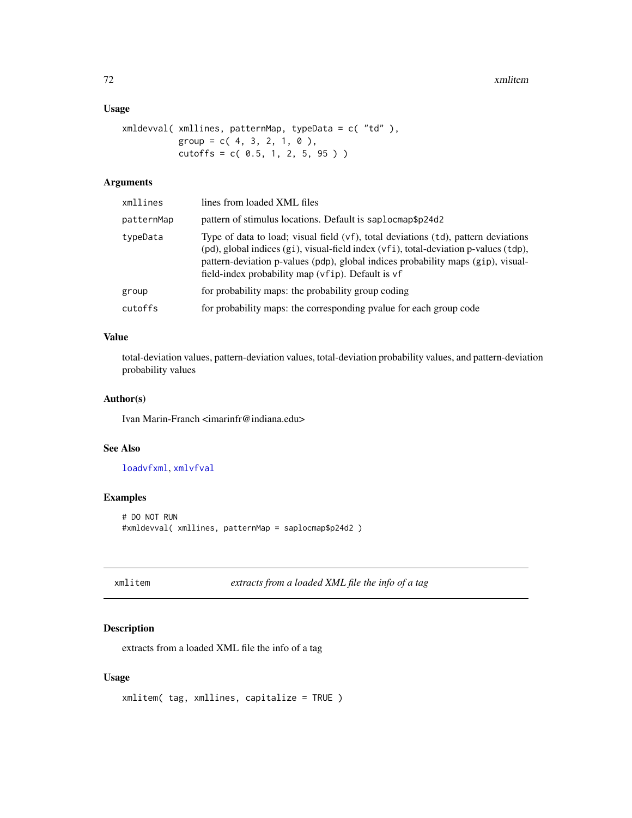## Usage

```
xmldevval( xmllines, patternMap, typeData = c( "td" ),
          group = c( 4, 3, 2, 1, 0 ),cutoffs = c( 0.5, 1, 2, 5, 95 )
```
# Arguments

| xmllines   | lines from loaded XML files                                                                                                                                                                                                                                                                                         |
|------------|---------------------------------------------------------------------------------------------------------------------------------------------------------------------------------------------------------------------------------------------------------------------------------------------------------------------|
| patternMap | pattern of stimulus locations. Default is saplocmap\$p24d2                                                                                                                                                                                                                                                          |
| typeData   | Type of data to load; visual field (vf), total deviations (td), pattern deviations<br>(pd), global indices (gi), visual-field index (vfi), total-deviation p-values (tdp),<br>pattern-deviation p-values (pdp), global indices probability maps (gip), visual-<br>field-index probability map (vfip). Default is vf |
| group      | for probability maps: the probability group coding                                                                                                                                                                                                                                                                  |
| cutoffs    | for probability maps: the corresponding pvalue for each group code                                                                                                                                                                                                                                                  |
|            |                                                                                                                                                                                                                                                                                                                     |

# Value

total-deviation values, pattern-deviation values, total-deviation probability values, and pattern-deviation probability values

# Author(s)

Ivan Marin-Franch <imarinfr@indiana.edu>

# See Also

[loadvfxml](#page-17-0), [xmlvfval](#page-72-0)

# Examples

```
# DO NOT RUN
#xmldevval( xmllines, patternMap = saplocmap$p24d2 )
```

```
xmlitem extracts from a loaded XML file the info of a tag
```
# Description

extracts from a loaded XML file the info of a tag

# Usage

```
xmlitem( tag, xmllines, capitalize = TRUE )
```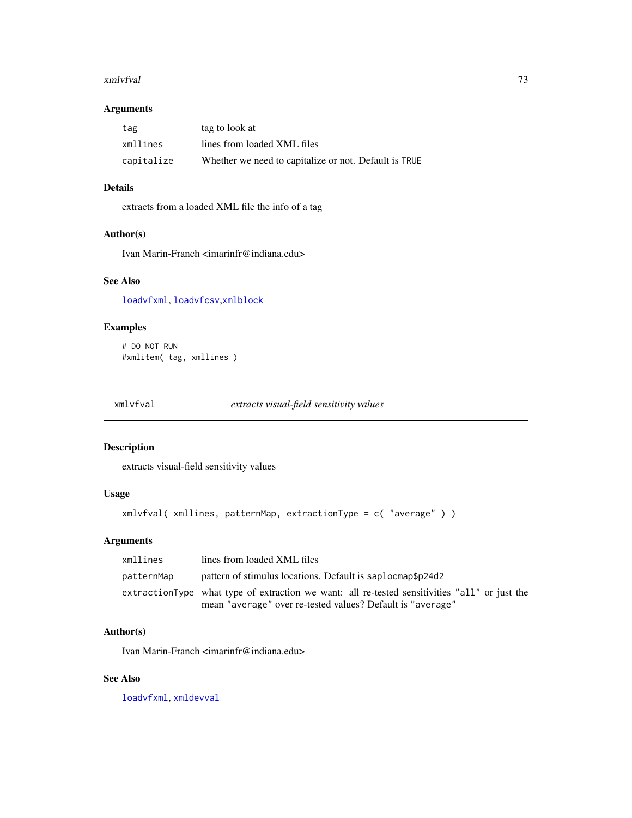#### <span id="page-72-1"></span>xmlvfval 73

#### Arguments

| tag        | tag to look at                                        |
|------------|-------------------------------------------------------|
| xmllines   | lines from loaded XML files                           |
| capitalize | Whether we need to capitalize or not. Default is TRUE |

#### Details

extracts from a loaded XML file the info of a tag

#### Author(s)

Ivan Marin-Franch <imarinfr@indiana.edu>

#### See Also

[loadvfxml](#page-17-0), [loadvfcsv](#page-16-0),[xmlblock](#page-70-0)

## Examples

# DO NOT RUN #xmlitem( tag, xmllines )

<span id="page-72-0"></span>xmlvfval *extracts visual-field sensitivity values*

#### Description

extracts visual-field sensitivity values

#### Usage

```
xmlvfval( xmllines, patternMap, extractionType = c( "average" ) )
```
## Arguments

| xmllines   | lines from loaded XML files                                                                   |
|------------|-----------------------------------------------------------------------------------------------|
| patternMap | pattern of stimulus locations. Default is saplocmap\$p24d2                                    |
|            | extractionType what type of extraction we want: all re-tested sensitivities "all" or just the |
|            | mean "average" over re-tested values? Default is "average"                                    |

#### Author(s)

Ivan Marin-Franch <imarinfr@indiana.edu>

#### See Also

[loadvfxml](#page-17-0), [xmldevval](#page-70-1)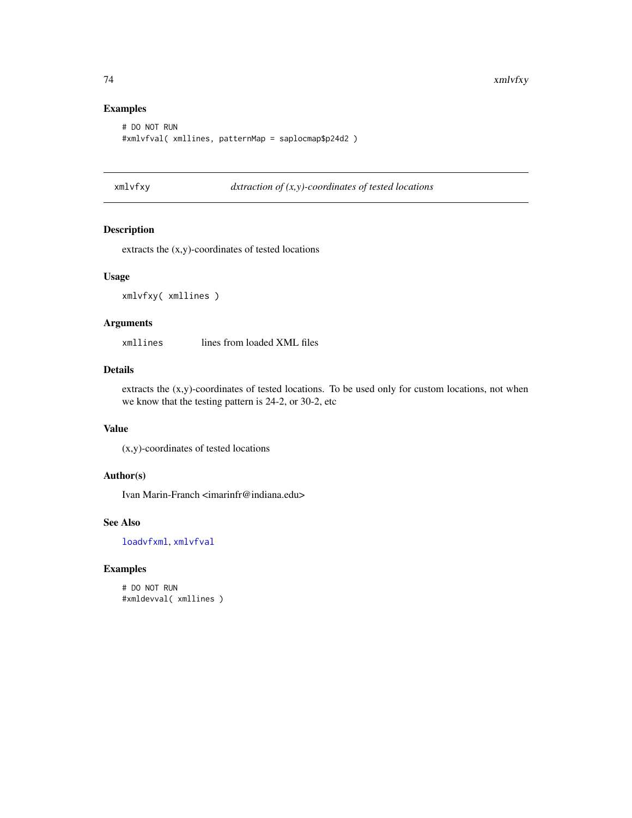#### Examples

```
# DO NOT RUN
#xmlvfval( xmllines, patternMap = saplocmap$p24d2 )
```
xmlvfxy *dxtraction of (x,y)-coordinates of tested locations*

## Description

extracts the (x,y)-coordinates of tested locations

#### Usage

xmlvfxy( xmllines )

#### Arguments

xmllines lines from loaded XML files

# Details

extracts the (x,y)-coordinates of tested locations. To be used only for custom locations, not when we know that the testing pattern is 24-2, or 30-2, etc

#### Value

(x,y)-coordinates of tested locations

#### Author(s)

Ivan Marin-Franch <imarinfr@indiana.edu>

# See Also

[loadvfxml](#page-17-0), [xmlvfval](#page-72-0)

## Examples

# DO NOT RUN #xmldevval( xmllines )

<span id="page-73-0"></span>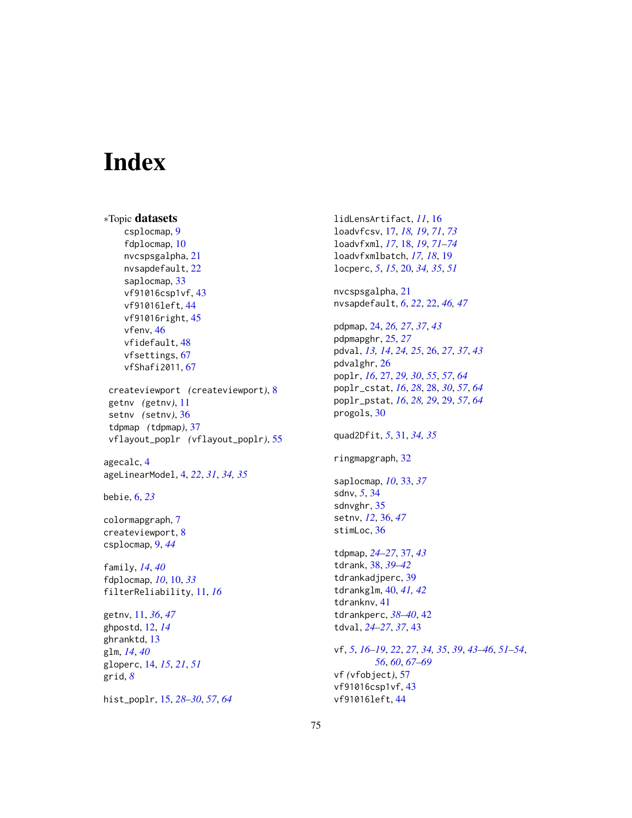# Index

```
∗Topic datasets
    csplocmap, 9
    fdplocmap, 10
    nvcspsgalpha, 21
    nvsapdefault, 22
    saplocmap, 33
    vf91016csp1vf, 43
    vf91016left, 44
    vf91016right, 45
    vfenv, 46
    vfidefault, 48
    vfsettings, 67
    vfShafi2011, 67
 createviewport (createviewport), 8
 getnv (getnv), 11
 setnv (setnv), 36
 tdpmap (tdpmap), 37
 vflayout_poplr (vflayout_poplr), 55
agecalc, 4
ageLinearModel, 4, 22, 31, 34, 35
bebie, 6, 23
colormapgraph, 7
createviewport, 8
csplocmap, 9, 44
family, 14, 40
fdplocmap, 10, 10, 33
filterReliability, 11, 16
getnv, 11, 36, 47
ghpostd, 12, 14
ghranktd, 13
glm, 14, 40
gloperc, 14, 15, 21, 51
grid, 8
```
hist\_poplr, [15,](#page-14-0) *[28](#page-27-0)[–30](#page-29-0)*, *[57](#page-56-0)*, *[64](#page-63-0)*

lidLensArtifact, *[11](#page-10-0)*, [16](#page-15-0) loadvfcsv, [17,](#page-16-1) *[18,](#page-17-1) [19](#page-18-0)*, *[71](#page-70-2)*, *[73](#page-72-1)* loadvfxml, *[17](#page-16-1)*, [18,](#page-17-1) *[19](#page-18-0)*, *[71](#page-70-2)[–74](#page-73-0)* loadvfxmlbatch, *[17,](#page-16-1) [18](#page-17-1)*, [19](#page-18-0) locperc, *[5](#page-4-0)*, *[15](#page-14-0)*, [20,](#page-19-0) *[34,](#page-33-0) [35](#page-34-0)*, *[51](#page-50-0)* nvcspsgalpha, [21](#page-20-0) nvsapdefault, *[6](#page-5-0)*, *[22](#page-21-0)*, [22,](#page-21-0) *[46,](#page-45-0) [47](#page-46-0)* pdpmap, [24,](#page-23-0) *[26,](#page-25-0) [27](#page-26-0)*, *[37](#page-36-0)*, *[43](#page-42-0)* pdpmapghr, [25,](#page-24-0) *[27](#page-26-0)* pdval, *[13,](#page-12-0) [14](#page-13-0)*, *[24,](#page-23-0) [25](#page-24-0)*, [26,](#page-25-0) *[27](#page-26-0)*, *[37](#page-36-0)*, *[43](#page-42-0)* pdvalghr, [26](#page-25-0) poplr, *[16](#page-15-0)*, [27,](#page-26-0) *[29,](#page-28-0) [30](#page-29-0)*, *[55](#page-54-0)*, *[57](#page-56-0)*, *[64](#page-63-0)* poplr\_cstat, *[16](#page-15-0)*, *[28](#page-27-0)*, [28,](#page-27-0) *[30](#page-29-0)*, *[57](#page-56-0)*, *[64](#page-63-0)* poplr\_pstat, *[16](#page-15-0)*, *[28,](#page-27-0) [29](#page-28-0)*, [29,](#page-28-0) *[57](#page-56-0)*, *[64](#page-63-0)* progols, [30](#page-29-0) quad2Dfit, *[5](#page-4-0)*, [31,](#page-30-0) *[34,](#page-33-0) [35](#page-34-0)* ringmapgraph, [32](#page-31-0) saplocmap, *[10](#page-9-0)*, [33,](#page-32-0) *[37](#page-36-0)* sdnv, *[5](#page-4-0)*, [34](#page-33-0) sdnvghr, [35](#page-34-0) setnv, *[12](#page-11-0)*, [36,](#page-35-0) *[47](#page-46-0)* stimLoc, [36](#page-35-0) tdpmap, *[24](#page-23-0)[–27](#page-26-0)*, [37,](#page-36-0) *[43](#page-42-0)* tdrank, [38,](#page-37-0) *[39](#page-38-0)[–42](#page-41-0)* tdrankadjperc, [39](#page-38-0) tdrankglm, [40,](#page-39-0) *[41,](#page-40-0) [42](#page-41-0)* tdranknv, [41](#page-40-0) tdrankperc, *[38](#page-37-0)[–40](#page-39-0)*, [42](#page-41-0) tdval, *[24](#page-23-0)[–27](#page-26-0)*, *[37](#page-36-0)*, [43](#page-42-0) vf, *[5](#page-4-0)*, *[16–](#page-15-0)[19](#page-18-0)*, *[22](#page-21-0)*, *[27](#page-26-0)*, *[34,](#page-33-0) [35](#page-34-0)*, *[39](#page-38-0)*, *[43](#page-42-0)[–46](#page-45-0)*, *[51](#page-50-0)[–54](#page-53-0)*, *[56](#page-55-0)*, *[60](#page-59-0)*, *[67](#page-66-0)[–69](#page-68-0)* vf *(*vfobject*)*, [57](#page-56-0) vf91016csp1vf, [43](#page-42-0)

vf91016left, [44](#page-43-0)